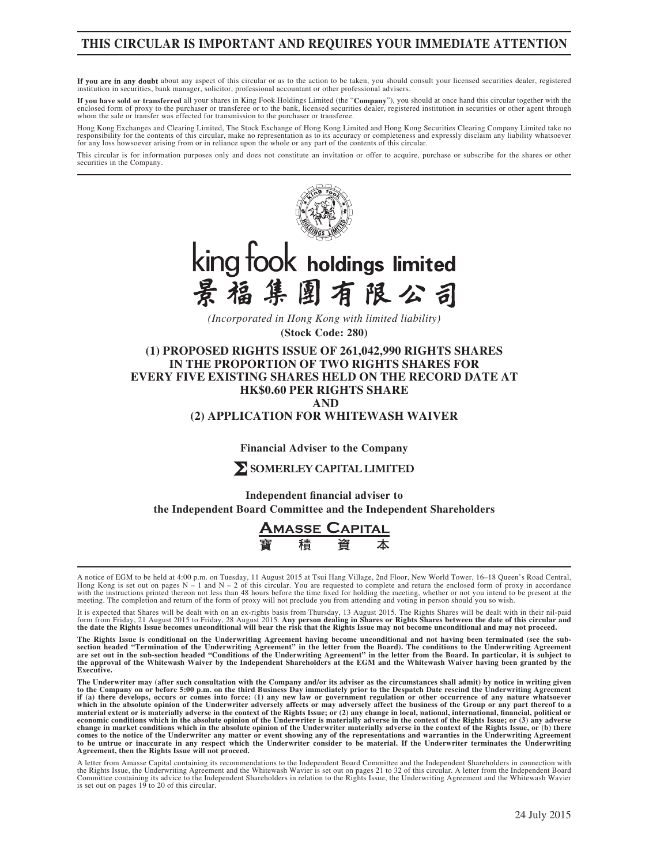## **THIS CIRCULAR IS IMPORTANT AND REQUIRES YOUR IMMEDIATE ATTENTION**

**If you are in any doubt** about any aspect of this circular or as to the action to be taken, you should consult your licensed securities dealer, registered institution in securities, bank manager, solicitor, professional accountant or other professional advisers.

**If you have sold or transferred** all your shares in King Fook Holdings Limited (the "**Company**"), you should at once hand this circular together with the enclosed form of proxy to the purchaser or transferee or to the bank, licensed securities dealer, registered institution in securities or other agent through whom the sale or transfer was effected for transmission to the purchaser or transferee.

Hong Kong Exchanges and Clearing Limited, The Stock Exchange of Hong Kong Limited and Hong Kong Securities Clearing Company Limited take no<br>responsibility for the contents of this circular, make no representation as to its for any loss howsoever arising from or in reliance upon the whole or any part of the contents of this circular.

This circular is for information purposes only and does not constitute an invitation or offer to acquire, purchase or subscribe for the shares or other securities in the Company.



*(Incorporated in Hong Kong with limited liability)*

**(Stock Code: 280)**

**(1) PROPOSED RIGHTS ISSUE OF 261,042,990 RIGHTS SHARES IN THE PROPORTION OF TWO RIGHTS SHARES FOR EVERY FIVE EXISTING SHARES HELD ON THE RECORD DATE AT HK\$0.60 PER RIGHTS SHARE AND**

**(2) APPLICATION FOR WHITEWASH WAIVER**

**Financial Adviser to the Company**

## **SOMERLEY CAPITAL LIMITED**

**Independent financial adviser to the Independent Board Committee and the Independent Shareholders**



A notice of EGM to be held at 4:00 p.m. on Tuesday, 11 August 2015 at Tsui Hang Village, 2nd Floor, New World Tower, 16–18 Queen's Road Central, Hong Kong is set out on pages  $N - 1$  and  $N - 2$  of this circular. You are requested to complete and return the enclosed form of proxy in accordance with the instructions printed thereon not less than 48 hours before the time fixed for holding the meeting, whether or not you intend to be present at the meeting. The completion and return of the form of proxy will not pr

It is expected that Shares will be dealt with on an ex-rights basis from Thursday, 13 August 2015. The Rights Shares will be dealt with in their nil-paid<br>form from Friday, 21 August 2015 to Friday, 28 August 2015. Any pers **the date the Rights Issue becomes unconditional will bear the risk that the Rights Issue may not become unconditional and may not proceed.**

**The Rights Issue is conditional on the Underwriting Agreement having become unconditional and not having been terminated (see the sub**section headed "Termination of the Underwriting Agreement" in the letter from the Board). The conditions to the Underwriting Agreement<br>are set out in the sub-section headed "Conditions of the Underwriting Agreement" in the **Executive.**

The Underwriter may (after such consultation with the Company and/or its adviser as the circumstances shall admit) by notice in writing given<br>to the Company on or before 5:00 p.m. on the third Business Day immediately prio

A letter from Amasse Capital containing its recommendations to the Independent Board Committee and the Independent Shareholders in connection with<br>the Rights Issue, the Underwriting Agreement and the Whitewash Wavier is se Committee containing its advice to the Independent Shareholders in relation to the Rights Issue, the Underwriting Agreement and the Whitewash Wavier is set out on pages 19 to 20 of this circular.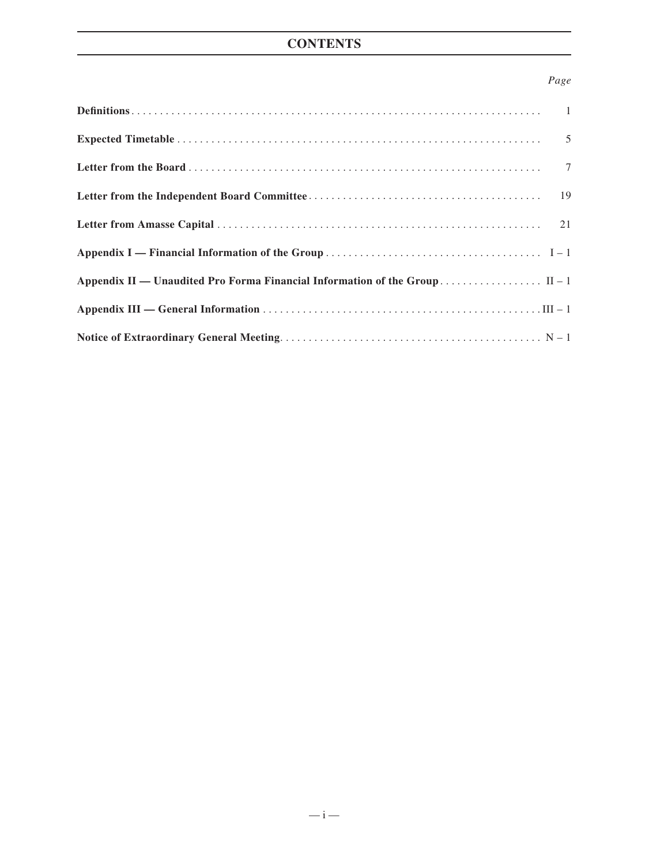## **CONTENTS**

## *Page*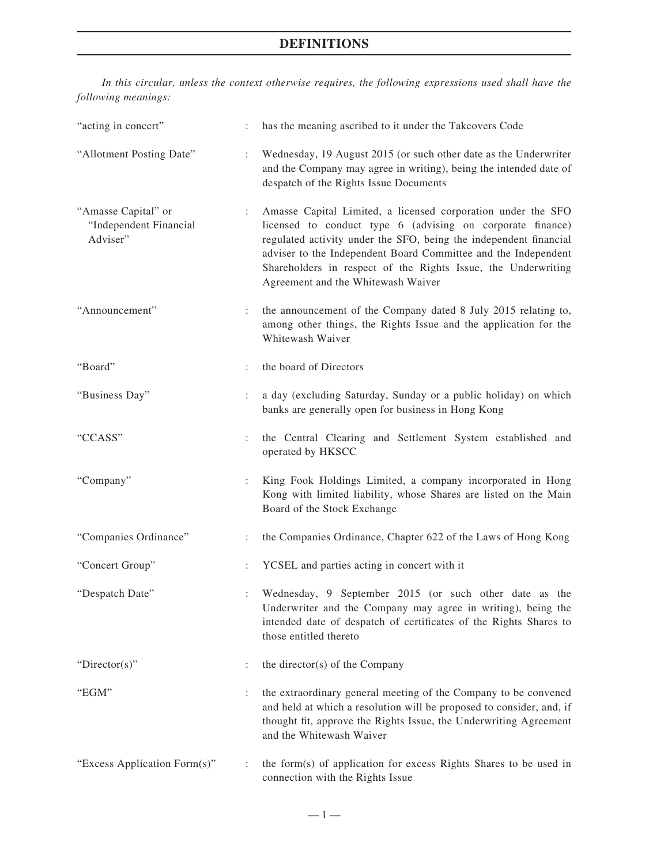*In this circular, unless the context otherwise requires, the following expressions used shall have the following meanings:*

| "acting in concert"                                       | ÷.                        | has the meaning ascribed to it under the Takeovers Code                                                                                                                                                                                                                                                                                                                  |
|-----------------------------------------------------------|---------------------------|--------------------------------------------------------------------------------------------------------------------------------------------------------------------------------------------------------------------------------------------------------------------------------------------------------------------------------------------------------------------------|
| "Allotment Posting Date"                                  |                           | Wednesday, 19 August 2015 (or such other date as the Underwriter<br>and the Company may agree in writing), being the intended date of<br>despatch of the Rights Issue Documents                                                                                                                                                                                          |
| "Amasse Capital" or<br>"Independent Financial<br>Adviser" | $\mathbb{Z}^{\times}$     | Amasse Capital Limited, a licensed corporation under the SFO<br>licensed to conduct type 6 (advising on corporate finance)<br>regulated activity under the SFO, being the independent financial<br>adviser to the Independent Board Committee and the Independent<br>Shareholders in respect of the Rights Issue, the Underwriting<br>Agreement and the Whitewash Waiver |
| "Announcement"                                            | $\mathbb{R}^{\mathbb{Z}}$ | the announcement of the Company dated 8 July 2015 relating to,<br>among other things, the Rights Issue and the application for the<br>Whitewash Waiver                                                                                                                                                                                                                   |
| "Board"                                                   | $\ddot{\phantom{a}}$      | the board of Directors                                                                                                                                                                                                                                                                                                                                                   |
| "Business Day"                                            | $\ddot{\phantom{a}}$      | a day (excluding Saturday, Sunday or a public holiday) on which<br>banks are generally open for business in Hong Kong                                                                                                                                                                                                                                                    |
| "CCASS"                                                   | $\ddot{\phantom{a}}$      | the Central Clearing and Settlement System established and<br>operated by HKSCC                                                                                                                                                                                                                                                                                          |
| "Company"                                                 | $\ddot{\phantom{a}}$      | King Fook Holdings Limited, a company incorporated in Hong<br>Kong with limited liability, whose Shares are listed on the Main<br>Board of the Stock Exchange                                                                                                                                                                                                            |
| "Companies Ordinance"                                     | ÷                         | the Companies Ordinance, Chapter 622 of the Laws of Hong Kong                                                                                                                                                                                                                                                                                                            |
| "Concert Group"                                           | $\ddot{\phantom{a}}$      | YCSEL and parties acting in concert with it                                                                                                                                                                                                                                                                                                                              |
| "Despatch Date"                                           | ÷                         | Wednesday, 9 September 2015 (or such other date as the<br>Underwriter and the Company may agree in writing), being the<br>intended date of despatch of certificates of the Rights Shares to<br>those entitled thereto                                                                                                                                                    |
| "Director(s)"                                             |                           | the director(s) of the Company                                                                                                                                                                                                                                                                                                                                           |
| "EGM"                                                     | ÷.                        | the extraordinary general meeting of the Company to be convened<br>and held at which a resolution will be proposed to consider, and, if<br>thought fit, approve the Rights Issue, the Underwriting Agreement<br>and the Whitewash Waiver                                                                                                                                 |
| "Excess Application Form(s)"                              | :                         | the form(s) of application for excess Rights Shares to be used in<br>connection with the Rights Issue                                                                                                                                                                                                                                                                    |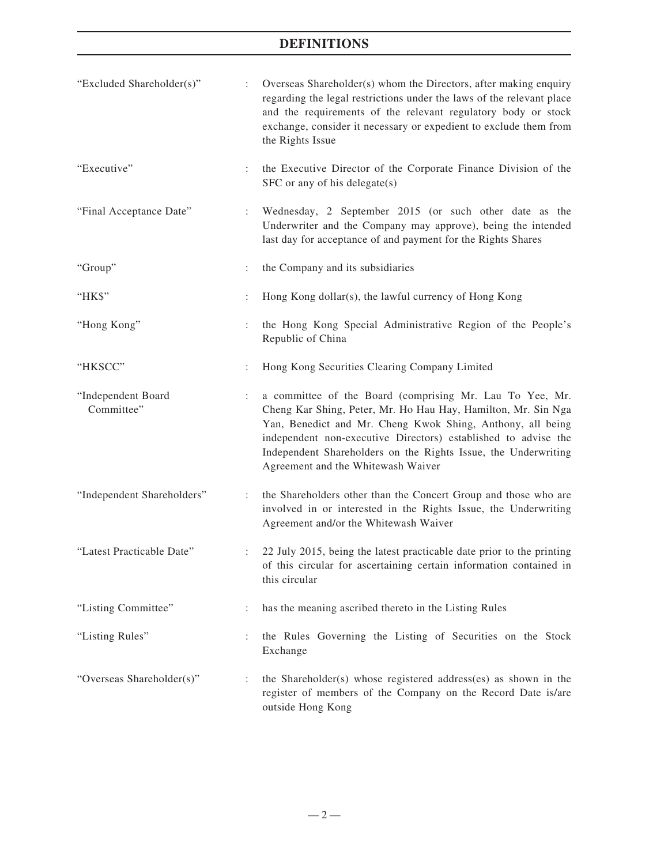| "Excluded Shareholder(s)"        |                      | Overseas Shareholder(s) whom the Directors, after making enquiry<br>regarding the legal restrictions under the laws of the relevant place<br>and the requirements of the relevant regulatory body or stock<br>exchange, consider it necessary or expedient to exclude them from<br>the Rights Issue                                                               |
|----------------------------------|----------------------|-------------------------------------------------------------------------------------------------------------------------------------------------------------------------------------------------------------------------------------------------------------------------------------------------------------------------------------------------------------------|
| "Executive"                      | ÷                    | the Executive Director of the Corporate Finance Division of the<br>SFC or any of his delegate(s)                                                                                                                                                                                                                                                                  |
| "Final Acceptance Date"          | ÷.                   | Wednesday, 2 September 2015 (or such other date as the<br>Underwriter and the Company may approve), being the intended<br>last day for acceptance of and payment for the Rights Shares                                                                                                                                                                            |
| "Group"                          | $\ddot{\phantom{a}}$ | the Company and its subsidiaries                                                                                                                                                                                                                                                                                                                                  |
| "HK\$"                           |                      | Hong Kong dollar(s), the lawful currency of Hong Kong                                                                                                                                                                                                                                                                                                             |
| "Hong Kong"                      | ÷                    | the Hong Kong Special Administrative Region of the People's<br>Republic of China                                                                                                                                                                                                                                                                                  |
| "HKSCC"                          | $\ddot{\phantom{a}}$ | Hong Kong Securities Clearing Company Limited                                                                                                                                                                                                                                                                                                                     |
| "Independent Board<br>Committee" | ÷                    | a committee of the Board (comprising Mr. Lau To Yee, Mr.<br>Cheng Kar Shing, Peter, Mr. Ho Hau Hay, Hamilton, Mr. Sin Nga<br>Yan, Benedict and Mr. Cheng Kwok Shing, Anthony, all being<br>independent non-executive Directors) established to advise the<br>Independent Shareholders on the Rights Issue, the Underwriting<br>Agreement and the Whitewash Waiver |
| "Independent Shareholders"       |                      | the Shareholders other than the Concert Group and those who are<br>involved in or interested in the Rights Issue, the Underwriting<br>Agreement and/or the Whitewash Waiver                                                                                                                                                                                       |
| "Latest Practicable Date"        |                      | 22 July 2015, being the latest practicable date prior to the printing<br>of this circular for ascertaining certain information contained in<br>this circular                                                                                                                                                                                                      |
| "Listing Committee"              | $\ddot{\phantom{a}}$ | has the meaning ascribed thereto in the Listing Rules                                                                                                                                                                                                                                                                                                             |
| "Listing Rules"                  |                      | the Rules Governing the Listing of Securities on the Stock<br>Exchange                                                                                                                                                                                                                                                                                            |
| "Overseas Shareholder(s)"        | ÷                    | the Shareholder(s) whose registered address(es) as shown in the<br>register of members of the Company on the Record Date is/are<br>outside Hong Kong                                                                                                                                                                                                              |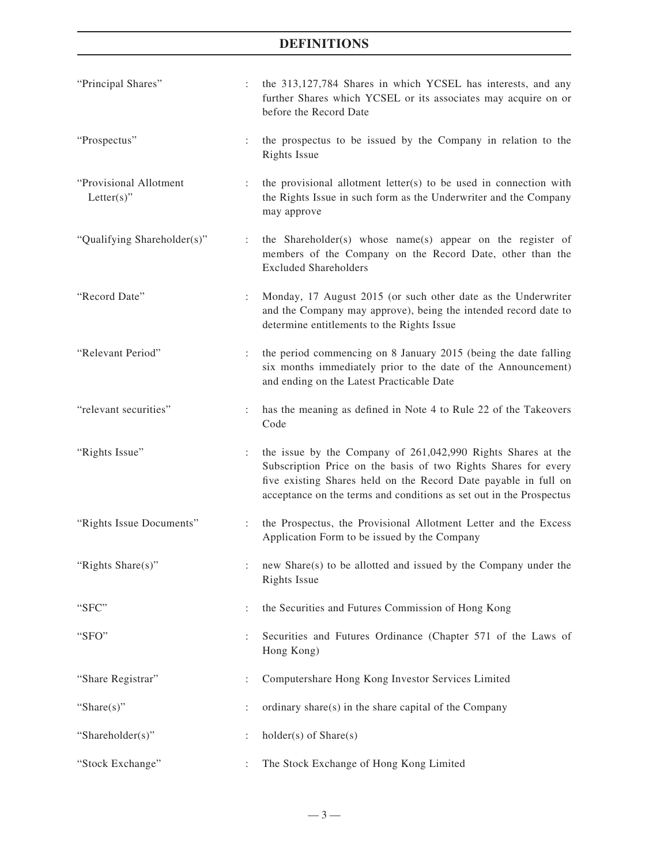| "Principal Shares"                       | $\ddot{\phantom{0}}$ | the 313,127,784 Shares in which YCSEL has interests, and any<br>further Shares which YCSEL or its associates may acquire on or<br>before the Record Date                                                                                                                 |
|------------------------------------------|----------------------|--------------------------------------------------------------------------------------------------------------------------------------------------------------------------------------------------------------------------------------------------------------------------|
| "Prospectus"                             | $\ddot{\cdot}$       | the prospectus to be issued by the Company in relation to the<br><b>Rights Issue</b>                                                                                                                                                                                     |
| "Provisional Allotment<br>Letter $(s)$ " |                      | the provisional allotment letter(s) to be used in connection with<br>the Rights Issue in such form as the Underwriter and the Company<br>may approve                                                                                                                     |
| "Qualifying Shareholder(s)"              | $\ddot{\phantom{a}}$ | the Shareholder(s) whose name(s) appear on the register of<br>members of the Company on the Record Date, other than the<br><b>Excluded Shareholders</b>                                                                                                                  |
| "Record Date"                            | ÷                    | Monday, 17 August 2015 (or such other date as the Underwriter<br>and the Company may approve), being the intended record date to<br>determine entitlements to the Rights Issue                                                                                           |
| "Relevant Period"                        | $\ddot{\phantom{a}}$ | the period commencing on 8 January 2015 (being the date falling<br>six months immediately prior to the date of the Announcement)<br>and ending on the Latest Practicable Date                                                                                            |
| "relevant securities"                    | ÷.                   | has the meaning as defined in Note 4 to Rule 22 of the Takeovers<br>Code                                                                                                                                                                                                 |
| "Rights Issue"                           | $\ddot{\phantom{a}}$ | the issue by the Company of 261,042,990 Rights Shares at the<br>Subscription Price on the basis of two Rights Shares for every<br>five existing Shares held on the Record Date payable in full on<br>acceptance on the terms and conditions as set out in the Prospectus |
| "Rights Issue Documents"                 | ÷                    | the Prospectus, the Provisional Allotment Letter and the Excess<br>Application Form to be issued by the Company                                                                                                                                                          |
| "Rights Share(s)"                        |                      | new Share(s) to be allotted and issued by the Company under the<br><b>Rights Issue</b>                                                                                                                                                                                   |
| "SFC"                                    | $\ddot{\phantom{a}}$ | the Securities and Futures Commission of Hong Kong                                                                                                                                                                                                                       |
| "SFO"                                    | $\ddot{\phantom{a}}$ | Securities and Futures Ordinance (Chapter 571 of the Laws of<br>Hong Kong)                                                                                                                                                                                               |
| "Share Registrar"                        |                      | Computershare Hong Kong Investor Services Limited                                                                                                                                                                                                                        |
| "Share $(s)$ "                           |                      | ordinary share(s) in the share capital of the Company                                                                                                                                                                                                                    |
| "Shareholder(s)"                         |                      | $holder(s)$ of $Share(s)$                                                                                                                                                                                                                                                |
| "Stock Exchange"                         |                      | The Stock Exchange of Hong Kong Limited                                                                                                                                                                                                                                  |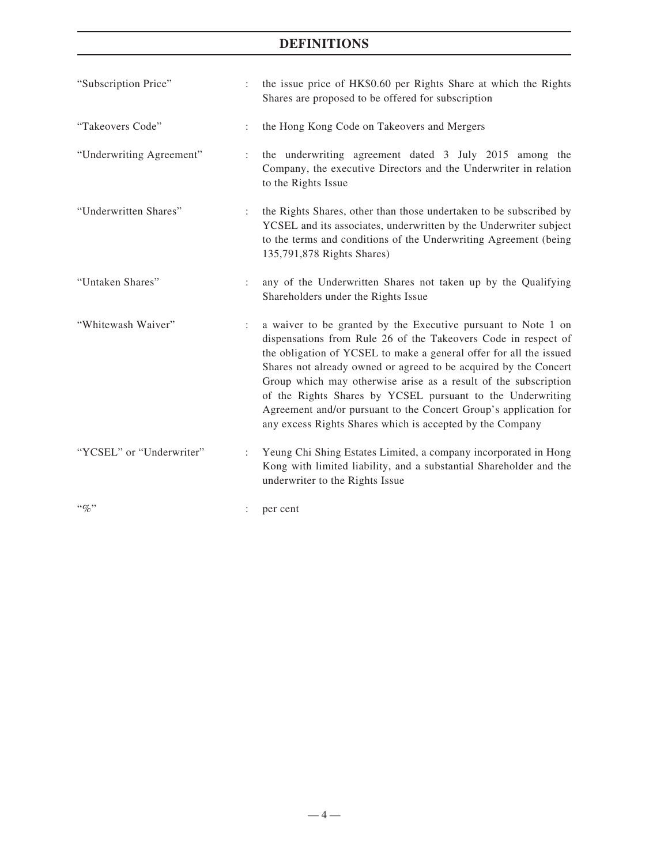| "Subscription Price"     | $\ddot{\phantom{a}}$ | the issue price of HK\$0.60 per Rights Share at which the Rights<br>Shares are proposed to be offered for subscription                                                                                                                                                                                                                                                                                                                                                                                                                      |
|--------------------------|----------------------|---------------------------------------------------------------------------------------------------------------------------------------------------------------------------------------------------------------------------------------------------------------------------------------------------------------------------------------------------------------------------------------------------------------------------------------------------------------------------------------------------------------------------------------------|
| "Takeovers Code"         |                      | the Hong Kong Code on Takeovers and Mergers                                                                                                                                                                                                                                                                                                                                                                                                                                                                                                 |
| "Underwriting Agreement" | $\ddot{\cdot}$       | the underwriting agreement dated 3 July 2015 among the<br>Company, the executive Directors and the Underwriter in relation<br>to the Rights Issue                                                                                                                                                                                                                                                                                                                                                                                           |
| "Underwritten Shares"    | ÷                    | the Rights Shares, other than those undertaken to be subscribed by<br>YCSEL and its associates, underwritten by the Underwriter subject<br>to the terms and conditions of the Underwriting Agreement (being<br>135,791,878 Rights Shares)                                                                                                                                                                                                                                                                                                   |
| "Untaken Shares"         | $\ddot{\phantom{a}}$ | any of the Underwritten Shares not taken up by the Qualifying<br>Shareholders under the Rights Issue                                                                                                                                                                                                                                                                                                                                                                                                                                        |
| "Whitewash Waiver"       | ÷                    | a waiver to be granted by the Executive pursuant to Note 1 on<br>dispensations from Rule 26 of the Takeovers Code in respect of<br>the obligation of YCSEL to make a general offer for all the issued<br>Shares not already owned or agreed to be acquired by the Concert<br>Group which may otherwise arise as a result of the subscription<br>of the Rights Shares by YCSEL pursuant to the Underwriting<br>Agreement and/or pursuant to the Concert Group's application for<br>any excess Rights Shares which is accepted by the Company |
| "YCSEL" or "Underwriter" |                      | Yeung Chi Shing Estates Limited, a company incorporated in Hong<br>Kong with limited liability, and a substantial Shareholder and the<br>underwriter to the Rights Issue                                                                                                                                                                                                                                                                                                                                                                    |
| $``\%"$                  |                      | per cent                                                                                                                                                                                                                                                                                                                                                                                                                                                                                                                                    |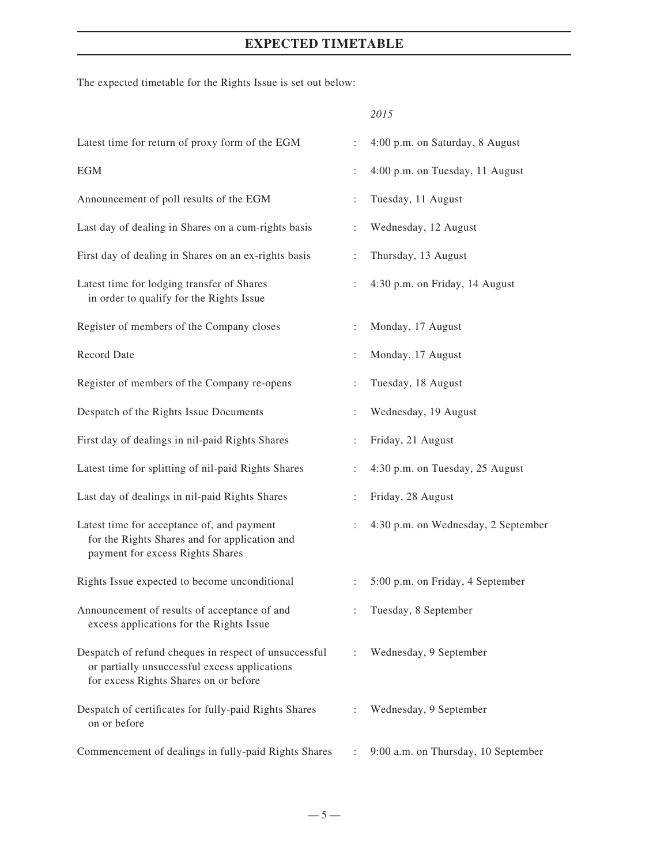## **EXPECTED TIMETABLE**

The expected timetable for the Rights Issue is set out below:

## *2015*

| Latest time for return of proxy form of the EGM                                                                                                 | $\ddot{\cdot}$       | 4:00 p.m. on Saturday, 8 August     |
|-------------------------------------------------------------------------------------------------------------------------------------------------|----------------------|-------------------------------------|
| <b>EGM</b>                                                                                                                                      | $\ddot{\cdot}$       | 4:00 p.m. on Tuesday, 11 August     |
| Announcement of poll results of the EGM                                                                                                         | $\ddot{\cdot}$       | Tuesday, 11 August                  |
| Last day of dealing in Shares on a cum-rights basis                                                                                             | $\ddot{\cdot}$       | Wednesday, 12 August                |
| First day of dealing in Shares on an ex-rights basis                                                                                            | $\vdots$             | Thursday, 13 August                 |
| Latest time for lodging transfer of Shares<br>in order to qualify for the Rights Issue                                                          | $\ddot{\phantom{a}}$ | 4:30 p.m. on Friday, 14 August      |
| Register of members of the Company closes                                                                                                       | $\ddot{\cdot}$       | Monday, 17 August                   |
| Record Date                                                                                                                                     | $\ddot{\cdot}$       | Monday, 17 August                   |
| Register of members of the Company re-opens                                                                                                     | $\ddot{\cdot}$       | Tuesday, 18 August                  |
| Despatch of the Rights Issue Documents                                                                                                          | $\vdots$             | Wednesday, 19 August                |
| First day of dealings in nil-paid Rights Shares                                                                                                 | $\ddot{\phantom{a}}$ | Friday, 21 August                   |
| Latest time for splitting of nil-paid Rights Shares                                                                                             | $\ddot{\cdot}$       | 4:30 p.m. on Tuesday, 25 August     |
| Last day of dealings in nil-paid Rights Shares                                                                                                  | $\ddot{\cdot}$       | Friday, 28 August                   |
| Latest time for acceptance of, and payment<br>for the Rights Shares and for application and<br>payment for excess Rights Shares                 | $\ddot{\cdot}$       | 4:30 p.m. on Wednesday, 2 September |
| Rights Issue expected to become unconditional                                                                                                   | $\ddot{\phantom{a}}$ | 5:00 p.m. on Friday, 4 September    |
| Announcement of results of acceptance of and<br>excess applications for the Rights Issue                                                        |                      | Tuesday, 8 September                |
| Despatch of refund cheques in respect of unsuccessful<br>or partially unsuccessful excess applications<br>for excess Rights Shares on or before | $\ddot{\phantom{a}}$ | Wednesday, 9 September              |
| Despatch of certificates for fully-paid Rights Shares<br>on or before                                                                           | $\ddot{\cdot}$       | Wednesday, 9 September              |
| Commencement of dealings in fully-paid Rights Shares                                                                                            | $\ddot{\phantom{a}}$ | 9:00 a.m. on Thursday, 10 September |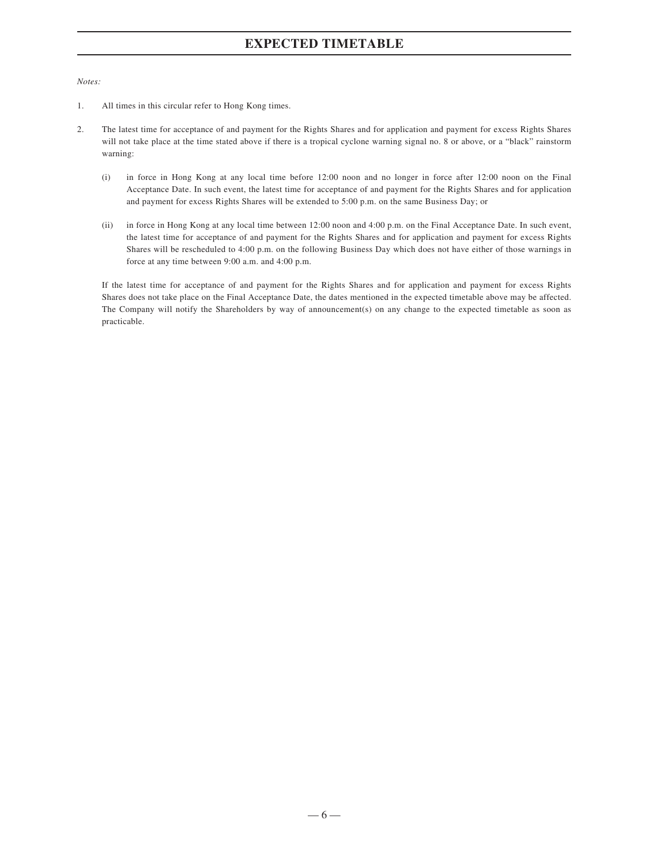## **EXPECTED TIMETABLE**

*Notes:*

- 1. All times in this circular refer to Hong Kong times.
- 2. The latest time for acceptance of and payment for the Rights Shares and for application and payment for excess Rights Shares will not take place at the time stated above if there is a tropical cyclone warning signal no. 8 or above, or a "black" rainstorm warning:
	- (i) in force in Hong Kong at any local time before 12:00 noon and no longer in force after 12:00 noon on the Final Acceptance Date. In such event, the latest time for acceptance of and payment for the Rights Shares and for application and payment for excess Rights Shares will be extended to 5:00 p.m. on the same Business Day; or
	- (ii) in force in Hong Kong at any local time between 12:00 noon and 4:00 p.m. on the Final Acceptance Date. In such event, the latest time for acceptance of and payment for the Rights Shares and for application and payment for excess Rights Shares will be rescheduled to 4:00 p.m. on the following Business Day which does not have either of those warnings in force at any time between 9:00 a.m. and 4:00 p.m.

If the latest time for acceptance of and payment for the Rights Shares and for application and payment for excess Rights Shares does not take place on the Final Acceptance Date, the dates mentioned in the expected timetable above may be affected. The Company will notify the Shareholders by way of announcement(s) on any change to the expected timetable as soon as practicable.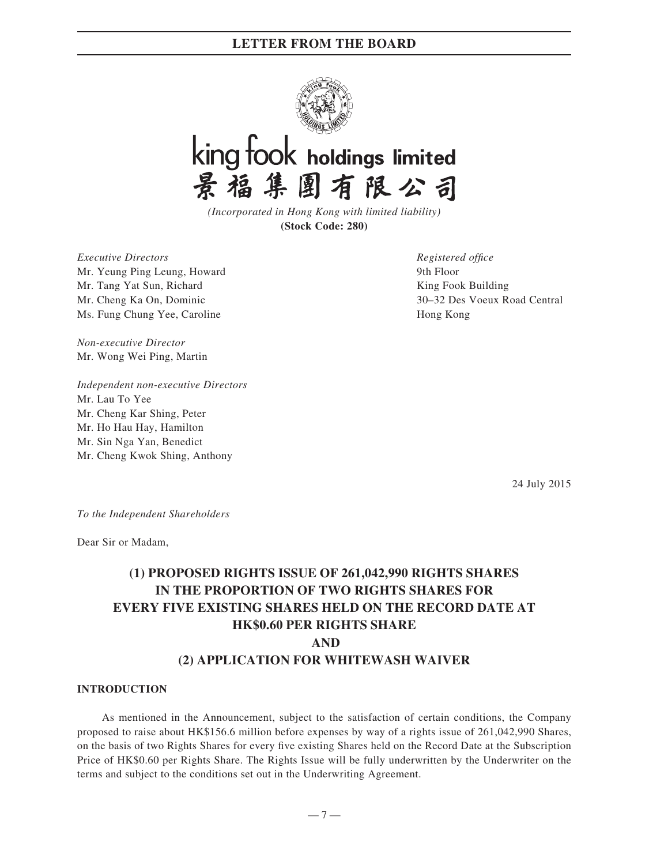

# king fook holdings limited 景福集團有限公司

*(Incorporated in Hong Kong with limited liability)* **(Stock Code: 280)**

*Executive Directors* Mr. Yeung Ping Leung, Howard Mr. Tang Yat Sun, Richard Mr. Cheng Ka On, Dominic Ms. Fung Chung Yee, Caroline

*Registered office* 9th Floor King Fook Building 30–32 Des Voeux Road Central Hong Kong

*Non-executive Director* Mr. Wong Wei Ping, Martin

*Independent non-executive Directors* Mr. Lau To Yee Mr. Cheng Kar Shing, Peter Mr. Ho Hau Hay, Hamilton Mr. Sin Nga Yan, Benedict Mr. Cheng Kwok Shing, Anthony

24 July 2015

*To the Independent Shareholders*

Dear Sir or Madam,

## **(1) PROPOSED RIGHTS ISSUE OF 261,042,990 RIGHTS SHARES IN THE PROPORTION OF TWO RIGHTS SHARES FOR EVERY FIVE EXISTING SHARES HELD ON THE RECORD DATE AT HK\$0.60 PER RIGHTS SHARE AND (2) APPLICATION FOR WHITEWASH WAIVER**

#### **INTRODUCTION**

As mentioned in the Announcement, subject to the satisfaction of certain conditions, the Company proposed to raise about HK\$156.6 million before expenses by way of a rights issue of 261,042,990 Shares, on the basis of two Rights Shares for every five existing Shares held on the Record Date at the Subscription Price of HK\$0.60 per Rights Share. The Rights Issue will be fully underwritten by the Underwriter on the terms and subject to the conditions set out in the Underwriting Agreement.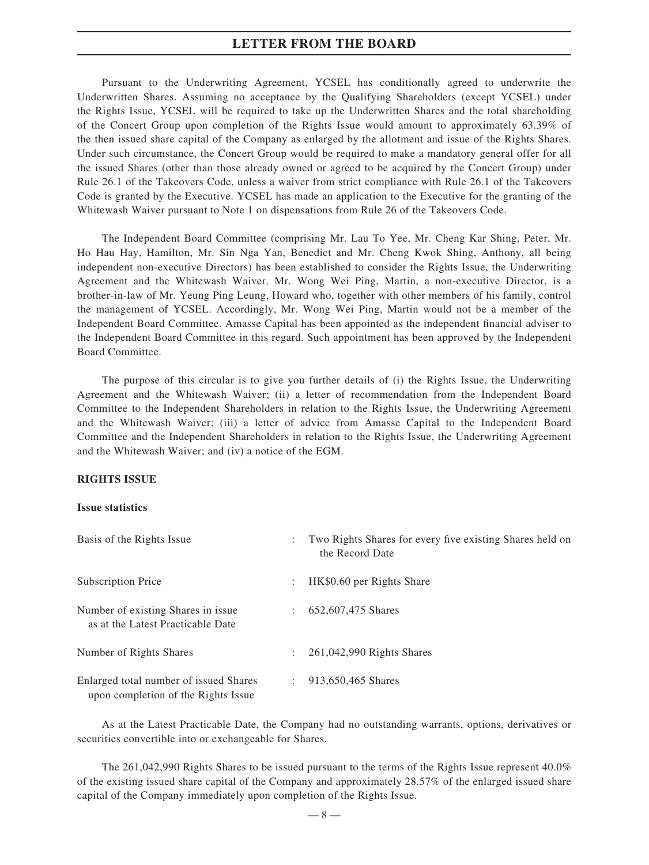Pursuant to the Underwriting Agreement, YCSEL has conditionally agreed to underwrite the Underwritten Shares. Assuming no acceptance by the Qualifying Shareholders (except YCSEL) under the Rights Issue, YCSEL will be required to take up the Underwritten Shares and the total shareholding of the Concert Group upon completion of the Rights Issue would amount to approximately 63.39% of the then issued share capital of the Company as enlarged by the allotment and issue of the Rights Shares. Under such circumstance, the Concert Group would be required to make a mandatory general offer for all the issued Shares (other than those already owned or agreed to be acquired by the Concert Group) under Rule 26.1 of the Takeovers Code, unless a waiver from strict compliance with Rule 26.1 of the Takeovers Code is granted by the Executive. YCSEL has made an application to the Executive for the granting of the Whitewash Waiver pursuant to Note 1 on dispensations from Rule 26 of the Takeovers Code.

The Independent Board Committee (comprising Mr. Lau To Yee, Mr. Cheng Kar Shing, Peter, Mr. Ho Hau Hay, Hamilton, Mr. Sin Nga Yan, Benedict and Mr. Cheng Kwok Shing, Anthony, all being independent non-executive Directors) has been established to consider the Rights Issue, the Underwriting Agreement and the Whitewash Waiver. Mr. Wong Wei Ping, Martin, a non-executive Director, is a brother-in-law of Mr. Yeung Ping Leung, Howard who, together with other members of his family, control the management of YCSEL. Accordingly, Mr. Wong Wei Ping, Martin would not be a member of the Independent Board Committee. Amasse Capital has been appointed as the independent financial adviser to the Independent Board Committee in this regard. Such appointment has been approved by the Independent Board Committee.

The purpose of this circular is to give you further details of (i) the Rights Issue, the Underwriting Agreement and the Whitewash Waiver; (ii) a letter of recommendation from the Independent Board Committee to the Independent Shareholders in relation to the Rights Issue, the Underwriting Agreement and the Whitewash Waiver; (iii) a letter of advice from Amasse Capital to the Independent Board Committee and the Independent Shareholders in relation to the Rights Issue, the Underwriting Agreement and the Whitewash Waiver; and (iv) a notice of the EGM.

#### **RIGHTS ISSUE**

#### **Issue statistics**

| Basis of the Rights Issue                                                     |                           | Two Rights Shares for every five existing Shares held on<br>the Record Date |
|-------------------------------------------------------------------------------|---------------------------|-----------------------------------------------------------------------------|
| Subscription Price                                                            | $\ddot{\phantom{a}}$      | HK\$0.60 per Rights Share                                                   |
| Number of existing Shares in issue.<br>as at the Latest Practicable Date      | $\mathbb{Z}^{\mathbb{Z}}$ | 652,607,475 Shares                                                          |
| Number of Rights Shares                                                       | $\mathbb{Z}^{\mathbb{Z}}$ | 261,042,990 Rights Shares                                                   |
| Enlarged total number of issued Shares<br>upon completion of the Rights Issue | $\mathbb{Z}$              | 913,650,465 Shares                                                          |

As at the Latest Practicable Date, the Company had no outstanding warrants, options, derivatives or securities convertible into or exchangeable for Shares.

The 261,042,990 Rights Shares to be issued pursuant to the terms of the Rights Issue represent 40.0% of the existing issued share capital of the Company and approximately 28.57% of the enlarged issued share capital of the Company immediately upon completion of the Rights Issue.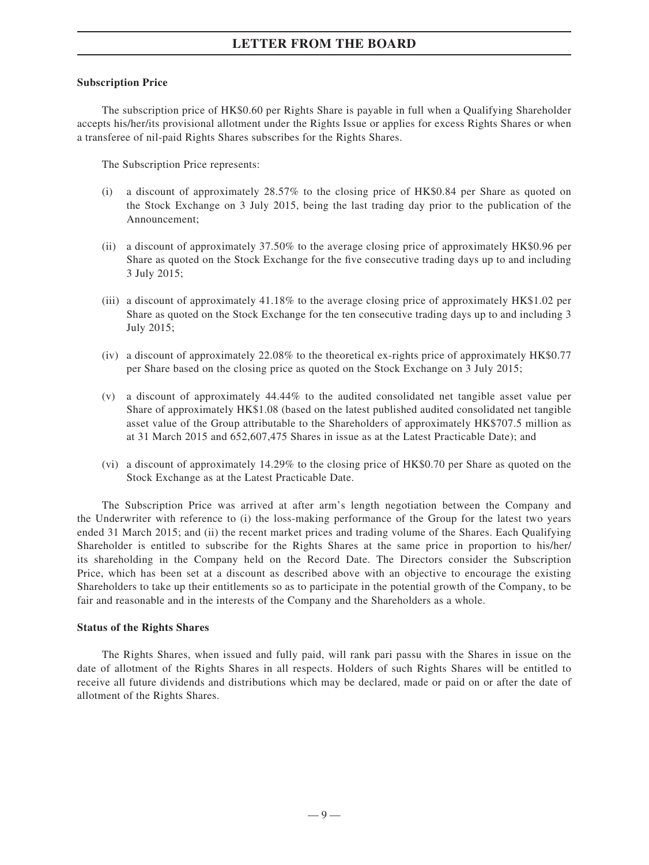#### **Subscription Price**

The subscription price of HK\$0.60 per Rights Share is payable in full when a Qualifying Shareholder accepts his/her/its provisional allotment under the Rights Issue or applies for excess Rights Shares or when a transferee of nil-paid Rights Shares subscribes for the Rights Shares.

The Subscription Price represents:

- (i) a discount of approximately 28.57% to the closing price of HK\$0.84 per Share as quoted on the Stock Exchange on 3 July 2015, being the last trading day prior to the publication of the Announcement;
- (ii) a discount of approximately 37.50% to the average closing price of approximately HK\$0.96 per Share as quoted on the Stock Exchange for the five consecutive trading days up to and including 3 July 2015;
- (iii) a discount of approximately 41.18% to the average closing price of approximately HK\$1.02 per Share as quoted on the Stock Exchange for the ten consecutive trading days up to and including 3 July 2015;
- (iv) a discount of approximately 22.08% to the theoretical ex-rights price of approximately HK\$0.77 per Share based on the closing price as quoted on the Stock Exchange on 3 July 2015;
- (v) a discount of approximately 44.44% to the audited consolidated net tangible asset value per Share of approximately HK\$1.08 (based on the latest published audited consolidated net tangible asset value of the Group attributable to the Shareholders of approximately HK\$707.5 million as at 31 March 2015 and 652,607,475 Shares in issue as at the Latest Practicable Date); and
- (vi) a discount of approximately 14.29% to the closing price of HK\$0.70 per Share as quoted on the Stock Exchange as at the Latest Practicable Date.

The Subscription Price was arrived at after arm's length negotiation between the Company and the Underwriter with reference to (i) the loss-making performance of the Group for the latest two years ended 31 March 2015; and (ii) the recent market prices and trading volume of the Shares. Each Qualifying Shareholder is entitled to subscribe for the Rights Shares at the same price in proportion to his/her/ its shareholding in the Company held on the Record Date. The Directors consider the Subscription Price, which has been set at a discount as described above with an objective to encourage the existing Shareholders to take up their entitlements so as to participate in the potential growth of the Company, to be fair and reasonable and in the interests of the Company and the Shareholders as a whole.

### **Status of the Rights Shares**

The Rights Shares, when issued and fully paid, will rank pari passu with the Shares in issue on the date of allotment of the Rights Shares in all respects. Holders of such Rights Shares will be entitled to receive all future dividends and distributions which may be declared, made or paid on or after the date of allotment of the Rights Shares.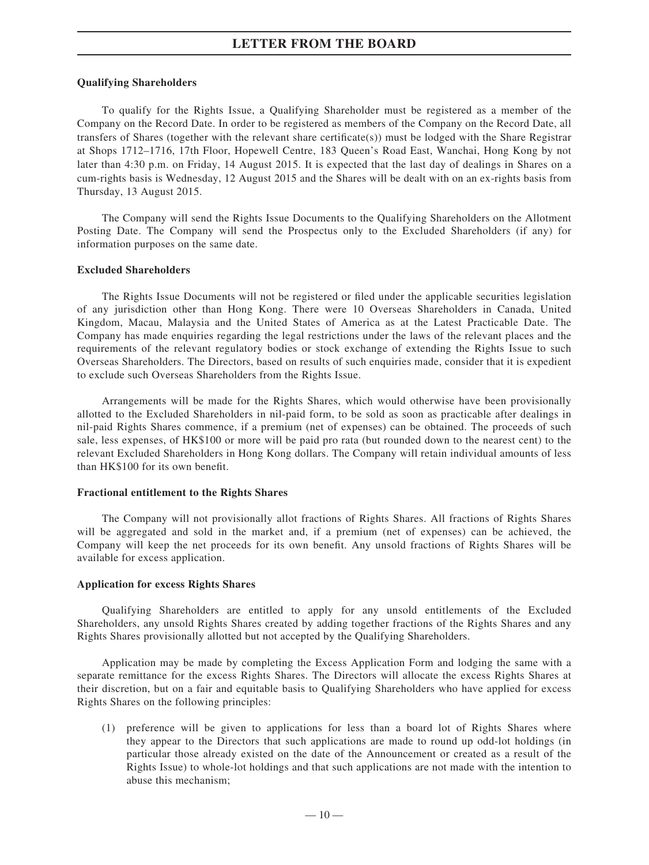#### **Qualifying Shareholders**

To qualify for the Rights Issue, a Qualifying Shareholder must be registered as a member of the Company on the Record Date. In order to be registered as members of the Company on the Record Date, all transfers of Shares (together with the relevant share certificate(s)) must be lodged with the Share Registrar at Shops 1712–1716, 17th Floor, Hopewell Centre, 183 Queen's Road East, Wanchai, Hong Kong by not later than 4:30 p.m. on Friday, 14 August 2015. It is expected that the last day of dealings in Shares on a cum-rights basis is Wednesday, 12 August 2015 and the Shares will be dealt with on an ex-rights basis from Thursday, 13 August 2015.

The Company will send the Rights Issue Documents to the Qualifying Shareholders on the Allotment Posting Date. The Company will send the Prospectus only to the Excluded Shareholders (if any) for information purposes on the same date.

#### **Excluded Shareholders**

The Rights Issue Documents will not be registered or filed under the applicable securities legislation of any jurisdiction other than Hong Kong. There were 10 Overseas Shareholders in Canada, United Kingdom, Macau, Malaysia and the United States of America as at the Latest Practicable Date. The Company has made enquiries regarding the legal restrictions under the laws of the relevant places and the requirements of the relevant regulatory bodies or stock exchange of extending the Rights Issue to such Overseas Shareholders. The Directors, based on results of such enquiries made, consider that it is expedient to exclude such Overseas Shareholders from the Rights Issue.

Arrangements will be made for the Rights Shares, which would otherwise have been provisionally allotted to the Excluded Shareholders in nil-paid form, to be sold as soon as practicable after dealings in nil-paid Rights Shares commence, if a premium (net of expenses) can be obtained. The proceeds of such sale, less expenses, of HK\$100 or more will be paid pro rata (but rounded down to the nearest cent) to the relevant Excluded Shareholders in Hong Kong dollars. The Company will retain individual amounts of less than HK\$100 for its own benefit.

#### **Fractional entitlement to the Rights Shares**

The Company will not provisionally allot fractions of Rights Shares. All fractions of Rights Shares will be aggregated and sold in the market and, if a premium (net of expenses) can be achieved, the Company will keep the net proceeds for its own benefit. Any unsold fractions of Rights Shares will be available for excess application.

#### **Application for excess Rights Shares**

Qualifying Shareholders are entitled to apply for any unsold entitlements of the Excluded Shareholders, any unsold Rights Shares created by adding together fractions of the Rights Shares and any Rights Shares provisionally allotted but not accepted by the Qualifying Shareholders.

Application may be made by completing the Excess Application Form and lodging the same with a separate remittance for the excess Rights Shares. The Directors will allocate the excess Rights Shares at their discretion, but on a fair and equitable basis to Qualifying Shareholders who have applied for excess Rights Shares on the following principles:

(1) preference will be given to applications for less than a board lot of Rights Shares where they appear to the Directors that such applications are made to round up odd-lot holdings (in particular those already existed on the date of the Announcement or created as a result of the Rights Issue) to whole-lot holdings and that such applications are not made with the intention to abuse this mechanism;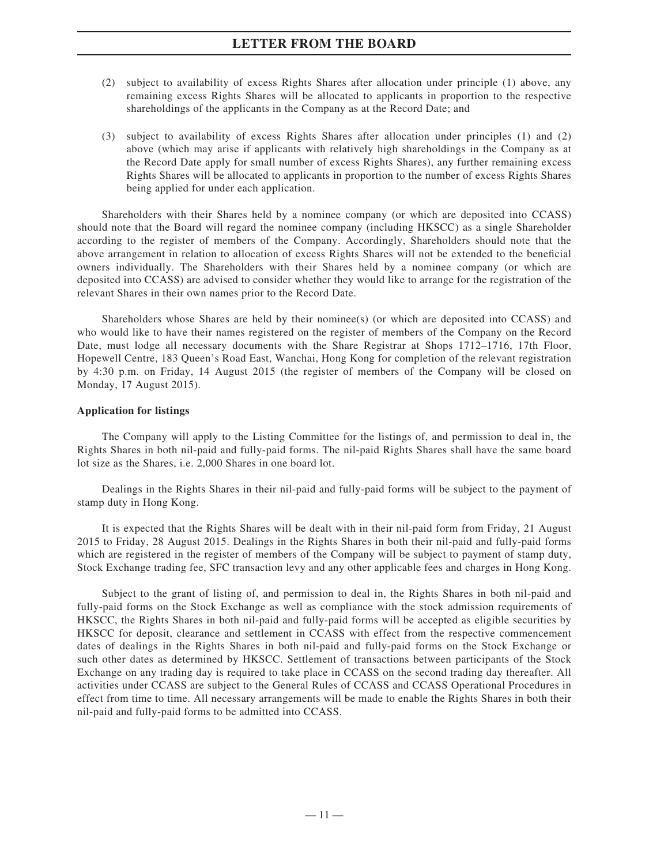- (2) subject to availability of excess Rights Shares after allocation under principle (1) above, any remaining excess Rights Shares will be allocated to applicants in proportion to the respective shareholdings of the applicants in the Company as at the Record Date; and
- (3) subject to availability of excess Rights Shares after allocation under principles (1) and (2) above (which may arise if applicants with relatively high shareholdings in the Company as at the Record Date apply for small number of excess Rights Shares), any further remaining excess Rights Shares will be allocated to applicants in proportion to the number of excess Rights Shares being applied for under each application.

Shareholders with their Shares held by a nominee company (or which are deposited into CCASS) should note that the Board will regard the nominee company (including HKSCC) as a single Shareholder according to the register of members of the Company. Accordingly, Shareholders should note that the above arrangement in relation to allocation of excess Rights Shares will not be extended to the beneficial owners individually. The Shareholders with their Shares held by a nominee company (or which are deposited into CCASS) are advised to consider whether they would like to arrange for the registration of the relevant Shares in their own names prior to the Record Date.

Shareholders whose Shares are held by their nominee(s) (or which are deposited into CCASS) and who would like to have their names registered on the register of members of the Company on the Record Date, must lodge all necessary documents with the Share Registrar at Shops 1712–1716, 17th Floor, Hopewell Centre, 183 Queen's Road East, Wanchai, Hong Kong for completion of the relevant registration by 4:30 p.m. on Friday, 14 August 2015 (the register of members of the Company will be closed on Monday, 17 August 2015).

### **Application for listings**

The Company will apply to the Listing Committee for the listings of, and permission to deal in, the Rights Shares in both nil-paid and fully-paid forms. The nil-paid Rights Shares shall have the same board lot size as the Shares, i.e. 2,000 Shares in one board lot.

Dealings in the Rights Shares in their nil-paid and fully-paid forms will be subject to the payment of stamp duty in Hong Kong.

It is expected that the Rights Shares will be dealt with in their nil-paid form from Friday, 21 August 2015 to Friday, 28 August 2015. Dealings in the Rights Shares in both their nil-paid and fully-paid forms which are registered in the register of members of the Company will be subject to payment of stamp duty, Stock Exchange trading fee, SFC transaction levy and any other applicable fees and charges in Hong Kong.

Subject to the grant of listing of, and permission to deal in, the Rights Shares in both nil-paid and fully-paid forms on the Stock Exchange as well as compliance with the stock admission requirements of HKSCC, the Rights Shares in both nil-paid and fully-paid forms will be accepted as eligible securities by HKSCC for deposit, clearance and settlement in CCASS with effect from the respective commencement dates of dealings in the Rights Shares in both nil-paid and fully-paid forms on the Stock Exchange or such other dates as determined by HKSCC. Settlement of transactions between participants of the Stock Exchange on any trading day is required to take place in CCASS on the second trading day thereafter. All activities under CCASS are subject to the General Rules of CCASS and CCASS Operational Procedures in effect from time to time. All necessary arrangements will be made to enable the Rights Shares in both their nil-paid and fully-paid forms to be admitted into CCASS.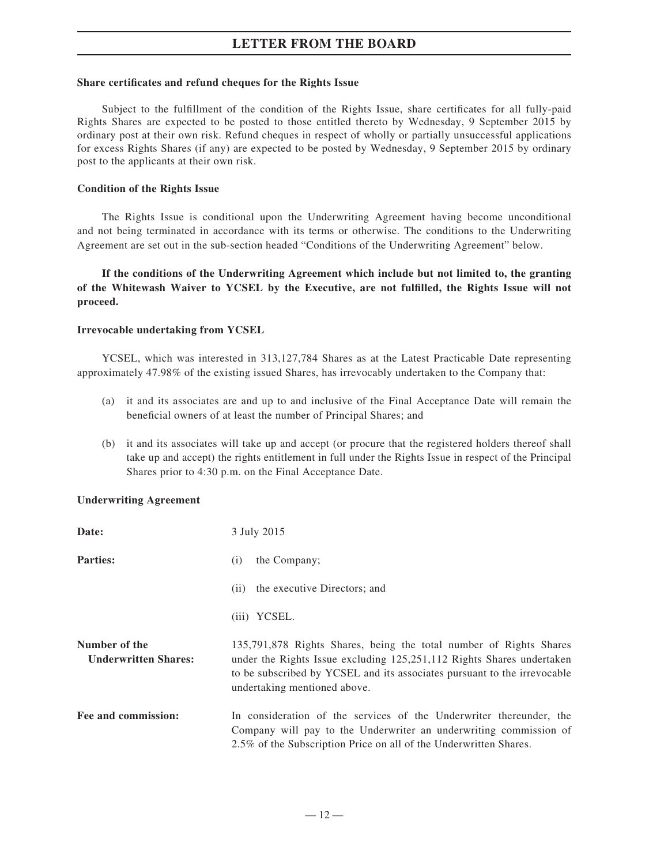#### **Share certificates and refund cheques for the Rights Issue**

Subject to the fulfillment of the condition of the Rights Issue, share certificates for all fully-paid Rights Shares are expected to be posted to those entitled thereto by Wednesday, 9 September 2015 by ordinary post at their own risk. Refund cheques in respect of wholly or partially unsuccessful applications for excess Rights Shares (if any) are expected to be posted by Wednesday, 9 September 2015 by ordinary post to the applicants at their own risk.

#### **Condition of the Rights Issue**

The Rights Issue is conditional upon the Underwriting Agreement having become unconditional and not being terminated in accordance with its terms or otherwise. The conditions to the Underwriting Agreement are set out in the sub-section headed "Conditions of the Underwriting Agreement" below.

**If the conditions of the Underwriting Agreement which include but not limited to, the granting**  of the Whitewash Waiver to YCSEL by the Executive, are not fulfilled, the Rights Issue will not **proceed.**

#### **Irrevocable undertaking from YCSEL**

YCSEL, which was interested in 313,127,784 Shares as at the Latest Practicable Date representing approximately 47.98% of the existing issued Shares, has irrevocably undertaken to the Company that:

- (a) it and its associates are and up to and inclusive of the Final Acceptance Date will remain the beneficial owners of at least the number of Principal Shares; and
- (b) it and its associates will take up and accept (or procure that the registered holders thereof shall take up and accept) the rights entitlement in full under the Rights Issue in respect of the Principal Shares prior to 4:30 p.m. on the Final Acceptance Date.

### **Underwriting Agreement**

| Date:                                        | 3 July 2015                                                                                                                                                                                                                                             |
|----------------------------------------------|---------------------------------------------------------------------------------------------------------------------------------------------------------------------------------------------------------------------------------------------------------|
| <b>Parties:</b>                              | the Company;<br>(i)                                                                                                                                                                                                                                     |
|                                              | the executive Directors; and<br>(i)                                                                                                                                                                                                                     |
|                                              | (iii) YCSEL.                                                                                                                                                                                                                                            |
| Number of the<br><b>Underwritten Shares:</b> | 135,791,878 Rights Shares, being the total number of Rights Shares<br>under the Rights Issue excluding 125,251,112 Rights Shares undertaken<br>to be subscribed by YCSEL and its associates pursuant to the irrevocable<br>undertaking mentioned above. |
| Fee and commission:                          | In consideration of the services of the Underwriter thereunder, the<br>Company will pay to the Underwriter an underwriting commission of<br>2.5% of the Subscription Price on all of the Underwritten Shares.                                           |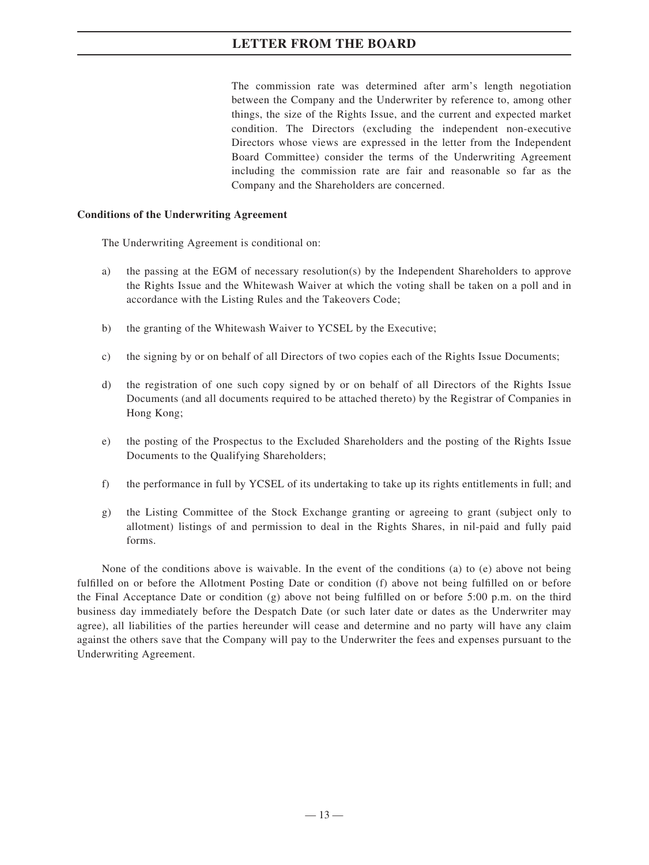The commission rate was determined after arm's length negotiation between the Company and the Underwriter by reference to, among other things, the size of the Rights Issue, and the current and expected market condition. The Directors (excluding the independent non-executive Directors whose views are expressed in the letter from the Independent Board Committee) consider the terms of the Underwriting Agreement including the commission rate are fair and reasonable so far as the Company and the Shareholders are concerned.

### **Conditions of the Underwriting Agreement**

The Underwriting Agreement is conditional on:

- a) the passing at the EGM of necessary resolution(s) by the Independent Shareholders to approve the Rights Issue and the Whitewash Waiver at which the voting shall be taken on a poll and in accordance with the Listing Rules and the Takeovers Code;
- b) the granting of the Whitewash Waiver to YCSEL by the Executive;
- c) the signing by or on behalf of all Directors of two copies each of the Rights Issue Documents;
- d) the registration of one such copy signed by or on behalf of all Directors of the Rights Issue Documents (and all documents required to be attached thereto) by the Registrar of Companies in Hong Kong;
- e) the posting of the Prospectus to the Excluded Shareholders and the posting of the Rights Issue Documents to the Qualifying Shareholders;
- f) the performance in full by YCSEL of its undertaking to take up its rights entitlements in full; and
- g) the Listing Committee of the Stock Exchange granting or agreeing to grant (subject only to allotment) listings of and permission to deal in the Rights Shares, in nil-paid and fully paid forms.

None of the conditions above is waivable. In the event of the conditions (a) to (e) above not being fulfilled on or before the Allotment Posting Date or condition (f) above not being fulfilled on or before the Final Acceptance Date or condition (g) above not being fulfilled on or before 5:00 p.m. on the third business day immediately before the Despatch Date (or such later date or dates as the Underwriter may agree), all liabilities of the parties hereunder will cease and determine and no party will have any claim against the others save that the Company will pay to the Underwriter the fees and expenses pursuant to the Underwriting Agreement.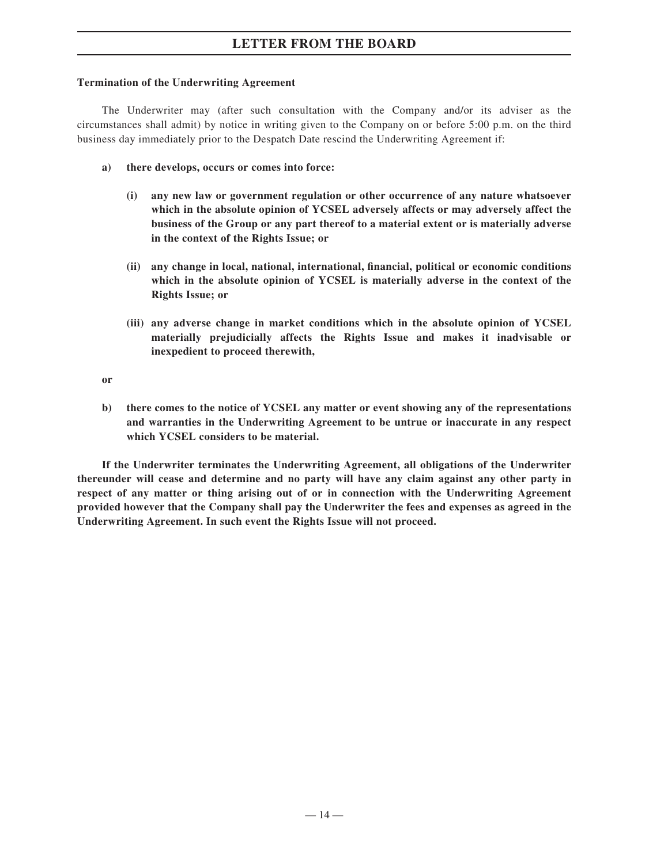### **Termination of the Underwriting Agreement**

The Underwriter may (after such consultation with the Company and/or its adviser as the circumstances shall admit) by notice in writing given to the Company on or before 5:00 p.m. on the third business day immediately prior to the Despatch Date rescind the Underwriting Agreement if:

- **a) there develops, occurs or comes into force:**
	- **(i) any new law or government regulation or other occurrence of any nature whatsoever which in the absolute opinion of YCSEL adversely affects or may adversely affect the business of the Group or any part thereof to a material extent or is materially adverse in the context of the Rights Issue; or**
	- (ii) any change in local, national, international, financial, political or economic conditions **which in the absolute opinion of YCSEL is materially adverse in the context of the Rights Issue; or**
	- **(iii) any adverse change in market conditions which in the absolute opinion of YCSEL materially prejudicially affects the Rights Issue and makes it inadvisable or inexpedient to proceed therewith,**

**or**

**b) there comes to the notice of YCSEL any matter or event showing any of the representations and warranties in the Underwriting Agreement to be untrue or inaccurate in any respect which YCSEL considers to be material.**

**If the Underwriter terminates the Underwriting Agreement, all obligations of the Underwriter thereunder will cease and determine and no party will have any claim against any other party in respect of any matter or thing arising out of or in connection with the Underwriting Agreement provided however that the Company shall pay the Underwriter the fees and expenses as agreed in the Underwriting Agreement. In such event the Rights Issue will not proceed.**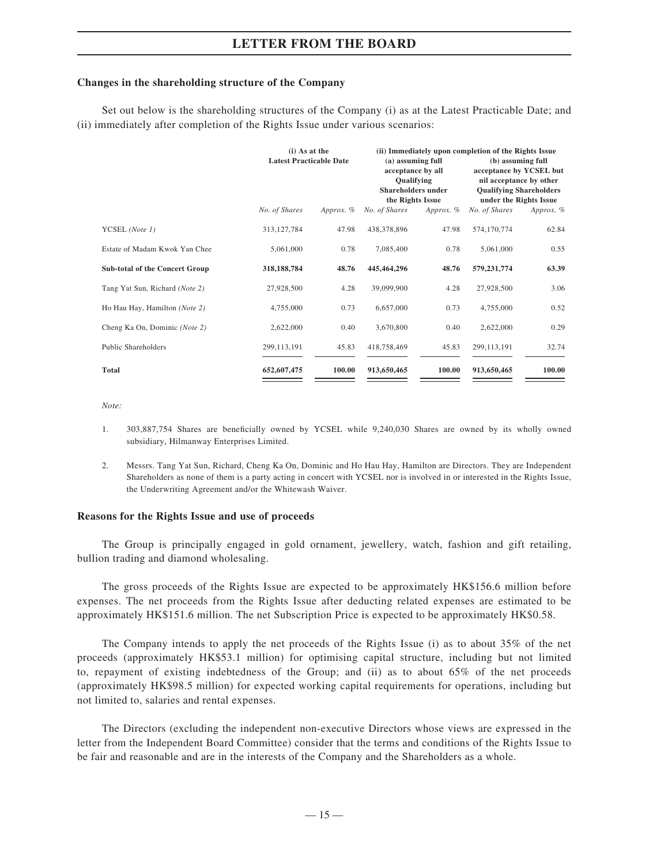#### **Changes in the shareholding structure of the Company**

Set out below is the shareholding structures of the Company (i) as at the Latest Practicable Date; and (ii) immediately after completion of the Rights Issue under various scenarios:

|                                       |               | $(i)$ As at the<br><b>Latest Practicable Date</b> |               | (a) assuming full<br>acceptance by all<br>Qualifying<br><b>Shareholders under</b><br>the Rights Issue | (ii) Immediately upon completion of the Rights Issue<br>(b) assuming full<br>acceptance by YCSEL but<br>nil acceptance by other<br><b>Qualifying Shareholders</b><br>under the Rights Issue |             |
|---------------------------------------|---------------|---------------------------------------------------|---------------|-------------------------------------------------------------------------------------------------------|---------------------------------------------------------------------------------------------------------------------------------------------------------------------------------------------|-------------|
|                                       | No. of Shares | Approx. $%$                                       | No. of Shares | Approx. %                                                                                             | No. of Shares                                                                                                                                                                               | Approx. $%$ |
| YCSEL (Note 1)                        | 313, 127, 784 | 47.98                                             | 438,378,896   | 47.98                                                                                                 | 574,170,774                                                                                                                                                                                 | 62.84       |
| Estate of Madam Kwok Yan Chee         | 5,061,000     | 0.78                                              | 7,085,400     | 0.78                                                                                                  | 5,061,000                                                                                                                                                                                   | 0.55        |
| <b>Sub-total of the Concert Group</b> | 318, 188, 784 | 48.76                                             | 445,464,296   | 48.76                                                                                                 | 579,231,774                                                                                                                                                                                 | 63.39       |
| Tang Yat Sun, Richard (Note 2)        | 27,928,500    | 4.28                                              | 39,099,900    | 4.28                                                                                                  | 27,928,500                                                                                                                                                                                  | 3.06        |
| Ho Hau Hay, Hamilton (Note 2)         | 4,755,000     | 0.73                                              | 6,657,000     | 0.73                                                                                                  | 4,755,000                                                                                                                                                                                   | 0.52        |
| Cheng Ka On, Dominic (Note 2)         | 2,622,000     | 0.40                                              | 3,670,800     | 0.40                                                                                                  | 2,622,000                                                                                                                                                                                   | 0.29        |
| Public Shareholders                   | 299, 113, 191 | 45.83                                             | 418,758,469   | 45.83                                                                                                 | 299, 113, 191                                                                                                                                                                               | 32.74       |
| <b>Total</b>                          | 652,607,475   | 100.00                                            | 913,650,465   | 100.00                                                                                                | 913,650,465                                                                                                                                                                                 | 100.00      |

*Note:*

- 1. 303,887,754 Shares are beneficially owned by YCSEL while 9,240,030 Shares are owned by its wholly owned subsidiary, Hilmanway Enterprises Limited.
- 2. Messrs. Tang Yat Sun, Richard, Cheng Ka On, Dominic and Ho Hau Hay, Hamilton are Directors. They are Independent Shareholders as none of them is a party acting in concert with YCSEL nor is involved in or interested in the Rights Issue, the Underwriting Agreement and/or the Whitewash Waiver.

#### **Reasons for the Rights Issue and use of proceeds**

The Group is principally engaged in gold ornament, jewellery, watch, fashion and gift retailing, bullion trading and diamond wholesaling.

The gross proceeds of the Rights Issue are expected to be approximately HK\$156.6 million before expenses. The net proceeds from the Rights Issue after deducting related expenses are estimated to be approximately HK\$151.6 million. The net Subscription Price is expected to be approximately HK\$0.58.

The Company intends to apply the net proceeds of the Rights Issue (i) as to about 35% of the net proceeds (approximately HK\$53.1 million) for optimising capital structure, including but not limited to, repayment of existing indebtedness of the Group; and (ii) as to about 65% of the net proceeds (approximately HK\$98.5 million) for expected working capital requirements for operations, including but not limited to, salaries and rental expenses.

The Directors (excluding the independent non-executive Directors whose views are expressed in the letter from the Independent Board Committee) consider that the terms and conditions of the Rights Issue to be fair and reasonable and are in the interests of the Company and the Shareholders as a whole.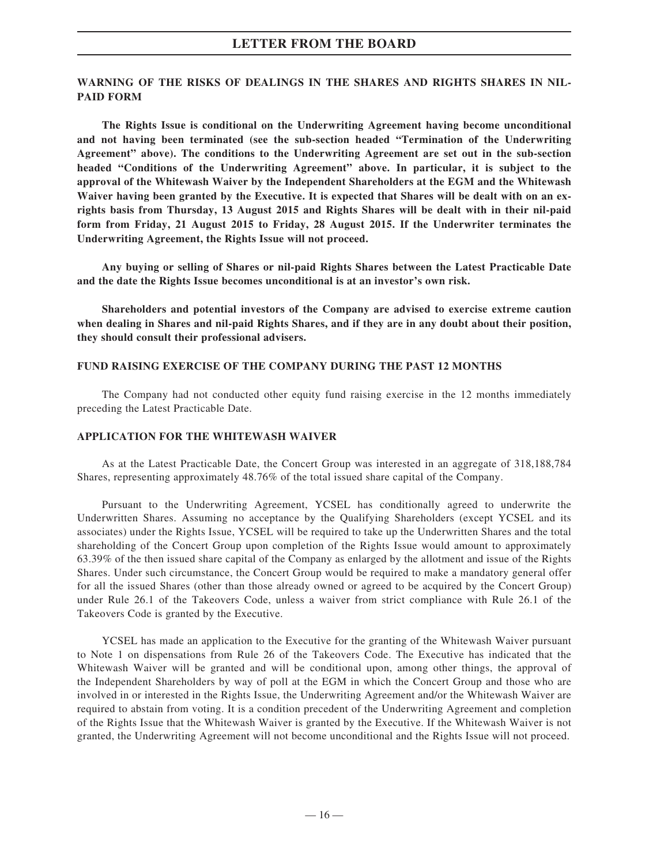### **WARNING OF THE RISKS OF DEALINGS IN THE SHARES AND RIGHTS SHARES IN NIL-PAID FORM**

**The Rights Issue is conditional on the Underwriting Agreement having become unconditional and not having been terminated (see the sub-section headed "Termination of the Underwriting Agreement" above). The conditions to the Underwriting Agreement are set out in the sub-section headed "Conditions of the Underwriting Agreement" above. In particular, it is subject to the approval of the Whitewash Waiver by the Independent Shareholders at the EGM and the Whitewash Waiver having been granted by the Executive. It is expected that Shares will be dealt with on an exrights basis from Thursday, 13 August 2015 and Rights Shares will be dealt with in their nil-paid form from Friday, 21 August 2015 to Friday, 28 August 2015. If the Underwriter terminates the Underwriting Agreement, the Rights Issue will not proceed.**

**Any buying or selling of Shares or nil-paid Rights Shares between the Latest Practicable Date and the date the Rights Issue becomes unconditional is at an investor's own risk.**

**Shareholders and potential investors of the Company are advised to exercise extreme caution when dealing in Shares and nil-paid Rights Shares, and if they are in any doubt about their position, they should consult their professional advisers.**

#### **FUND RAISING EXERCISE OF THE COMPANY DURING THE PAST 12 MONTHS**

The Company had not conducted other equity fund raising exercise in the 12 months immediately preceding the Latest Practicable Date.

#### **APPLICATION FOR THE WHITEWASH WAIVER**

As at the Latest Practicable Date, the Concert Group was interested in an aggregate of 318,188,784 Shares, representing approximately 48.76% of the total issued share capital of the Company.

Pursuant to the Underwriting Agreement, YCSEL has conditionally agreed to underwrite the Underwritten Shares. Assuming no acceptance by the Qualifying Shareholders (except YCSEL and its associates) under the Rights Issue, YCSEL will be required to take up the Underwritten Shares and the total shareholding of the Concert Group upon completion of the Rights Issue would amount to approximately 63.39% of the then issued share capital of the Company as enlarged by the allotment and issue of the Rights Shares. Under such circumstance, the Concert Group would be required to make a mandatory general offer for all the issued Shares (other than those already owned or agreed to be acquired by the Concert Group) under Rule 26.1 of the Takeovers Code, unless a waiver from strict compliance with Rule 26.1 of the Takeovers Code is granted by the Executive.

YCSEL has made an application to the Executive for the granting of the Whitewash Waiver pursuant to Note 1 on dispensations from Rule 26 of the Takeovers Code. The Executive has indicated that the Whitewash Waiver will be granted and will be conditional upon, among other things, the approval of the Independent Shareholders by way of poll at the EGM in which the Concert Group and those who are involved in or interested in the Rights Issue, the Underwriting Agreement and/or the Whitewash Waiver are required to abstain from voting. It is a condition precedent of the Underwriting Agreement and completion of the Rights Issue that the Whitewash Waiver is granted by the Executive. If the Whitewash Waiver is not granted, the Underwriting Agreement will not become unconditional and the Rights Issue will not proceed.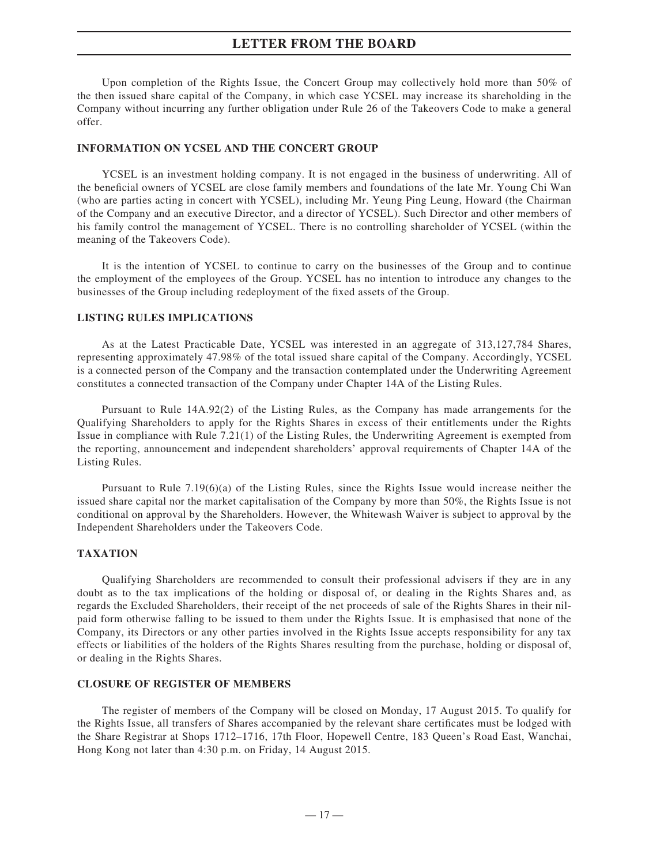Upon completion of the Rights Issue, the Concert Group may collectively hold more than 50% of the then issued share capital of the Company, in which case YCSEL may increase its shareholding in the Company without incurring any further obligation under Rule 26 of the Takeovers Code to make a general offer.

#### **INFORMATION ON YCSEL AND THE CONCERT GROUP**

YCSEL is an investment holding company. It is not engaged in the business of underwriting. All of the beneficial owners of YCSEL are close family members and foundations of the late Mr. Young Chi Wan (who are parties acting in concert with YCSEL), including Mr. Yeung Ping Leung, Howard (the Chairman of the Company and an executive Director, and a director of YCSEL). Such Director and other members of his family control the management of YCSEL. There is no controlling shareholder of YCSEL (within the meaning of the Takeovers Code).

It is the intention of YCSEL to continue to carry on the businesses of the Group and to continue the employment of the employees of the Group. YCSEL has no intention to introduce any changes to the businesses of the Group including redeployment of the fixed assets of the Group.

### **LISTING RULES IMPLICATIONS**

As at the Latest Practicable Date, YCSEL was interested in an aggregate of 313,127,784 Shares, representing approximately 47.98% of the total issued share capital of the Company. Accordingly, YCSEL is a connected person of the Company and the transaction contemplated under the Underwriting Agreement constitutes a connected transaction of the Company under Chapter 14A of the Listing Rules.

Pursuant to Rule 14A.92(2) of the Listing Rules, as the Company has made arrangements for the Qualifying Shareholders to apply for the Rights Shares in excess of their entitlements under the Rights Issue in compliance with Rule 7.21(1) of the Listing Rules, the Underwriting Agreement is exempted from the reporting, announcement and independent shareholders' approval requirements of Chapter 14A of the Listing Rules.

Pursuant to Rule 7.19(6)(a) of the Listing Rules, since the Rights Issue would increase neither the issued share capital nor the market capitalisation of the Company by more than 50%, the Rights Issue is not conditional on approval by the Shareholders. However, the Whitewash Waiver is subject to approval by the Independent Shareholders under the Takeovers Code.

#### **TAXATION**

Qualifying Shareholders are recommended to consult their professional advisers if they are in any doubt as to the tax implications of the holding or disposal of, or dealing in the Rights Shares and, as regards the Excluded Shareholders, their receipt of the net proceeds of sale of the Rights Shares in their nilpaid form otherwise falling to be issued to them under the Rights Issue. It is emphasised that none of the Company, its Directors or any other parties involved in the Rights Issue accepts responsibility for any tax effects or liabilities of the holders of the Rights Shares resulting from the purchase, holding or disposal of, or dealing in the Rights Shares.

#### **CLOSURE OF REGISTER OF MEMBERS**

The register of members of the Company will be closed on Monday, 17 August 2015. To qualify for the Rights Issue, all transfers of Shares accompanied by the relevant share certificates must be lodged with the Share Registrar at Shops 1712–1716, 17th Floor, Hopewell Centre, 183 Queen's Road East, Wanchai, Hong Kong not later than 4:30 p.m. on Friday, 14 August 2015.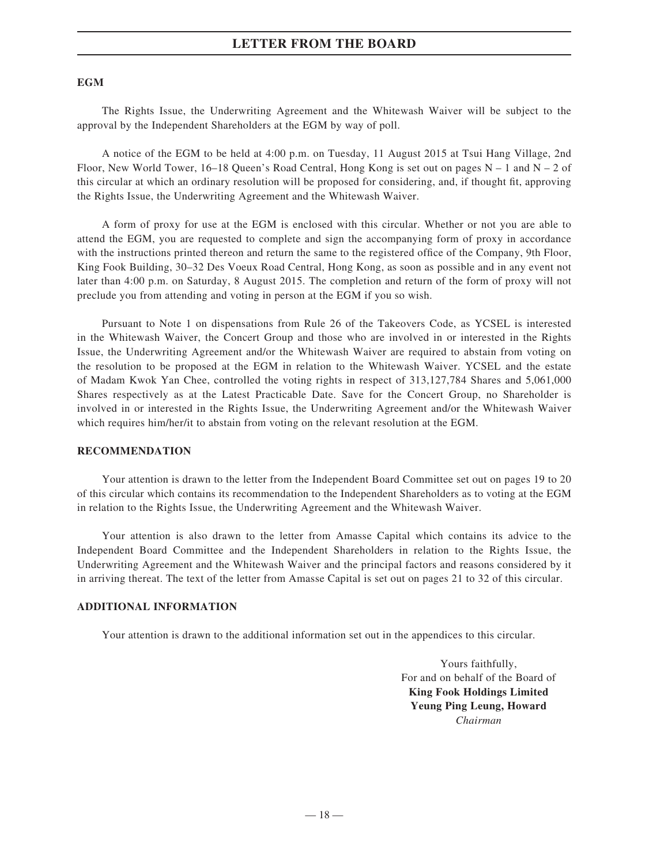#### **EGM**

The Rights Issue, the Underwriting Agreement and the Whitewash Waiver will be subject to the approval by the Independent Shareholders at the EGM by way of poll.

A notice of the EGM to be held at 4:00 p.m. on Tuesday, 11 August 2015 at Tsui Hang Village, 2nd Floor, New World Tower, 16–18 Queen's Road Central, Hong Kong is set out on pages  $N - 1$  and  $N - 2$  of this circular at which an ordinary resolution will be proposed for considering, and, if thought fit, approving the Rights Issue, the Underwriting Agreement and the Whitewash Waiver.

A form of proxy for use at the EGM is enclosed with this circular. Whether or not you are able to attend the EGM, you are requested to complete and sign the accompanying form of proxy in accordance with the instructions printed thereon and return the same to the registered office of the Company, 9th Floor, King Fook Building, 30–32 Des Voeux Road Central, Hong Kong, as soon as possible and in any event not later than 4:00 p.m. on Saturday, 8 August 2015. The completion and return of the form of proxy will not preclude you from attending and voting in person at the EGM if you so wish.

Pursuant to Note 1 on dispensations from Rule 26 of the Takeovers Code, as YCSEL is interested in the Whitewash Waiver, the Concert Group and those who are involved in or interested in the Rights Issue, the Underwriting Agreement and/or the Whitewash Waiver are required to abstain from voting on the resolution to be proposed at the EGM in relation to the Whitewash Waiver. YCSEL and the estate of Madam Kwok Yan Chee, controlled the voting rights in respect of 313,127,784 Shares and 5,061,000 Shares respectively as at the Latest Practicable Date. Save for the Concert Group, no Shareholder is involved in or interested in the Rights Issue, the Underwriting Agreement and/or the Whitewash Waiver which requires him/her/it to abstain from voting on the relevant resolution at the EGM.

#### **RECOMMENDATION**

Your attention is drawn to the letter from the Independent Board Committee set out on pages 19 to 20 of this circular which contains its recommendation to the Independent Shareholders as to voting at the EGM in relation to the Rights Issue, the Underwriting Agreement and the Whitewash Waiver.

Your attention is also drawn to the letter from Amasse Capital which contains its advice to the Independent Board Committee and the Independent Shareholders in relation to the Rights Issue, the Underwriting Agreement and the Whitewash Waiver and the principal factors and reasons considered by it in arriving thereat. The text of the letter from Amasse Capital is set out on pages 21 to 32 of this circular.

### **ADDITIONAL INFORMATION**

Your attention is drawn to the additional information set out in the appendices to this circular.

Yours faithfully, For and on behalf of the Board of **King Fook Holdings Limited Yeung Ping Leung, Howard** *Chairman*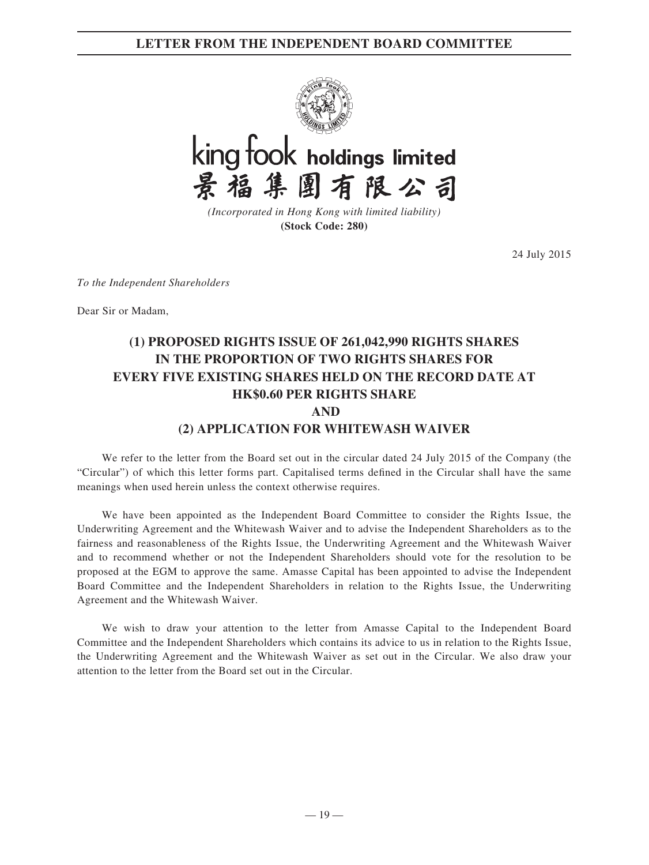## **LETTER FROM THE INDEPENDENT BOARD COMMITTEE**





*(Incorporated in Hong Kong with limited liability)* **(Stock Code: 280)**

24 July 2015

*To the Independent Shareholders*

Dear Sir or Madam,

## **(1) PROPOSED RIGHTS ISSUE OF 261,042,990 RIGHTS SHARES IN THE PROPORTION OF TWO RIGHTS SHARES FOR EVERY FIVE EXISTING SHARES HELD ON THE RECORD DATE AT HK\$0.60 PER RIGHTS SHARE AND (2) APPLICATION FOR WHITEWASH WAIVER**

We refer to the letter from the Board set out in the circular dated 24 July 2015 of the Company (the "Circular") of which this letter forms part. Capitalised terms defined in the Circular shall have the same meanings when used herein unless the context otherwise requires.

We have been appointed as the Independent Board Committee to consider the Rights Issue, the Underwriting Agreement and the Whitewash Waiver and to advise the Independent Shareholders as to the fairness and reasonableness of the Rights Issue, the Underwriting Agreement and the Whitewash Waiver and to recommend whether or not the Independent Shareholders should vote for the resolution to be proposed at the EGM to approve the same. Amasse Capital has been appointed to advise the Independent Board Committee and the Independent Shareholders in relation to the Rights Issue, the Underwriting Agreement and the Whitewash Waiver.

We wish to draw your attention to the letter from Amasse Capital to the Independent Board Committee and the Independent Shareholders which contains its advice to us in relation to the Rights Issue, the Underwriting Agreement and the Whitewash Waiver as set out in the Circular. We also draw your attention to the letter from the Board set out in the Circular.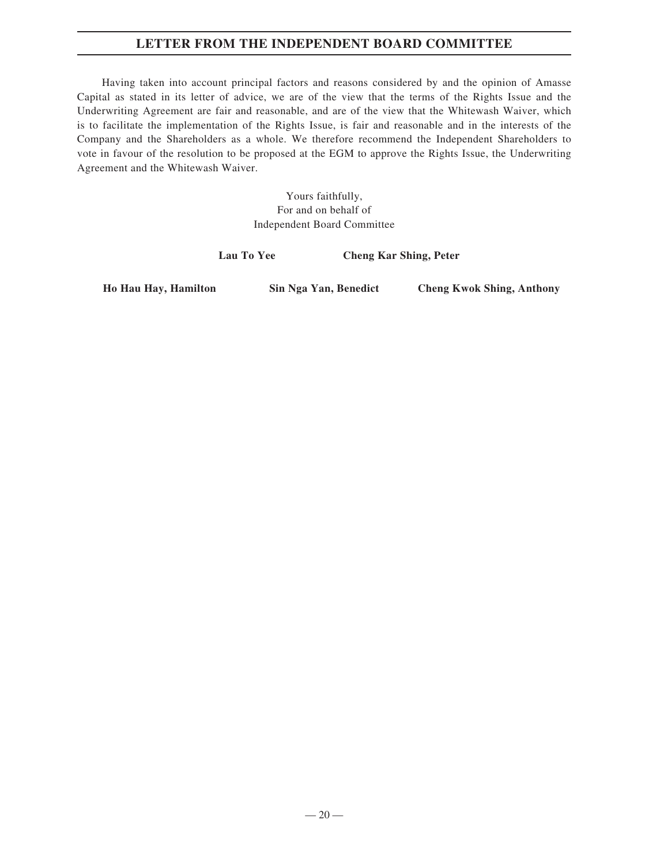## **LETTER FROM THE INDEPENDENT BOARD COMMITTEE**

Having taken into account principal factors and reasons considered by and the opinion of Amasse Capital as stated in its letter of advice, we are of the view that the terms of the Rights Issue and the Underwriting Agreement are fair and reasonable, and are of the view that the Whitewash Waiver, which is to facilitate the implementation of the Rights Issue, is fair and reasonable and in the interests of the Company and the Shareholders as a whole. We therefore recommend the Independent Shareholders to vote in favour of the resolution to be proposed at the EGM to approve the Rights Issue, the Underwriting Agreement and the Whitewash Waiver.

> Yours faithfully, For and on behalf of Independent Board Committee

**Lau To Yee Cheng Kar Shing, Peter**

**Ho Hau Hay, Hamilton Sin Nga Yan, Benedict Cheng Kwok Shing, Anthony**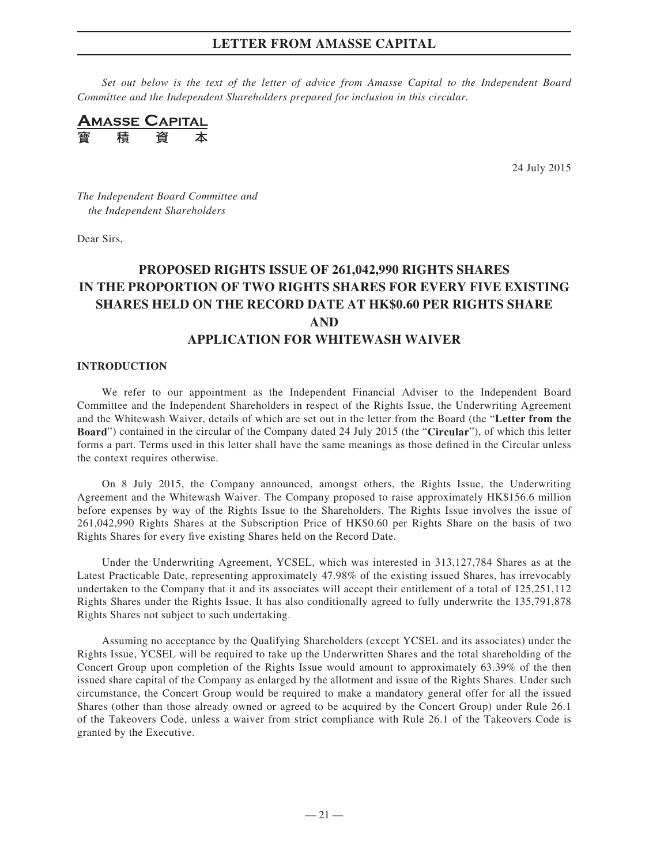*Set out below is the text of the letter of advice from Amasse Capital to the Independent Board Committee and the Independent Shareholders prepared for inclusion in this circular.*

**AMASSE CAPITAL** 積

24 July 2015

*The Independent Board Committee and the Independent Shareholders*

Dear Sirs,

## **PROPOSED RIGHTS ISSUE OF 261,042,990 RIGHTS SHARES IN THE PROPORTION OF TWO RIGHTS SHARES FOR EVERY FIVE EXISTING SHARES HELD ON THE RECORD DATE AT HK\$0.60 PER RIGHTS SHARE AND APPLICATION FOR WHITEWASH WAIVER**

#### **INTRODUCTION**

We refer to our appointment as the Independent Financial Adviser to the Independent Board Committee and the Independent Shareholders in respect of the Rights Issue, the Underwriting Agreement and the Whitewash Waiver, details of which are set out in the letter from the Board (the "**Letter from the Board**") contained in the circular of the Company dated 24 July 2015 (the "**Circular**"), of which this letter forms a part. Terms used in this letter shall have the same meanings as those defined in the Circular unless the context requires otherwise.

On 8 July 2015, the Company announced, amongst others, the Rights Issue, the Underwriting Agreement and the Whitewash Waiver. The Company proposed to raise approximately HK\$156.6 million before expenses by way of the Rights Issue to the Shareholders. The Rights Issue involves the issue of 261,042,990 Rights Shares at the Subscription Price of HK\$0.60 per Rights Share on the basis of two Rights Shares for every five existing Shares held on the Record Date.

Under the Underwriting Agreement, YCSEL, which was interested in 313,127,784 Shares as at the Latest Practicable Date, representing approximately 47.98% of the existing issued Shares, has irrevocably undertaken to the Company that it and its associates will accept their entitlement of a total of 125,251,112 Rights Shares under the Rights Issue. It has also conditionally agreed to fully underwrite the 135,791,878 Rights Shares not subject to such undertaking.

Assuming no acceptance by the Qualifying Shareholders (except YCSEL and its associates) under the Rights Issue, YCSEL will be required to take up the Underwritten Shares and the total shareholding of the Concert Group upon completion of the Rights Issue would amount to approximately 63.39% of the then issued share capital of the Company as enlarged by the allotment and issue of the Rights Shares. Under such circumstance, the Concert Group would be required to make a mandatory general offer for all the issued Shares (other than those already owned or agreed to be acquired by the Concert Group) under Rule 26.1 of the Takeovers Code, unless a waiver from strict compliance with Rule 26.1 of the Takeovers Code is granted by the Executive.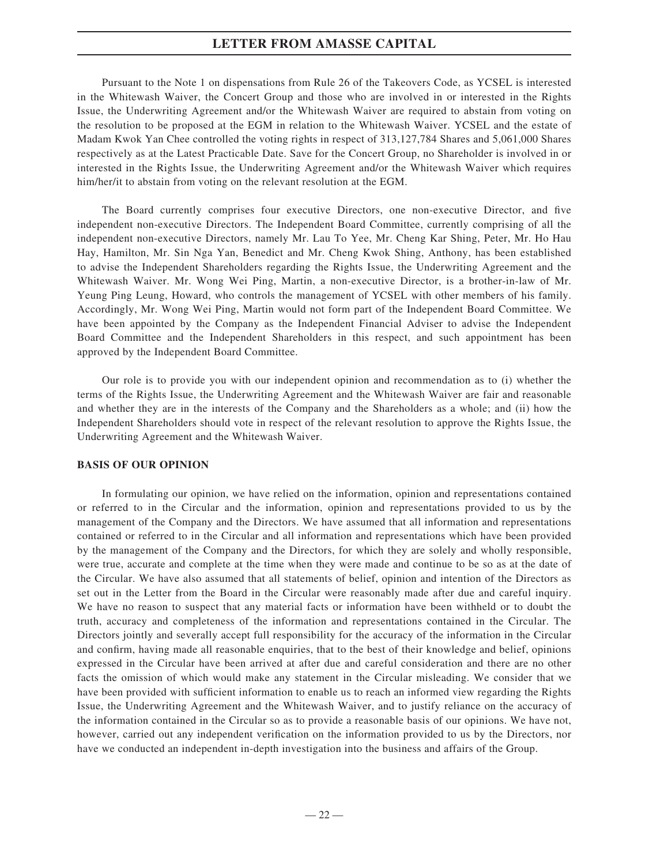Pursuant to the Note 1 on dispensations from Rule 26 of the Takeovers Code, as YCSEL is interested in the Whitewash Waiver, the Concert Group and those who are involved in or interested in the Rights Issue, the Underwriting Agreement and/or the Whitewash Waiver are required to abstain from voting on the resolution to be proposed at the EGM in relation to the Whitewash Waiver. YCSEL and the estate of Madam Kwok Yan Chee controlled the voting rights in respect of 313,127,784 Shares and 5,061,000 Shares respectively as at the Latest Practicable Date. Save for the Concert Group, no Shareholder is involved in or interested in the Rights Issue, the Underwriting Agreement and/or the Whitewash Waiver which requires him/her/it to abstain from voting on the relevant resolution at the EGM.

The Board currently comprises four executive Directors, one non-executive Director, and five independent non-executive Directors. The Independent Board Committee, currently comprising of all the independent non-executive Directors, namely Mr. Lau To Yee, Mr. Cheng Kar Shing, Peter, Mr. Ho Hau Hay, Hamilton, Mr. Sin Nga Yan, Benedict and Mr. Cheng Kwok Shing, Anthony, has been established to advise the Independent Shareholders regarding the Rights Issue, the Underwriting Agreement and the Whitewash Waiver. Mr. Wong Wei Ping, Martin, a non-executive Director, is a brother-in-law of Mr. Yeung Ping Leung, Howard, who controls the management of YCSEL with other members of his family. Accordingly, Mr. Wong Wei Ping, Martin would not form part of the Independent Board Committee. We have been appointed by the Company as the Independent Financial Adviser to advise the Independent Board Committee and the Independent Shareholders in this respect, and such appointment has been approved by the Independent Board Committee.

Our role is to provide you with our independent opinion and recommendation as to (i) whether the terms of the Rights Issue, the Underwriting Agreement and the Whitewash Waiver are fair and reasonable and whether they are in the interests of the Company and the Shareholders as a whole; and (ii) how the Independent Shareholders should vote in respect of the relevant resolution to approve the Rights Issue, the Underwriting Agreement and the Whitewash Waiver.

### **BASIS OF OUR OPINION**

In formulating our opinion, we have relied on the information, opinion and representations contained or referred to in the Circular and the information, opinion and representations provided to us by the management of the Company and the Directors. We have assumed that all information and representations contained or referred to in the Circular and all information and representations which have been provided by the management of the Company and the Directors, for which they are solely and wholly responsible, were true, accurate and complete at the time when they were made and continue to be so as at the date of the Circular. We have also assumed that all statements of belief, opinion and intention of the Directors as set out in the Letter from the Board in the Circular were reasonably made after due and careful inquiry. We have no reason to suspect that any material facts or information have been withheld or to doubt the truth, accuracy and completeness of the information and representations contained in the Circular. The Directors jointly and severally accept full responsibility for the accuracy of the information in the Circular and confirm, having made all reasonable enquiries, that to the best of their knowledge and belief, opinions expressed in the Circular have been arrived at after due and careful consideration and there are no other facts the omission of which would make any statement in the Circular misleading. We consider that we have been provided with sufficient information to enable us to reach an informed view regarding the Rights Issue, the Underwriting Agreement and the Whitewash Waiver, and to justify reliance on the accuracy of the information contained in the Circular so as to provide a reasonable basis of our opinions. We have not, however, carried out any independent verification on the information provided to us by the Directors, nor have we conducted an independent in-depth investigation into the business and affairs of the Group.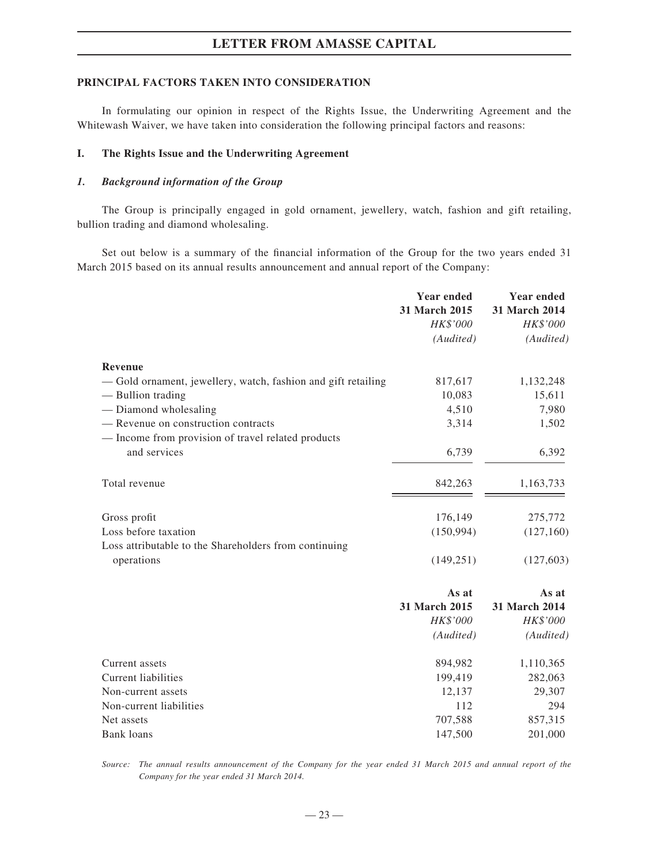#### **PRINCIPAL FACTORS TAKEN INTO CONSIDERATION**

In formulating our opinion in respect of the Rights Issue, the Underwriting Agreement and the Whitewash Waiver, we have taken into consideration the following principal factors and reasons:

### **I. The Rights Issue and the Underwriting Agreement**

#### *1. Background information of the Group*

The Group is principally engaged in gold ornament, jewellery, watch, fashion and gift retailing, bullion trading and diamond wholesaling.

Set out below is a summary of the financial information of the Group for the two years ended 31 March 2015 based on its annual results announcement and annual report of the Company:

|                                                               | <b>Year ended</b><br>31 March 2015<br>HK\$'000 | <b>Year ended</b><br>31 March 2014<br>HK\$'000 |
|---------------------------------------------------------------|------------------------------------------------|------------------------------------------------|
|                                                               | (Audited)                                      | (Audited)                                      |
| <b>Revenue</b>                                                |                                                |                                                |
| - Gold ornament, jewellery, watch, fashion and gift retailing | 817,617                                        | 1,132,248                                      |
| — Bullion trading                                             | 10,083                                         | 15,611                                         |
| - Diamond wholesaling                                         | 4,510                                          | 7,980                                          |
| - Revenue on construction contracts                           | 3,314                                          | 1,502                                          |
| - Income from provision of travel related products            |                                                |                                                |
| and services                                                  | 6,739                                          | 6,392                                          |
| Total revenue                                                 | 842,263                                        | 1,163,733                                      |
| Gross profit                                                  | 176,149                                        | 275,772                                        |
| Loss before taxation                                          | (150, 994)                                     | (127, 160)                                     |
| Loss attributable to the Shareholders from continuing         |                                                |                                                |
| operations                                                    | (149, 251)                                     | (127, 603)                                     |
|                                                               | As at                                          | As at                                          |
|                                                               | 31 March 2015                                  | 31 March 2014                                  |
|                                                               | HK\$'000                                       | HK\$'000                                       |
|                                                               | (Audited)                                      | (Audited)                                      |
| Current assets                                                | 894,982                                        | 1,110,365                                      |
| <b>Current liabilities</b>                                    | 199,419                                        | 282,063                                        |
| Non-current assets                                            | 12,137                                         | 29,307                                         |
| Non-current liabilities                                       | 112                                            | 294                                            |
| Net assets                                                    | 707,588                                        | 857,315                                        |
| <b>Bank</b> loans                                             | 147,500                                        | 201,000                                        |

*Source: The annual results announcement of the Company for the year ended 31 March 2015 and annual report of the Company for the year ended 31 March 2014.*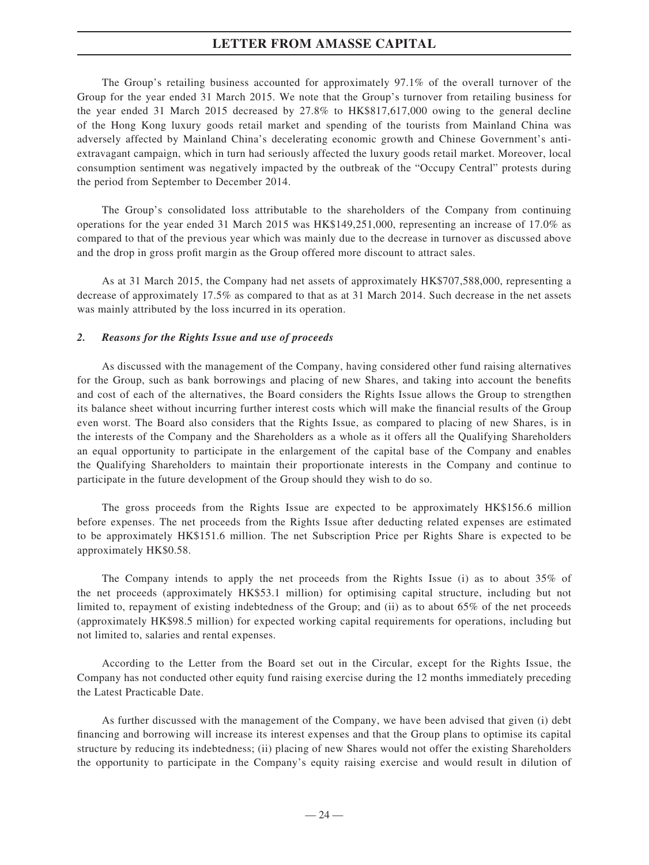The Group's retailing business accounted for approximately 97.1% of the overall turnover of the Group for the year ended 31 March 2015. We note that the Group's turnover from retailing business for the year ended 31 March 2015 decreased by 27.8% to HK\$817,617,000 owing to the general decline of the Hong Kong luxury goods retail market and spending of the tourists from Mainland China was adversely affected by Mainland China's decelerating economic growth and Chinese Government's antiextravagant campaign, which in turn had seriously affected the luxury goods retail market. Moreover, local consumption sentiment was negatively impacted by the outbreak of the "Occupy Central" protests during the period from September to December 2014.

The Group's consolidated loss attributable to the shareholders of the Company from continuing operations for the year ended 31 March 2015 was HK\$149,251,000, representing an increase of 17.0% as compared to that of the previous year which was mainly due to the decrease in turnover as discussed above and the drop in gross profit margin as the Group offered more discount to attract sales.

As at 31 March 2015, the Company had net assets of approximately HK\$707,588,000, representing a decrease of approximately 17.5% as compared to that as at 31 March 2014. Such decrease in the net assets was mainly attributed by the loss incurred in its operation.

#### *2. Reasons for the Rights Issue and use of proceeds*

As discussed with the management of the Company, having considered other fund raising alternatives for the Group, such as bank borrowings and placing of new Shares, and taking into account the benefits and cost of each of the alternatives, the Board considers the Rights Issue allows the Group to strengthen its balance sheet without incurring further interest costs which will make the financial results of the Group even worst. The Board also considers that the Rights Issue, as compared to placing of new Shares, is in the interests of the Company and the Shareholders as a whole as it offers all the Qualifying Shareholders an equal opportunity to participate in the enlargement of the capital base of the Company and enables the Qualifying Shareholders to maintain their proportionate interests in the Company and continue to participate in the future development of the Group should they wish to do so.

The gross proceeds from the Rights Issue are expected to be approximately HK\$156.6 million before expenses. The net proceeds from the Rights Issue after deducting related expenses are estimated to be approximately HK\$151.6 million. The net Subscription Price per Rights Share is expected to be approximately HK\$0.58.

The Company intends to apply the net proceeds from the Rights Issue (i) as to about 35% of the net proceeds (approximately HK\$53.1 million) for optimising capital structure, including but not limited to, repayment of existing indebtedness of the Group; and (ii) as to about 65% of the net proceeds (approximately HK\$98.5 million) for expected working capital requirements for operations, including but not limited to, salaries and rental expenses.

According to the Letter from the Board set out in the Circular, except for the Rights Issue, the Company has not conducted other equity fund raising exercise during the 12 months immediately preceding the Latest Practicable Date.

As further discussed with the management of the Company, we have been advised that given (i) debt financing and borrowing will increase its interest expenses and that the Group plans to optimise its capital structure by reducing its indebtedness; (ii) placing of new Shares would not offer the existing Shareholders the opportunity to participate in the Company's equity raising exercise and would result in dilution of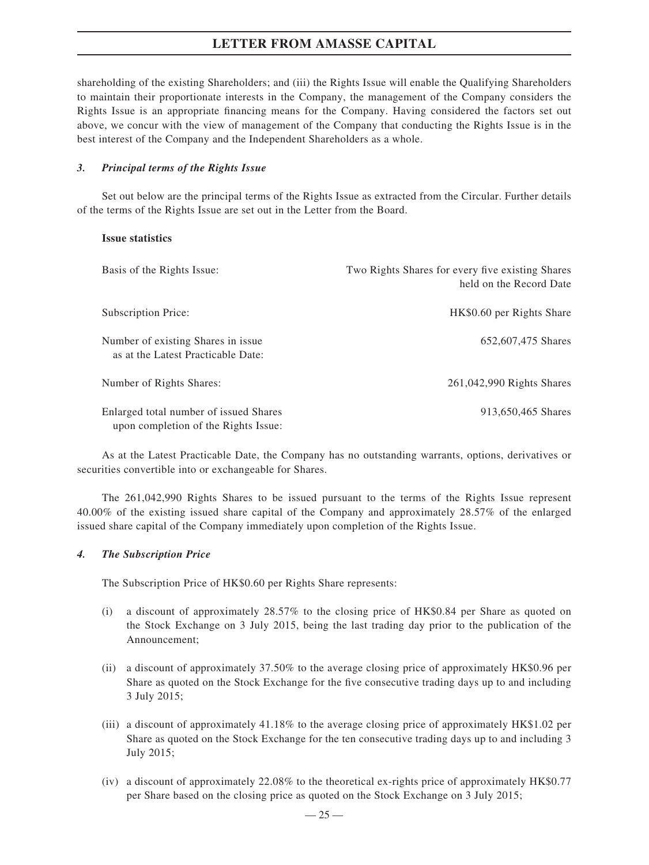shareholding of the existing Shareholders; and (iii) the Rights Issue will enable the Qualifying Shareholders to maintain their proportionate interests in the Company, the management of the Company considers the Rights Issue is an appropriate financing means for the Company. Having considered the factors set out above, we concur with the view of management of the Company that conducting the Rights Issue is in the best interest of the Company and the Independent Shareholders as a whole.

#### *3. Principal terms of the Rights Issue*

Set out below are the principal terms of the Rights Issue as extracted from the Circular. Further details of the terms of the Rights Issue are set out in the Letter from the Board.

#### **Issue statistics**

| Basis of the Rights Issue:                                                     | Two Rights Shares for every five existing Shares<br>held on the Record Date |
|--------------------------------------------------------------------------------|-----------------------------------------------------------------------------|
| Subscription Price:                                                            | HK\$0.60 per Rights Share                                                   |
| Number of existing Shares in issue.<br>as at the Latest Practicable Date:      | 652,607,475 Shares                                                          |
| Number of Rights Shares:                                                       | 261,042,990 Rights Shares                                                   |
| Enlarged total number of issued Shares<br>upon completion of the Rights Issue: | 913,650,465 Shares                                                          |

As at the Latest Practicable Date, the Company has no outstanding warrants, options, derivatives or securities convertible into or exchangeable for Shares.

The 261,042,990 Rights Shares to be issued pursuant to the terms of the Rights Issue represent 40.00% of the existing issued share capital of the Company and approximately 28.57% of the enlarged issued share capital of the Company immediately upon completion of the Rights Issue.

### *4. The Subscription Price*

The Subscription Price of HK\$0.60 per Rights Share represents:

- (i) a discount of approximately 28.57% to the closing price of HK\$0.84 per Share as quoted on the Stock Exchange on 3 July 2015, being the last trading day prior to the publication of the Announcement;
- (ii) a discount of approximately 37.50% to the average closing price of approximately HK\$0.96 per Share as quoted on the Stock Exchange for the five consecutive trading days up to and including 3 July 2015;
- (iii) a discount of approximately 41.18% to the average closing price of approximately HK\$1.02 per Share as quoted on the Stock Exchange for the ten consecutive trading days up to and including 3 July 2015;
- (iv) a discount of approximately 22.08% to the theoretical ex-rights price of approximately HK\$0.77 per Share based on the closing price as quoted on the Stock Exchange on 3 July 2015;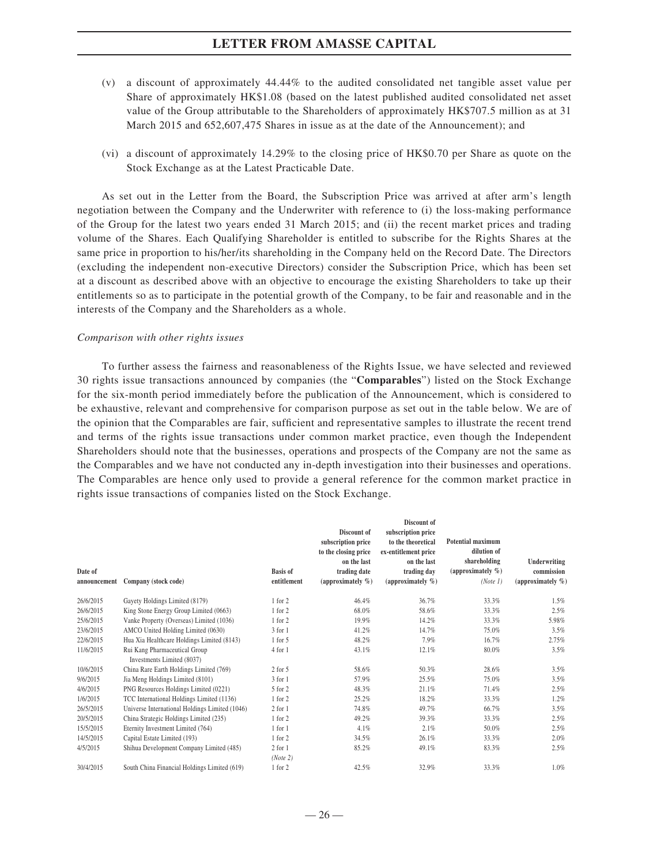- (v) a discount of approximately 44.44% to the audited consolidated net tangible asset value per Share of approximately HK\$1.08 (based on the latest published audited consolidated net asset value of the Group attributable to the Shareholders of approximately HK\$707.5 million as at 31 March 2015 and 652,607,475 Shares in issue as at the date of the Announcement); and
- (vi) a discount of approximately 14.29% to the closing price of HK\$0.70 per Share as quote on the Stock Exchange as at the Latest Practicable Date.

As set out in the Letter from the Board, the Subscription Price was arrived at after arm's length negotiation between the Company and the Underwriter with reference to (i) the loss-making performance of the Group for the latest two years ended 31 March 2015; and (ii) the recent market prices and trading volume of the Shares. Each Qualifying Shareholder is entitled to subscribe for the Rights Shares at the same price in proportion to his/her/its shareholding in the Company held on the Record Date. The Directors (excluding the independent non-executive Directors) consider the Subscription Price, which has been set at a discount as described above with an objective to encourage the existing Shareholders to take up their entitlements so as to participate in the potential growth of the Company, to be fair and reasonable and in the interests of the Company and the Shareholders as a whole.

#### *Comparison with other rights issues*

To further assess the fairness and reasonableness of the Rights Issue, we have selected and reviewed 30 rights issue transactions announced by companies (the "**Comparables**") listed on the Stock Exchange for the six-month period immediately before the publication of the Announcement, which is considered to be exhaustive, relevant and comprehensive for comparison purpose as set out in the table below. We are of the opinion that the Comparables are fair, sufficient and representative samples to illustrate the recent trend and terms of the rights issue transactions under common market practice, even though the Independent Shareholders should note that the businesses, operations and prospects of the Company are not the same as the Comparables and we have not conducted any in-depth investigation into their businesses and operations. The Comparables are hence only used to provide a general reference for the common market practice in rights issue transactions of companies listed on the Stock Exchange.

| Date of<br>announcement | Company (stock code)                                        | <b>Basis of</b><br>entitlement | Discount of<br>subscription price<br>to the closing price<br>on the last<br>trading date<br>(approximately $\%$ ) | Discount of<br>subscription price<br>to the theoretical<br>ex-entitlement price<br>on the last<br>trading day<br>(approximately $\%$ ) | <b>Potential maximum</b><br>dilution of<br>shareholding<br>(approximately $\%$ )<br>(Note 1) | Underwriting<br>commission<br>(approximately $\%$ ) |
|-------------------------|-------------------------------------------------------------|--------------------------------|-------------------------------------------------------------------------------------------------------------------|----------------------------------------------------------------------------------------------------------------------------------------|----------------------------------------------------------------------------------------------|-----------------------------------------------------|
| 26/6/2015               | Gayety Holdings Limited (8179)                              | 1 for 2                        | 46.4%                                                                                                             | 36.7%                                                                                                                                  | 33.3%                                                                                        | 1.5%                                                |
| 26/6/2015               | King Stone Energy Group Limited (0663)                      | 1 for 2                        | 68.0%                                                                                                             | 58.6%                                                                                                                                  | 33.3%                                                                                        | 2.5%                                                |
| 25/6/2015               | Vanke Property (Overseas) Limited (1036)                    | 1 for 2                        | 19.9%                                                                                                             | 14.2%                                                                                                                                  | 33.3%                                                                                        | 5.98%                                               |
| 23/6/2015               | AMCO United Holding Limited (0630)                          | $3$ for $1$                    | 41.2%                                                                                                             | 14.7%                                                                                                                                  | 75.0%                                                                                        | 3.5%                                                |
| 22/6/2015               | Hua Xia Healthcare Holdings Limited (8143)                  | $1$ for $5$                    | 48.2%                                                                                                             | 7.9%                                                                                                                                   | 16.7%                                                                                        | 2.75%                                               |
| 11/6/2015               | Rui Kang Pharmaceutical Group<br>Investments Limited (8037) | 4 for 1                        | 43.1%                                                                                                             | 12.1%                                                                                                                                  | 80.0%                                                                                        | 3.5%                                                |
| 10/6/2015               | China Rare Earth Holdings Limited (769)                     | $2$ for $5$                    | 58.6%                                                                                                             | 50.3%                                                                                                                                  | 28.6%                                                                                        | 3.5%                                                |
| 9/6/2015                | Jia Meng Holdings Limited (8101)                            | $3$ for $1$                    | 57.9%                                                                                                             | 25.5%                                                                                                                                  | 75.0%                                                                                        | 3.5%                                                |
| 4/6/2015                | PNG Resources Holdings Limited (0221)                       | 5 for 2                        | 48.3%                                                                                                             | 21.1%                                                                                                                                  | 71.4%                                                                                        | 2.5%                                                |
| 1/6/2015                | TCC International Holdings Limited (1136)                   | 1 for 2                        | 25.2%                                                                                                             | 18.2%                                                                                                                                  | 33.3%                                                                                        | 1.2%                                                |
| 26/5/2015               | Universe International Holdings Limited (1046)              | $2$ for $1$                    | 74.8%                                                                                                             | 49.7%                                                                                                                                  | 66.7%                                                                                        | 3.5%                                                |
| 20/5/2015               | China Strategic Holdings Limited (235)                      | 1 for 2                        | 49.2%                                                                                                             | 39.3%                                                                                                                                  | 33.3%                                                                                        | 2.5%                                                |
| 15/5/2015               | Eternity Investment Limited (764)                           | $1$ for $1$                    | 4.1%                                                                                                              | 2.1%                                                                                                                                   | 50.0%                                                                                        | 2.5%                                                |
| 14/5/2015               | Capital Estate Limited (193)                                | 1 for 2                        | 34.5%                                                                                                             | 26.1%                                                                                                                                  | 33.3%                                                                                        | 2.0%                                                |
| 4/5/2015                | Shihua Development Company Limited (485)                    | $2$ for $1$<br>(Note 2)        | 85.2%                                                                                                             | 49.1%                                                                                                                                  | 83.3%                                                                                        | 2.5%                                                |
| 30/4/2015               | South China Financial Holdings Limited (619)                | 1 for 2                        | 42.5%                                                                                                             | 32.9%                                                                                                                                  | 33.3%                                                                                        | 1.0%                                                |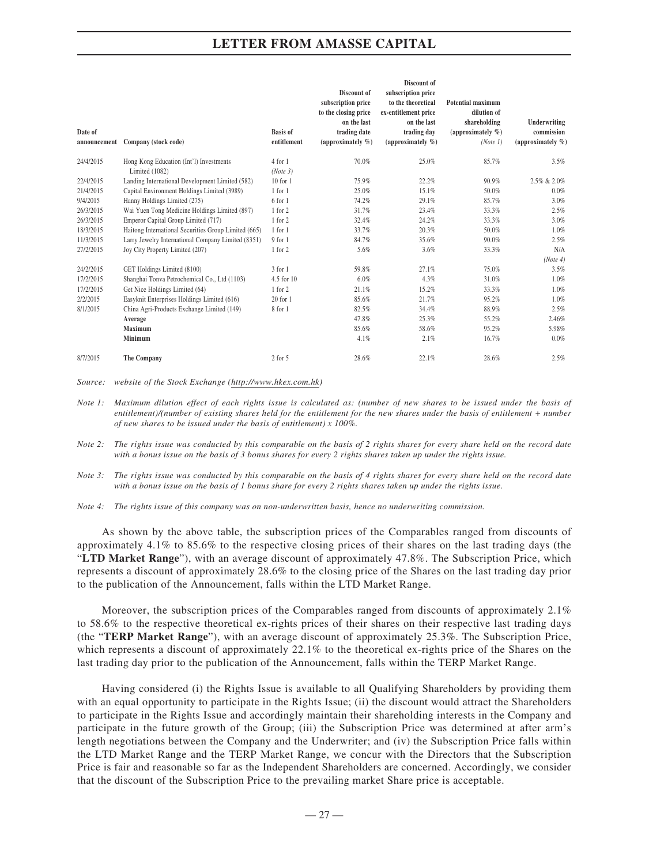|              |                                                      |                 |                       | Discount of           |                          |                       |
|--------------|------------------------------------------------------|-----------------|-----------------------|-----------------------|--------------------------|-----------------------|
|              |                                                      |                 | Discount of           | subscription price    |                          |                       |
|              |                                                      |                 | subscription price    | to the theoretical    | <b>Potential maximum</b> |                       |
|              |                                                      |                 | to the closing price  | ex-entitlement price  | dilution of              |                       |
|              |                                                      |                 | on the last           | on the last           | shareholding             | Underwriting          |
| Date of      |                                                      | <b>Basis of</b> | trading date          | trading day           | (approximately $\%$ )    | commission            |
| announcement | Company (stock code)                                 | entitlement     | (approximately $\%$ ) | (approximately $\%$ ) | (Note 1)                 | (approximately $\%$ ) |
| 24/4/2015    | Hong Kong Education (Int'l) Investments              | $4$ for $1$     | 70.0%                 | 25.0%                 | 85.7%                    | 3.5%                  |
|              | Limited (1082)                                       | (Note 3)        |                       |                       |                          |                       |
| 22/4/2015    | Landing International Development Limited (582)      | $10$ for $1$    | 75.9%                 | 22.2%                 | 90.9%                    | 2.5% & 2.0%           |
| 21/4/2015    | Capital Environment Holdings Limited (3989)          | $1$ for $1$     | 25.0%                 | 15.1%                 | 50.0%                    | 0.0%                  |
| 9/4/2015     | Hanny Holdings Limited (275)                         | 6 for 1         | 74.2%                 | 29.1%                 | 85.7%                    | 3.0%                  |
| 26/3/2015    | Wai Yuen Tong Medicine Holdings Limited (897)        | 1 for 2         | 31.7%                 | 23.4%                 | 33.3%                    | 2.5%                  |
| 26/3/2015    | Emperor Capital Group Limited (717)                  | 1 for 2         | 32.4%                 | 24.2%                 | 33.3%                    | 3.0%                  |
| 18/3/2015    | Haitong International Securities Group Limited (665) | $1$ for $1$     | 33.7%                 | 20.3%                 | 50.0%                    | 1.0%                  |
| 11/3/2015    | Larry Jewelry International Company Limited (8351)   | $9$ for $1$     | 84.7%                 | 35.6%                 | 90.0%                    | 2.5%                  |
| 27/2/2015    | Joy City Property Limited (207)                      | 1 for 2         | 5.6%                  | 3.6%                  | 33.3%                    | N/A                   |
|              |                                                      |                 |                       |                       |                          | (Note 4)              |
| 24/2/2015    | GET Holdings Limited (8100)                          | $3$ for $1$     | 59.8%                 | 27.1%                 | 75.0%                    | 3.5%                  |
| 17/2/2015    | Shanghai Tonva Petrochemical Co., Ltd (1103)         | 4.5 for 10      | 6.0%                  | 4.3%                  | 31.0%                    | 1.0%                  |
| 17/2/2015    | Get Nice Holdings Limited (64)                       | 1 for 2         | 21.1%                 | 15.2%                 | 33.3%                    | 1.0%                  |
| 2/2/2015     | Easyknit Enterprises Holdings Limited (616)          | $20$ for $1$    | 85.6%                 | 21.7%                 | 95.2%                    | 1.0%                  |
| 8/1/2015     | China Agri-Products Exchange Limited (149)           | 8 for 1         | 82.5%                 | 34.4%                 | 88.9%                    | 2.5%                  |
|              | Average                                              |                 | 47.8%                 | 25.3%                 | 55.2%                    | 2.46%                 |
|              | <b>Maximum</b>                                       |                 | 85.6%                 | 58.6%                 | 95.2%                    | 5.98%                 |
|              | Minimum                                              |                 | 4.1%                  | 2.1%                  | 16.7%                    | 0.0%                  |
| 8/7/2015     | The Company                                          | $2$ for $5$     | 28.6%                 | 22.1%                 | 28.6%                    | 2.5%                  |

*Source: website of the Stock Exchange (http://www.hkex.com.hk)*

*Note 1: Maximum dilution effect of each rights issue is calculated as: (number of new shares to be issued under the basis of entitlement)/(number of existing shares held for the entitlement for the new shares under the basis of entitlement + number of new shares to be issued under the basis of entitlement) x 100%.*

*Note 2: The rights issue was conducted by this comparable on the basis of 2 rights shares for every share held on the record date with a bonus issue on the basis of 3 bonus shares for every 2 rights shares taken up under the rights issue.*

*Note 3: The rights issue was conducted by this comparable on the basis of 4 rights shares for every share held on the record date with a bonus issue on the basis of 1 bonus share for every 2 rights shares taken up under the rights issue.*

*Note 4: The rights issue of this company was on non-underwritten basis, hence no underwriting commission.*

As shown by the above table, the subscription prices of the Comparables ranged from discounts of approximately 4.1% to 85.6% to the respective closing prices of their shares on the last trading days (the "**LTD Market Range**"), with an average discount of approximately 47.8%. The Subscription Price, which represents a discount of approximately 28.6% to the closing price of the Shares on the last trading day prior to the publication of the Announcement, falls within the LTD Market Range.

Moreover, the subscription prices of the Comparables ranged from discounts of approximately 2.1% to 58.6% to the respective theoretical ex-rights prices of their shares on their respective last trading days (the "**TERP Market Range**"), with an average discount of approximately 25.3%. The Subscription Price, which represents a discount of approximately 22.1% to the theoretical ex-rights price of the Shares on the last trading day prior to the publication of the Announcement, falls within the TERP Market Range.

Having considered (i) the Rights Issue is available to all Qualifying Shareholders by providing them with an equal opportunity to participate in the Rights Issue; (ii) the discount would attract the Shareholders to participate in the Rights Issue and accordingly maintain their shareholding interests in the Company and participate in the future growth of the Group; (iii) the Subscription Price was determined at after arm's length negotiations between the Company and the Underwriter; and (iv) the Subscription Price falls within the LTD Market Range and the TERP Market Range, we concur with the Directors that the Subscription Price is fair and reasonable so far as the Independent Shareholders are concerned. Accordingly, we consider that the discount of the Subscription Price to the prevailing market Share price is acceptable.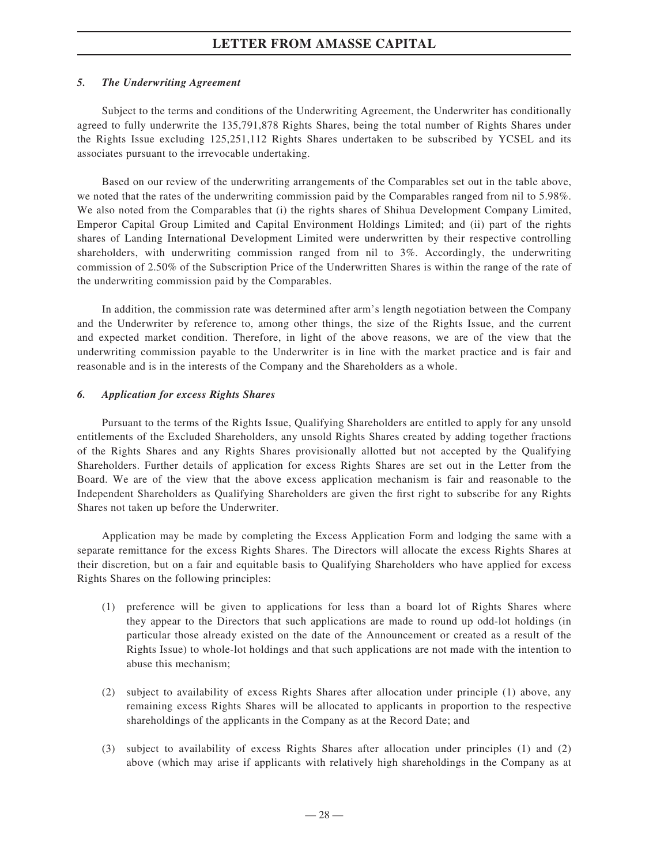### *5. The Underwriting Agreement*

Subject to the terms and conditions of the Underwriting Agreement, the Underwriter has conditionally agreed to fully underwrite the 135,791,878 Rights Shares, being the total number of Rights Shares under the Rights Issue excluding 125,251,112 Rights Shares undertaken to be subscribed by YCSEL and its associates pursuant to the irrevocable undertaking.

Based on our review of the underwriting arrangements of the Comparables set out in the table above, we noted that the rates of the underwriting commission paid by the Comparables ranged from nil to 5.98%. We also noted from the Comparables that (i) the rights shares of Shihua Development Company Limited, Emperor Capital Group Limited and Capital Environment Holdings Limited; and (ii) part of the rights shares of Landing International Development Limited were underwritten by their respective controlling shareholders, with underwriting commission ranged from nil to 3%. Accordingly, the underwriting commission of 2.50% of the Subscription Price of the Underwritten Shares is within the range of the rate of the underwriting commission paid by the Comparables.

In addition, the commission rate was determined after arm's length negotiation between the Company and the Underwriter by reference to, among other things, the size of the Rights Issue, and the current and expected market condition. Therefore, in light of the above reasons, we are of the view that the underwriting commission payable to the Underwriter is in line with the market practice and is fair and reasonable and is in the interests of the Company and the Shareholders as a whole.

#### *6. Application for excess Rights Shares*

Pursuant to the terms of the Rights Issue, Qualifying Shareholders are entitled to apply for any unsold entitlements of the Excluded Shareholders, any unsold Rights Shares created by adding together fractions of the Rights Shares and any Rights Shares provisionally allotted but not accepted by the Qualifying Shareholders. Further details of application for excess Rights Shares are set out in the Letter from the Board. We are of the view that the above excess application mechanism is fair and reasonable to the Independent Shareholders as Qualifying Shareholders are given the first right to subscribe for any Rights Shares not taken up before the Underwriter.

Application may be made by completing the Excess Application Form and lodging the same with a separate remittance for the excess Rights Shares. The Directors will allocate the excess Rights Shares at their discretion, but on a fair and equitable basis to Qualifying Shareholders who have applied for excess Rights Shares on the following principles:

- (1) preference will be given to applications for less than a board lot of Rights Shares where they appear to the Directors that such applications are made to round up odd-lot holdings (in particular those already existed on the date of the Announcement or created as a result of the Rights Issue) to whole-lot holdings and that such applications are not made with the intention to abuse this mechanism;
- (2) subject to availability of excess Rights Shares after allocation under principle (1) above, any remaining excess Rights Shares will be allocated to applicants in proportion to the respective shareholdings of the applicants in the Company as at the Record Date; and
- (3) subject to availability of excess Rights Shares after allocation under principles (1) and (2) above (which may arise if applicants with relatively high shareholdings in the Company as at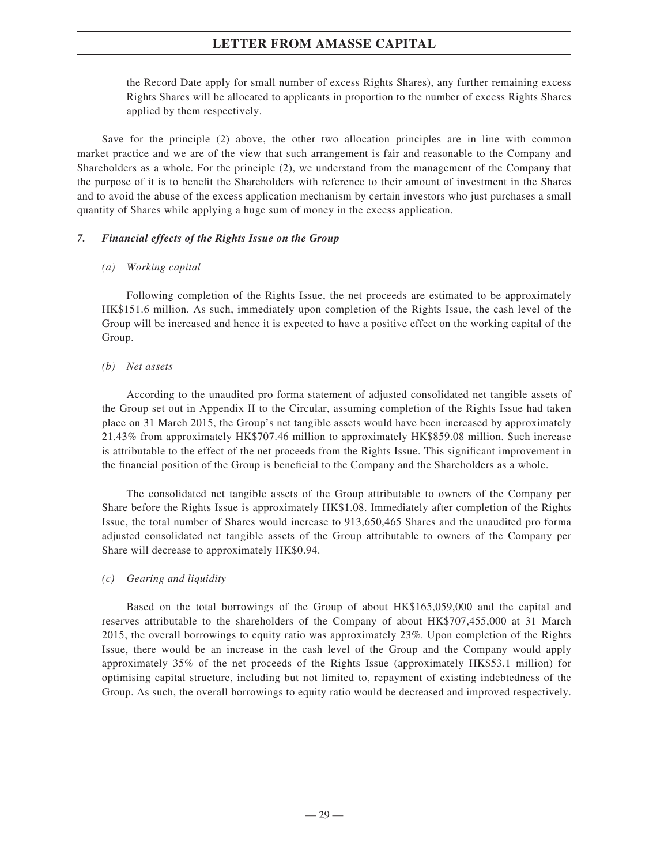the Record Date apply for small number of excess Rights Shares), any further remaining excess Rights Shares will be allocated to applicants in proportion to the number of excess Rights Shares applied by them respectively.

Save for the principle (2) above, the other two allocation principles are in line with common market practice and we are of the view that such arrangement is fair and reasonable to the Company and Shareholders as a whole. For the principle (2), we understand from the management of the Company that the purpose of it is to benefit the Shareholders with reference to their amount of investment in the Shares and to avoid the abuse of the excess application mechanism by certain investors who just purchases a small quantity of Shares while applying a huge sum of money in the excess application.

### *7. Financial effects of the Rights Issue on the Group*

### *(a) Working capital*

Following completion of the Rights Issue, the net proceeds are estimated to be approximately HK\$151.6 million. As such, immediately upon completion of the Rights Issue, the cash level of the Group will be increased and hence it is expected to have a positive effect on the working capital of the Group.

### *(b) Net assets*

According to the unaudited pro forma statement of adjusted consolidated net tangible assets of the Group set out in Appendix II to the Circular, assuming completion of the Rights Issue had taken place on 31 March 2015, the Group's net tangible assets would have been increased by approximately 21.43% from approximately HK\$707.46 million to approximately HK\$859.08 million. Such increase is attributable to the effect of the net proceeds from the Rights Issue. This significant improvement in the financial position of the Group is beneficial to the Company and the Shareholders as a whole.

The consolidated net tangible assets of the Group attributable to owners of the Company per Share before the Rights Issue is approximately HK\$1.08. Immediately after completion of the Rights Issue, the total number of Shares would increase to 913,650,465 Shares and the unaudited pro forma adjusted consolidated net tangible assets of the Group attributable to owners of the Company per Share will decrease to approximately HK\$0.94.

### *(c) Gearing and liquidity*

Based on the total borrowings of the Group of about HK\$165,059,000 and the capital and reserves attributable to the shareholders of the Company of about HK\$707,455,000 at 31 March 2015, the overall borrowings to equity ratio was approximately 23%. Upon completion of the Rights Issue, there would be an increase in the cash level of the Group and the Company would apply approximately 35% of the net proceeds of the Rights Issue (approximately HK\$53.1 million) for optimising capital structure, including but not limited to, repayment of existing indebtedness of the Group. As such, the overall borrowings to equity ratio would be decreased and improved respectively.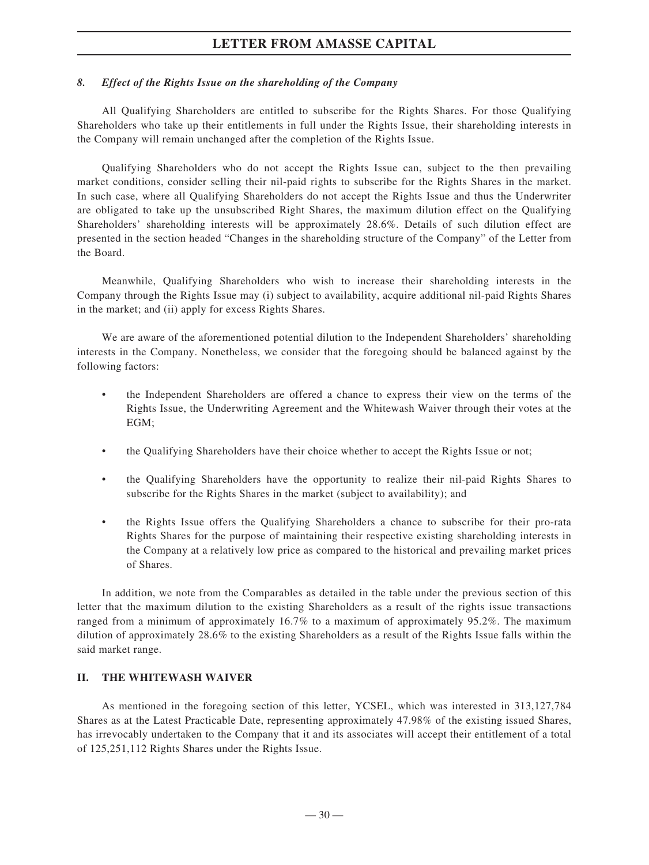### *8. Effect of the Rights Issue on the shareholding of the Company*

All Qualifying Shareholders are entitled to subscribe for the Rights Shares. For those Qualifying Shareholders who take up their entitlements in full under the Rights Issue, their shareholding interests in the Company will remain unchanged after the completion of the Rights Issue.

Qualifying Shareholders who do not accept the Rights Issue can, subject to the then prevailing market conditions, consider selling their nil-paid rights to subscribe for the Rights Shares in the market. In such case, where all Qualifying Shareholders do not accept the Rights Issue and thus the Underwriter are obligated to take up the unsubscribed Right Shares, the maximum dilution effect on the Qualifying Shareholders' shareholding interests will be approximately 28.6%. Details of such dilution effect are presented in the section headed "Changes in the shareholding structure of the Company" of the Letter from the Board.

Meanwhile, Qualifying Shareholders who wish to increase their shareholding interests in the Company through the Rights Issue may (i) subject to availability, acquire additional nil-paid Rights Shares in the market; and (ii) apply for excess Rights Shares.

We are aware of the aforementioned potential dilution to the Independent Shareholders' shareholding interests in the Company. Nonetheless, we consider that the foregoing should be balanced against by the following factors:

- the Independent Shareholders are offered a chance to express their view on the terms of the Rights Issue, the Underwriting Agreement and the Whitewash Waiver through their votes at the EGM;
- the Qualifying Shareholders have their choice whether to accept the Rights Issue or not;
- the Qualifying Shareholders have the opportunity to realize their nil-paid Rights Shares to subscribe for the Rights Shares in the market (subject to availability); and
- the Rights Issue offers the Qualifying Shareholders a chance to subscribe for their pro-rata Rights Shares for the purpose of maintaining their respective existing shareholding interests in the Company at a relatively low price as compared to the historical and prevailing market prices of Shares.

In addition, we note from the Comparables as detailed in the table under the previous section of this letter that the maximum dilution to the existing Shareholders as a result of the rights issue transactions ranged from a minimum of approximately 16.7% to a maximum of approximately 95.2%. The maximum dilution of approximately 28.6% to the existing Shareholders as a result of the Rights Issue falls within the said market range.

## **II. THE WHITEWASH WAIVER**

As mentioned in the foregoing section of this letter, YCSEL, which was interested in 313,127,784 Shares as at the Latest Practicable Date, representing approximately 47.98% of the existing issued Shares, has irrevocably undertaken to the Company that it and its associates will accept their entitlement of a total of 125,251,112 Rights Shares under the Rights Issue.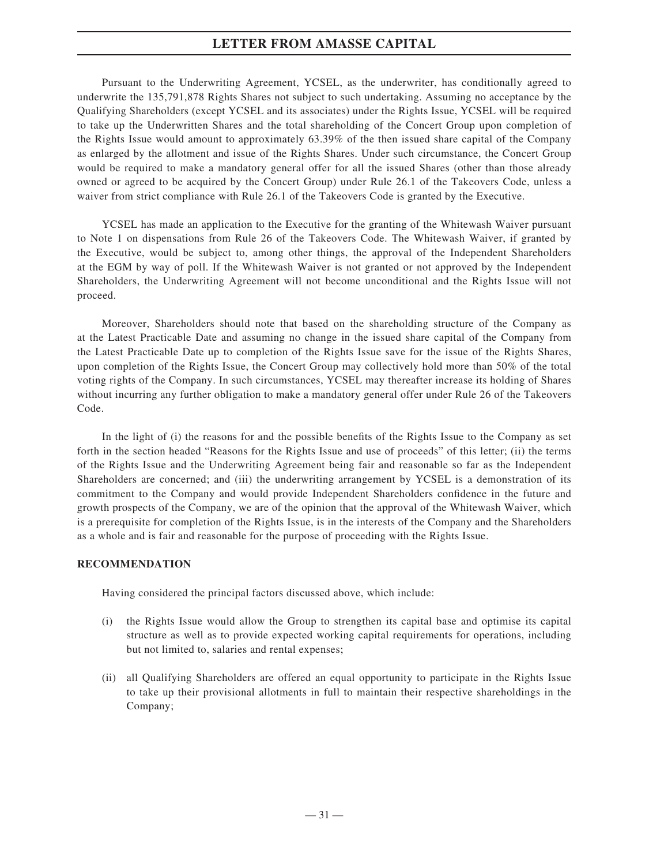Pursuant to the Underwriting Agreement, YCSEL, as the underwriter, has conditionally agreed to underwrite the 135,791,878 Rights Shares not subject to such undertaking. Assuming no acceptance by the Qualifying Shareholders (except YCSEL and its associates) under the Rights Issue, YCSEL will be required to take up the Underwritten Shares and the total shareholding of the Concert Group upon completion of the Rights Issue would amount to approximately 63.39% of the then issued share capital of the Company as enlarged by the allotment and issue of the Rights Shares. Under such circumstance, the Concert Group would be required to make a mandatory general offer for all the issued Shares (other than those already owned or agreed to be acquired by the Concert Group) under Rule 26.1 of the Takeovers Code, unless a waiver from strict compliance with Rule 26.1 of the Takeovers Code is granted by the Executive.

YCSEL has made an application to the Executive for the granting of the Whitewash Waiver pursuant to Note 1 on dispensations from Rule 26 of the Takeovers Code. The Whitewash Waiver, if granted by the Executive, would be subject to, among other things, the approval of the Independent Shareholders at the EGM by way of poll. If the Whitewash Waiver is not granted or not approved by the Independent Shareholders, the Underwriting Agreement will not become unconditional and the Rights Issue will not proceed.

Moreover, Shareholders should note that based on the shareholding structure of the Company as at the Latest Practicable Date and assuming no change in the issued share capital of the Company from the Latest Practicable Date up to completion of the Rights Issue save for the issue of the Rights Shares, upon completion of the Rights Issue, the Concert Group may collectively hold more than 50% of the total voting rights of the Company. In such circumstances, YCSEL may thereafter increase its holding of Shares without incurring any further obligation to make a mandatory general offer under Rule 26 of the Takeovers Code.

In the light of (i) the reasons for and the possible benefits of the Rights Issue to the Company as set forth in the section headed "Reasons for the Rights Issue and use of proceeds" of this letter; (ii) the terms of the Rights Issue and the Underwriting Agreement being fair and reasonable so far as the Independent Shareholders are concerned; and (iii) the underwriting arrangement by YCSEL is a demonstration of its commitment to the Company and would provide Independent Shareholders confidence in the future and growth prospects of the Company, we are of the opinion that the approval of the Whitewash Waiver, which is a prerequisite for completion of the Rights Issue, is in the interests of the Company and the Shareholders as a whole and is fair and reasonable for the purpose of proceeding with the Rights Issue.

### **RECOMMENDATION**

Having considered the principal factors discussed above, which include:

- (i) the Rights Issue would allow the Group to strengthen its capital base and optimise its capital structure as well as to provide expected working capital requirements for operations, including but not limited to, salaries and rental expenses;
- (ii) all Qualifying Shareholders are offered an equal opportunity to participate in the Rights Issue to take up their provisional allotments in full to maintain their respective shareholdings in the Company;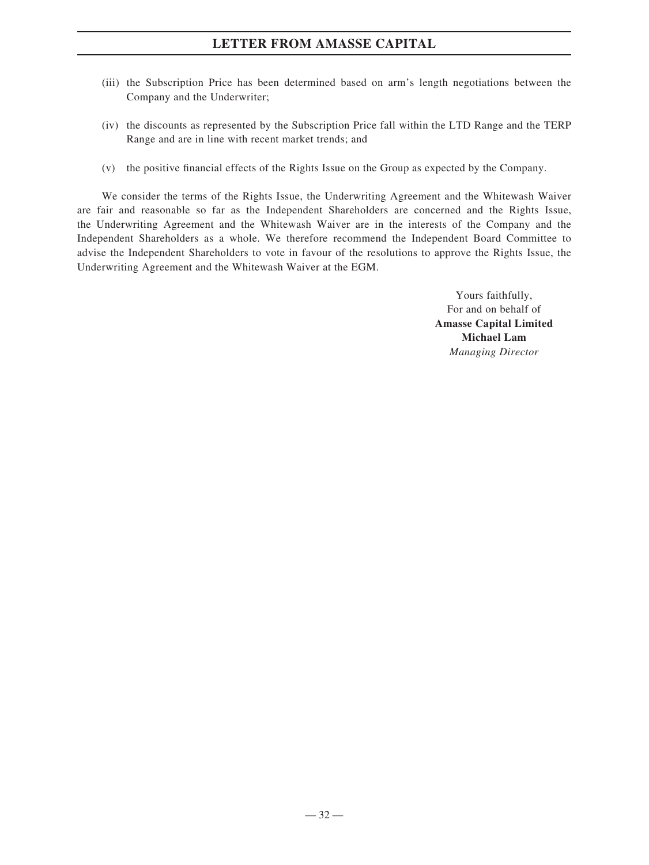- (iii) the Subscription Price has been determined based on arm's length negotiations between the Company and the Underwriter;
- (iv) the discounts as represented by the Subscription Price fall within the LTD Range and the TERP Range and are in line with recent market trends; and
- (v) the positive financial effects of the Rights Issue on the Group as expected by the Company.

We consider the terms of the Rights Issue, the Underwriting Agreement and the Whitewash Waiver are fair and reasonable so far as the Independent Shareholders are concerned and the Rights Issue, the Underwriting Agreement and the Whitewash Waiver are in the interests of the Company and the Independent Shareholders as a whole. We therefore recommend the Independent Board Committee to advise the Independent Shareholders to vote in favour of the resolutions to approve the Rights Issue, the Underwriting Agreement and the Whitewash Waiver at the EGM.

> Yours faithfully, For and on behalf of **Amasse Capital Limited Michael Lam** *Managing Director*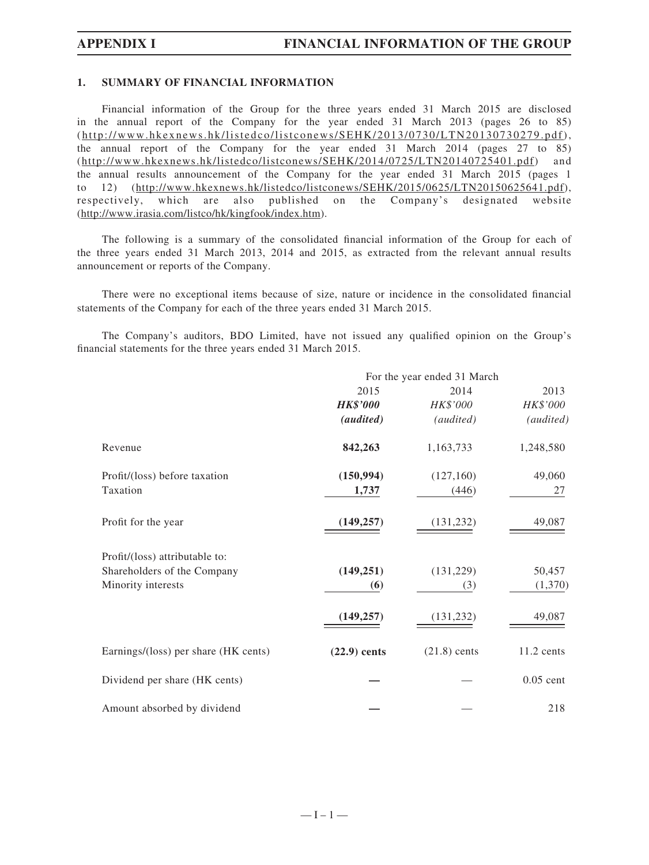#### **1. SUMMARY OF FINANCIAL INFORMATION**

Financial information of the Group for the three years ended 31 March 2015 are disclosed in the annual report of the Company for the year ended 31 March 2013 (pages 26 to 85) (http://www.hkexnews.hk/listedco/listconews/SEHK/2013/0730/LTN20130730279.pdf), the annual report of the Company for the year ended 31 March 2014 (pages 27 to 85) (http://www.hkexnews.hk/listedco/listconews/SEHK/2014/0725/LTN20140725401.pdf) and the annual results announcement of the Company for the year ended 31 March 2015 (pages 1 to 12) (http://www.hkexnews.hk/listedco/listconews/SEHK/2015/0625/LTN20150625641.pdf), respectively, which are also published on the Company's designated website (http://www.irasia.com/listco/hk/kingfook/index.htm).

The following is a summary of the consolidated financial information of the Group for each of the three years ended 31 March 2013, 2014 and 2015, as extracted from the relevant annual results announcement or reports of the Company.

There were no exceptional items because of size, nature or incidence in the consolidated financial statements of the Company for each of the three years ended 31 March 2015.

The Company's auditors, BDO Limited, have not issued any qualified opinion on the Group's financial statements for the three years ended 31 March 2015.

|                                      |                  | For the year ended 31 March |              |
|--------------------------------------|------------------|-----------------------------|--------------|
|                                      | 2015             | 2014                        | 2013         |
|                                      | <b>HK\$'000</b>  | HK\$'000                    | HK\$'000     |
|                                      | <i>(audited)</i> | (audited)                   | (audited)    |
| Revenue                              | 842,263          | 1,163,733                   | 1,248,580    |
| Profit/(loss) before taxation        | (150, 994)       | (127,160)                   | 49,060       |
| Taxation                             | 1,737            | (446)                       | 27           |
| Profit for the year                  | (149, 257)       | (131, 232)                  | 49,087       |
| Profit/(loss) attributable to:       |                  |                             |              |
| Shareholders of the Company          | (149, 251)       | (131, 229)                  | 50,457       |
| Minority interests                   | (6)              | (3)                         | (1,370)      |
|                                      | (149, 257)       | (131, 232)                  | 49,087       |
| Earnings/(loss) per share (HK cents) | $(22.9)$ cents   | $(21.8)$ cents              | $11.2$ cents |
| Dividend per share (HK cents)        |                  |                             | $0.05$ cent  |
| Amount absorbed by dividend          |                  |                             | 218          |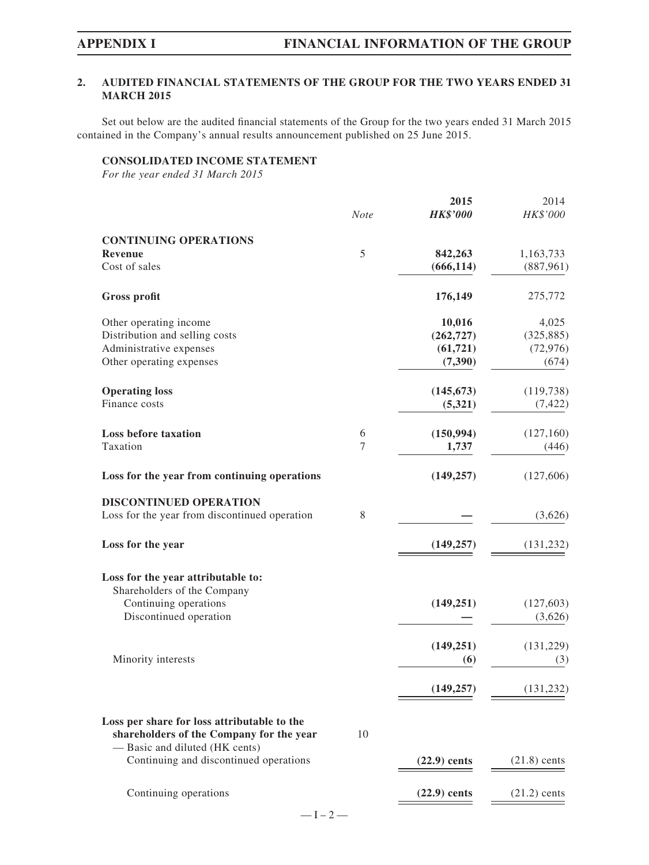### **2. AUDITED FINANCIAL STATEMENTS OF THE GROUP FOR THE TWO YEARS ENDED 31 MARCH 2015**

Set out below are the audited financial statements of the Group for the two years ended 31 March 2015 contained in the Company's annual results announcement published on 25 June 2015.

## **CONSOLIDATED INCOME STATEMENT**

*For the year ended 31 March 2015*

|                                                                            | <b>Note</b> | 2015<br><b>HK\$'000</b> | 2014<br>HK\$'000 |
|----------------------------------------------------------------------------|-------------|-------------------------|------------------|
| <b>CONTINUING OPERATIONS</b>                                               |             |                         |                  |
| Revenue                                                                    | 5           | 842,263                 | 1,163,733        |
| Cost of sales                                                              |             | (666, 114)              | (887,961)        |
| <b>Gross profit</b>                                                        |             | 176,149                 | 275,772          |
| Other operating income                                                     |             | 10,016                  | 4,025            |
| Distribution and selling costs                                             |             | (262, 727)              | (325, 885)       |
| Administrative expenses                                                    |             | (61, 721)               | (72, 976)        |
| Other operating expenses                                                   |             | (7,390)                 | (674)            |
| <b>Operating loss</b>                                                      |             | (145, 673)              | (119, 738)       |
| Finance costs                                                              |             | (5,321)                 | (7, 422)         |
| <b>Loss before taxation</b>                                                | 6           | (150, 994)              | (127,160)        |
| Taxation                                                                   | $\tau$      | 1,737                   | (446)            |
| Loss for the year from continuing operations                               |             | (149, 257)              | (127,606)        |
| <b>DISCONTINUED OPERATION</b>                                              |             |                         |                  |
| Loss for the year from discontinued operation                              | 8           |                         | (3,626)          |
| Loss for the year                                                          |             | (149, 257)              | (131, 232)       |
| Loss for the year attributable to:                                         |             |                         |                  |
| Shareholders of the Company                                                |             |                         |                  |
| Continuing operations                                                      |             | (149, 251)              | (127,603)        |
| Discontinued operation                                                     |             |                         | (3,626)          |
|                                                                            |             | (149, 251)              | (131,229)        |
| Minority interests                                                         |             | (6)                     | (3)              |
|                                                                            |             | (149, 257)              | (131, 232)       |
| Loss per share for loss attributable to the                                |             |                         |                  |
| shareholders of the Company for the year<br>- Basic and diluted (HK cents) | 10          |                         |                  |
| Continuing and discontinued operations                                     |             | $(22.9)$ cents          | $(21.8)$ cents   |
| Continuing operations                                                      |             | $(22.9)$ cents          | $(21.2)$ cents   |
|                                                                            |             |                         |                  |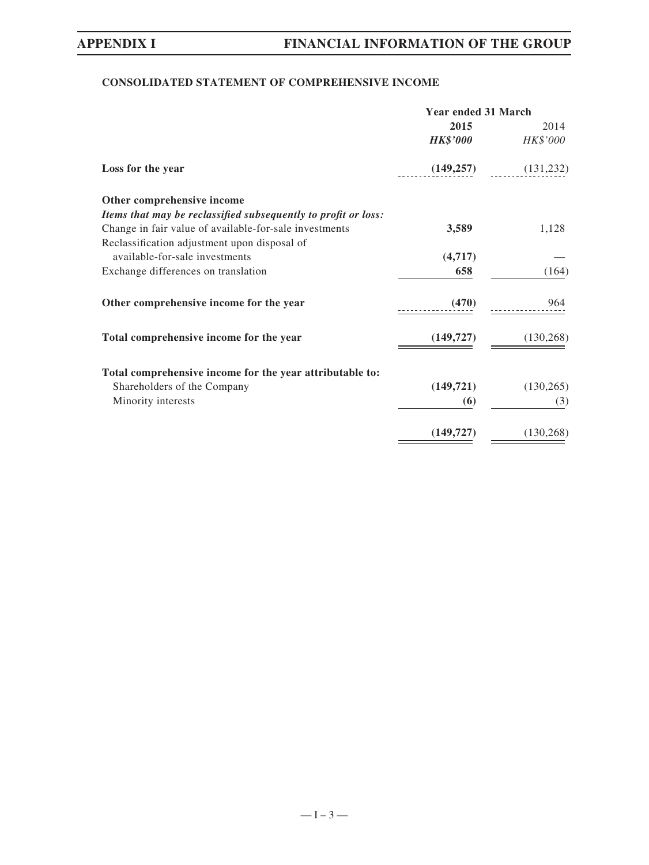## **CONSOLIDATED STATEMENT OF COMPREHENSIVE INCOME**

| <b>Year ended 31 March</b> |                         |  |
|----------------------------|-------------------------|--|
| 2015                       | 2014                    |  |
| <b>HK\$'000</b>            | HK\$'000                |  |
|                            | $(149,257)$ $(131,232)$ |  |
|                            |                         |  |
|                            |                         |  |
| 3,589                      | 1,128                   |  |
|                            |                         |  |
| (4,717)                    |                         |  |
| 658                        | (164)                   |  |
| (470)                      | 964                     |  |
| (149, 727)                 | (130, 268)              |  |
|                            |                         |  |
|                            | (130, 265)              |  |
| (6)                        | (3)                     |  |
| (149, 727)                 | (130, 268)              |  |
|                            | (149, 721)              |  |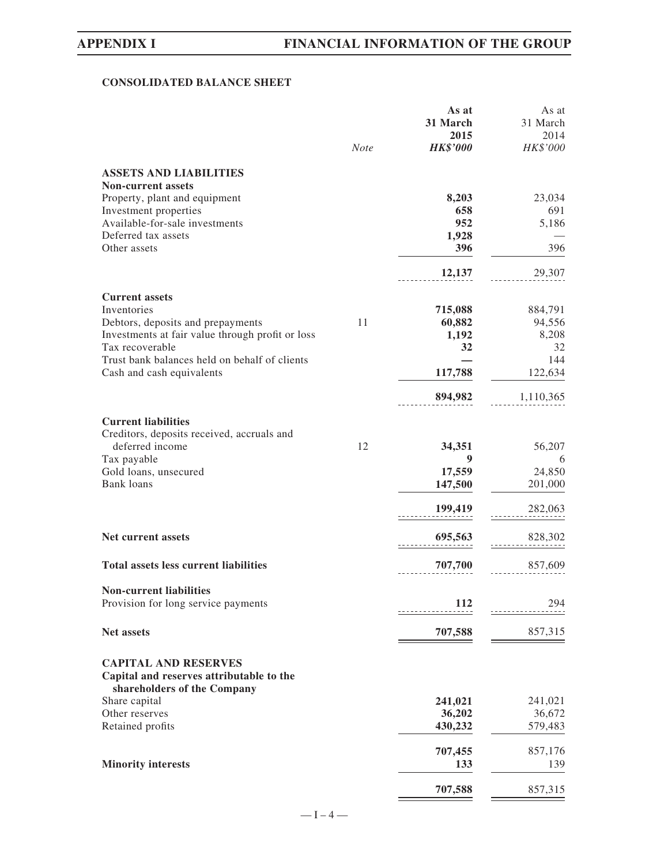## **CONSOLIDATED BALANCE SHEET**

|                                                                         |             | As at           | As at     |
|-------------------------------------------------------------------------|-------------|-----------------|-----------|
|                                                                         |             | 31 March        | 31 March  |
|                                                                         |             | 2015            | 2014      |
|                                                                         | <b>Note</b> | <b>HK\$'000</b> | HK\$'000  |
| <b>ASSETS AND LIABILITIES</b>                                           |             |                 |           |
| <b>Non-current assets</b>                                               |             |                 |           |
| Property, plant and equipment                                           |             | 8,203           | 23,034    |
| Investment properties                                                   |             | 658             | 691       |
| Available-for-sale investments                                          |             | 952             | 5,186     |
| Deferred tax assets                                                     |             | 1,928           |           |
| Other assets                                                            |             | 396             | 396       |
|                                                                         |             | 12,137          | 29,307    |
|                                                                         |             |                 |           |
| <b>Current assets</b><br>Inventories                                    |             | 715,088         | 884,791   |
| Debtors, deposits and prepayments                                       | 11          | 60,882          | 94,556    |
| Investments at fair value through profit or loss                        |             | 1,192           | 8,208     |
| Tax recoverable                                                         |             | 32              | 32        |
| Trust bank balances held on behalf of clients                           |             |                 | 144       |
| Cash and cash equivalents                                               |             | 117,788         | 122,634   |
|                                                                         |             | 894,982         | 1,110,365 |
| <b>Current liabilities</b>                                              |             |                 |           |
| Creditors, deposits received, accruals and                              |             |                 |           |
| deferred income                                                         | 12          | 34,351          | 56,207    |
| Tax payable                                                             |             | 9               | 6         |
| Gold loans, unsecured                                                   |             | 17,559          | 24,850    |
| <b>Bank</b> loans                                                       |             | 147,500         | 201,000   |
|                                                                         |             |                 |           |
|                                                                         |             | 199,419         | 282,063   |
| Net current assets                                                      |             | 695,563         | 828,302   |
|                                                                         |             |                 |           |
| <b>Total assets less current liabilities</b>                            |             | 707,700         | 857,609   |
| <b>Non-current liabilities</b>                                          |             |                 |           |
| Provision for long service payments                                     |             | 112             | 294       |
| <b>Net assets</b>                                                       |             |                 |           |
|                                                                         |             | 707,588         | 857,315   |
| <b>CAPITAL AND RESERVES</b>                                             |             |                 |           |
| Capital and reserves attributable to the<br>shareholders of the Company |             |                 |           |
| Share capital                                                           |             | 241,021         | 241,021   |
| Other reserves                                                          |             | 36,202          | 36,672    |
| Retained profits                                                        |             | 430,232         | 579,483   |
|                                                                         |             | 707,455         | 857,176   |
| <b>Minority interests</b>                                               |             | 133             | 139       |
|                                                                         |             |                 |           |
|                                                                         |             | 707,588         | 857,315   |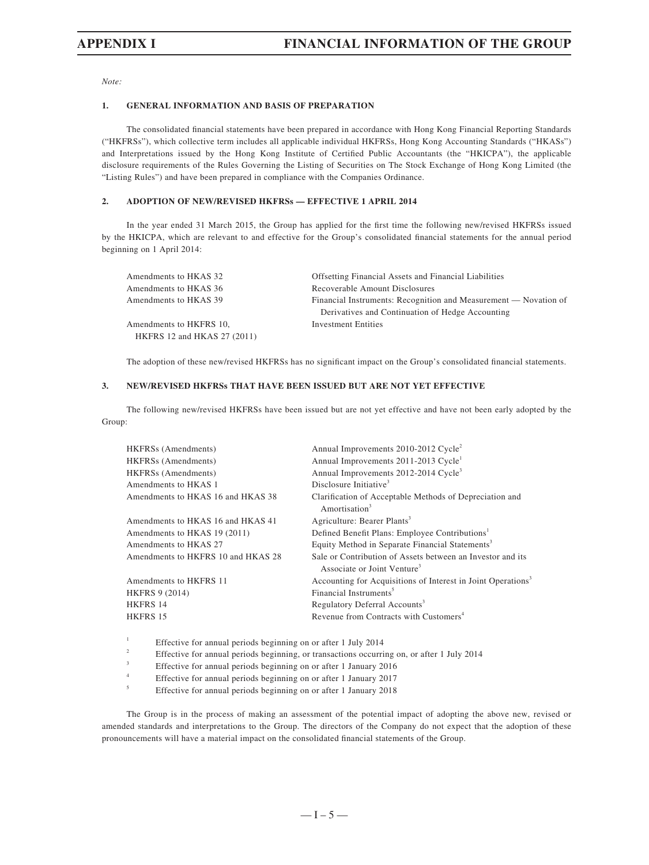*Note:*

#### **1. GENERAL INFORMATION AND BASIS OF PREPARATION**

The consolidated financial statements have been prepared in accordance with Hong Kong Financial Reporting Standards ("HKFRSs"), which collective term includes all applicable individual HKFRSs, Hong Kong Accounting Standards ("HKASs") and Interpretations issued by the Hong Kong Institute of Certified Public Accountants (the "HKICPA"), the applicable disclosure requirements of the Rules Governing the Listing of Securities on The Stock Exchange of Hong Kong Limited (the "Listing Rules") and have been prepared in compliance with the Companies Ordinance.

#### **2. ADOPTION OF NEW/REVISED HKFRSs — EFFECTIVE 1 APRIL 2014**

In the year ended 31 March 2015, the Group has applied for the first time the following new/revised HKFRSs issued by the HKICPA, which are relevant to and effective for the Group's consolidated financial statements for the annual period beginning on 1 April 2014:

| Amendments to HKAS 32       | <b>Offsetting Financial Assets and Financial Liabilities</b>     |
|-----------------------------|------------------------------------------------------------------|
| Amendments to HKAS 36       | Recoverable Amount Disclosures                                   |
| Amendments to HKAS 39       | Financial Instruments: Recognition and Measurement — Novation of |
|                             | Derivatives and Continuation of Hedge Accounting                 |
| Amendments to HKFRS 10,     | Investment Entities                                              |
| HKFRS 12 and HKAS 27 (2011) |                                                                  |

The adoption of these new/revised HKFRSs has no significant impact on the Group's consolidated financial statements.

#### **3. NEW/REVISED HKFRSs THAT HAVE BEEN ISSUED BUT ARE NOT YET EFFECTIVE**

The following new/revised HKFRSs have been issued but are not yet effective and have not been early adopted by the Group:

| HKFRS <sub>s</sub> (Amendments)    | Annual Improvements 2010-2012 Cycle <sup>2</sup>                                                      |
|------------------------------------|-------------------------------------------------------------------------------------------------------|
| HKFRSs (Amendments)                | Annual Improvements 2011-2013 Cycle <sup>1</sup>                                                      |
| HKFRSs (Amendments)                | Annual Improvements 2012-2014 Cycle <sup>3</sup>                                                      |
| Amendments to HKAS 1               | Disclosure Initiative <sup>3</sup>                                                                    |
| Amendments to HKAS 16 and HKAS 38  | Clarification of Acceptable Methods of Depreciation and<br>Amortisation <sup>3</sup>                  |
| Amendments to HKAS 16 and HKAS 41  | Agriculture: Bearer Plants <sup>3</sup>                                                               |
| Amendments to HKAS 19 (2011)       | Defined Benefit Plans: Employee Contributions <sup>1</sup>                                            |
| Amendments to HKAS 27              | Equity Method in Separate Financial Statements <sup>3</sup>                                           |
| Amendments to HKFRS 10 and HKAS 28 | Sale or Contribution of Assets between an Investor and its<br>Associate or Joint Venture <sup>3</sup> |
| Amendments to HKFRS 11             | Accounting for Acquisitions of Interest in Joint Operations <sup>3</sup>                              |
| <b>HKFRS 9 (2014)</b>              | Financial Instruments <sup>5</sup>                                                                    |
| HKFRS 14                           | Regulatory Deferral Accounts <sup>3</sup>                                                             |
| HKFRS 15                           | Revenue from Contracts with Customers <sup>4</sup>                                                    |

1 Effective for annual periods beginning on or after 1 July 2014

2 Effective for annual periods beginning, or transactions occurring on, or after 1 July 2014

3 Effective for annual periods beginning on or after 1 January 2016

4 Effective for annual periods beginning on or after 1 January 2017

5 Effective for annual periods beginning on or after 1 January 2018

The Group is in the process of making an assessment of the potential impact of adopting the above new, revised or amended standards and interpretations to the Group. The directors of the Company do not expect that the adoption of these pronouncements will have a material impact on the consolidated financial statements of the Group.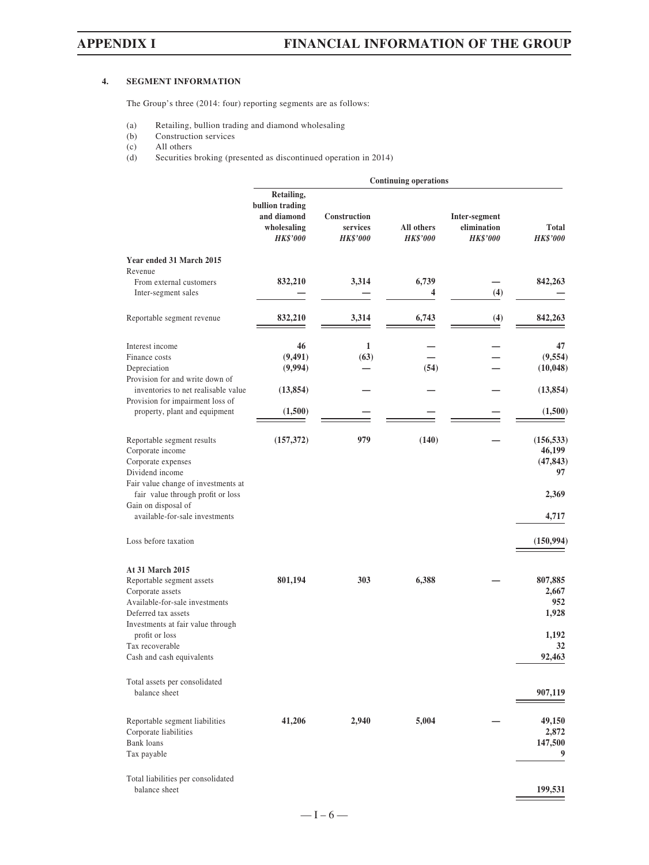#### **4. SEGMENT INFORMATION**

The Group's three (2014: four) reporting segments are as follows:

- (a) Retailing, bullion trading and diamond wholesaling<br>(b) Construction services
- (b) Construction services<br>(c) All others
- (c) All others<br>(d) Securities
- Securities broking (presented as discontinued operation in 2014)

|                                                                                                                                                                                                                                                           |                                                                                |                                             | <b>Continuing operations</b>  |                                                 |                                                                         |
|-----------------------------------------------------------------------------------------------------------------------------------------------------------------------------------------------------------------------------------------------------------|--------------------------------------------------------------------------------|---------------------------------------------|-------------------------------|-------------------------------------------------|-------------------------------------------------------------------------|
|                                                                                                                                                                                                                                                           | Retailing,<br>bullion trading<br>and diamond<br>wholesaling<br><b>HK\$'000</b> | Construction<br>services<br><b>HK\$'000</b> | All others<br><b>HK\$'000</b> | Inter-segment<br>elimination<br><b>HK\$'000</b> | Total<br><b>HK\$'000</b>                                                |
| Year ended 31 March 2015<br>Revenue<br>From external customers<br>Inter-segment sales                                                                                                                                                                     | 832,210                                                                        | 3,314                                       | 6,739<br>4                    | (4)                                             | 842,263                                                                 |
| Reportable segment revenue                                                                                                                                                                                                                                | 832,210                                                                        | 3,314                                       | 6,743                         | (4)                                             | 842,263                                                                 |
| Interest income<br>Finance costs<br>Depreciation<br>Provision for and write down of<br>inventories to net realisable value<br>Provision for impairment loss of<br>property, plant and equipment                                                           | 46<br>(9, 491)<br>(9,994)<br>(13, 854)<br>(1,500)                              | 1<br>(63)                                   | (54)                          |                                                 | 47<br>(9, 554)<br>(10, 048)<br>(13, 854)<br>(1,500)                     |
| Reportable segment results<br>Corporate income<br>Corporate expenses<br>Dividend income<br>Fair value change of investments at<br>fair value through profit or loss<br>Gain on disposal of<br>available-for-sale investments                              | (157, 372)                                                                     | 979                                         | (140)                         |                                                 | (156, 533)<br>46,199<br>(47, 843)<br>97<br>2,369<br>4,717               |
| Loss before taxation<br>At 31 March 2015<br>Reportable segment assets<br>Corporate assets<br>Available-for-sale investments<br>Deferred tax assets<br>Investments at fair value through<br>profit or loss<br>Tax recoverable<br>Cash and cash equivalents | 801,194                                                                        | 303                                         | 6,388                         |                                                 | (150, 994)<br>807,885<br>2,667<br>952<br>1,928<br>1,192<br>32<br>92,463 |
| Total assets per consolidated<br>balance sheet<br>Reportable segment liabilities<br>Corporate liabilities<br>Bank loans<br>Tax payable<br>Total liabilities per consolidated                                                                              | 41,206                                                                         | 2,940                                       | 5,004                         |                                                 | 907,119<br>49,150<br>2,872<br>147,500<br>9                              |
| balance sheet                                                                                                                                                                                                                                             |                                                                                |                                             |                               |                                                 | 199,531                                                                 |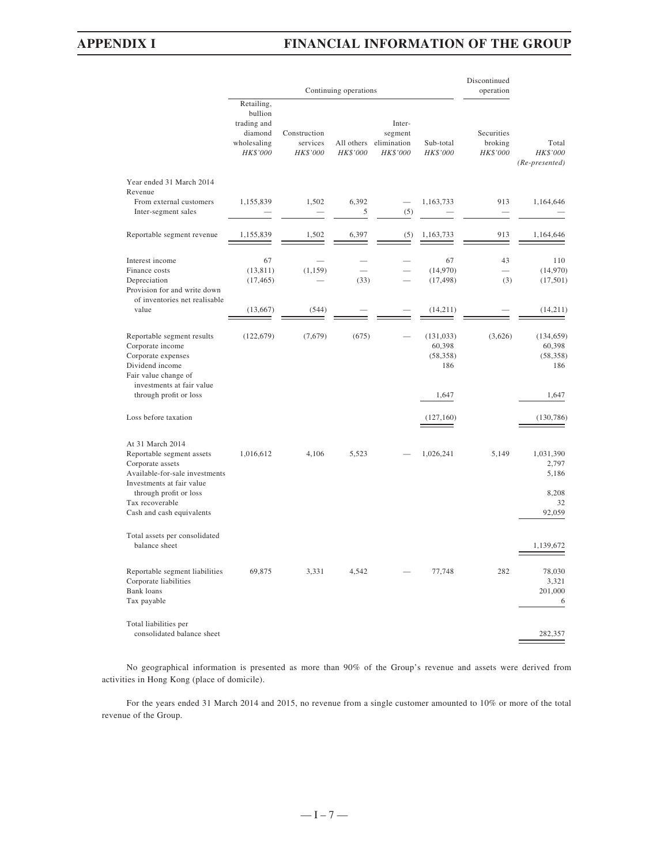## **APPENDIX I FINANCIAL INFORMATION OF THE GROUP**

|                                                                                                                                              |                                                                            |                                      | Continuing operations  |                                              |                                          | Discontinued<br>operation         |                                          |
|----------------------------------------------------------------------------------------------------------------------------------------------|----------------------------------------------------------------------------|--------------------------------------|------------------------|----------------------------------------------|------------------------------------------|-----------------------------------|------------------------------------------|
|                                                                                                                                              | Retailing,<br>bullion<br>trading and<br>diamond<br>wholesaling<br>HK\$'000 | Construction<br>services<br>HK\$'000 | All others<br>HK\$'000 | Inter-<br>segment<br>elimination<br>HK\$'000 | Sub-total<br>HK\$'000                    | Securities<br>broking<br>HK\$'000 | Total<br>HK\$'000<br>(Re-presented)      |
| Year ended 31 March 2014<br>Revenue                                                                                                          |                                                                            |                                      |                        |                                              |                                          |                                   |                                          |
| From external customers<br>Inter-segment sales                                                                                               | 1,155,839                                                                  | 1,502                                | 6,392<br>5             | $\overline{\phantom{0}}$<br>(5)              | 1,163,733                                | 913                               | 1,164,646                                |
| Reportable segment revenue                                                                                                                   | 1,155,839                                                                  | 1,502                                | 6,397                  | (5)                                          | 1,163,733                                | 913                               | 1,164,646                                |
| Interest income<br>Finance costs<br>Depreciation<br>Provision for and write down                                                             | 67<br>(13, 811)<br>(17, 465)                                               | (1, 159)                             | (33)                   |                                              | 67<br>(14,970)<br>(17, 498)              | 43<br>(3)                         | 110<br>(14,970)<br>(17, 501)             |
| of inventories net realisable<br>value                                                                                                       | (13,667)                                                                   | (544)                                |                        |                                              | (14,211)                                 |                                   | (14,211)                                 |
| Reportable segment results<br>Corporate income<br>Corporate expenses<br>Dividend income<br>Fair value change of<br>investments at fair value | (122, 679)                                                                 | (7,679)                              | (675)                  |                                              | (131, 033)<br>60,398<br>(58, 358)<br>186 | (3,626)                           | (134, 659)<br>60,398<br>(58, 358)<br>186 |
| through profit or loss                                                                                                                       |                                                                            |                                      |                        |                                              | 1,647                                    |                                   | 1,647                                    |
| Loss before taxation                                                                                                                         |                                                                            |                                      |                        |                                              | (127,160)                                |                                   | (130, 786)                               |
| At 31 March 2014<br>Reportable segment assets<br>Corporate assets<br>Available-for-sale investments<br>Investments at fair value             | 1,016,612                                                                  | 4,106                                | 5,523                  |                                              | 1,026,241                                | 5,149                             | 1,031,390<br>2,797<br>5,186              |
| through profit or loss<br>Tax recoverable<br>Cash and cash equivalents                                                                       |                                                                            |                                      |                        |                                              |                                          |                                   | 8,208<br>32<br>92,059                    |
| Total assets per consolidated<br>balance sheet                                                                                               |                                                                            |                                      |                        |                                              |                                          |                                   | 1,139,672                                |
| Reportable segment liabilities<br>Corporate liabilities<br>Bank loans<br>Tax payable                                                         | 69,875                                                                     | 3,331                                | 4,542                  |                                              | 77,748                                   | 282                               | 78,030<br>3,321<br>201,000<br>6          |
| Total liabilities per<br>consolidated balance sheet                                                                                          |                                                                            |                                      |                        |                                              |                                          |                                   | 282,357                                  |

No geographical information is presented as more than 90% of the Group's revenue and assets were derived from activities in Hong Kong (place of domicile).

For the years ended 31 March 2014 and 2015, no revenue from a single customer amounted to 10% or more of the total revenue of the Group.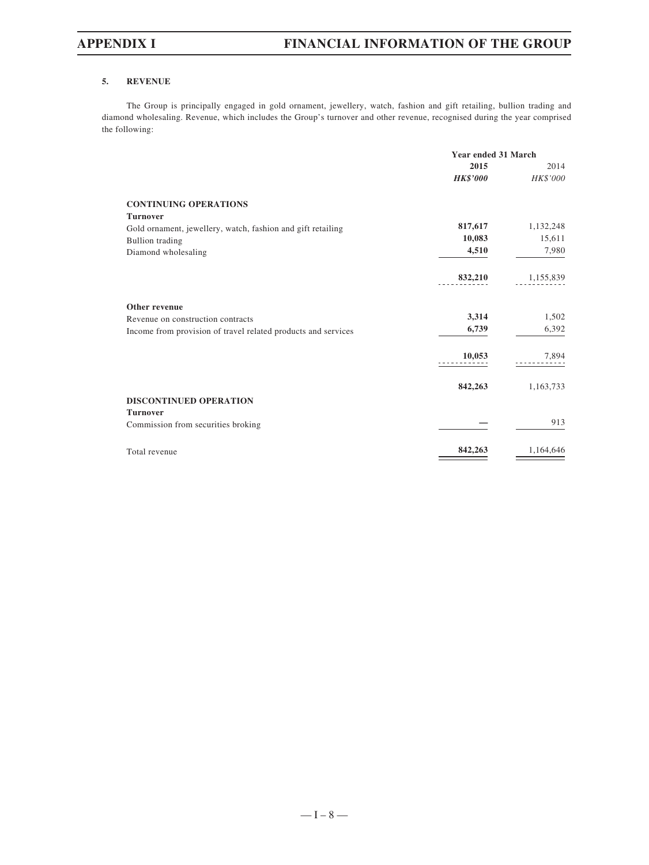#### **5. REVENUE**

The Group is principally engaged in gold ornament, jewellery, watch, fashion and gift retailing, bullion trading and diamond wholesaling. Revenue, which includes the Group's turnover and other revenue, recognised during the year comprised the following:

|                                                               | Year ended 31 March |           |  |
|---------------------------------------------------------------|---------------------|-----------|--|
|                                                               | 2015                | 2014      |  |
|                                                               | <b>HK\$'000</b>     | HK\$'000  |  |
| <b>CONTINUING OPERATIONS</b>                                  |                     |           |  |
| <b>Turnover</b>                                               |                     |           |  |
| Gold ornament, jewellery, watch, fashion and gift retailing   | 817,617             | 1,132,248 |  |
| <b>Bullion</b> trading                                        | 10,083              | 15,611    |  |
| Diamond wholesaling                                           | 4,510               | 7,980     |  |
|                                                               | 832,210             | 1,155,839 |  |
| Other revenue                                                 |                     |           |  |
| Revenue on construction contracts                             | 3,314               | 1,502     |  |
| Income from provision of travel related products and services | 6,739               | 6,392     |  |
|                                                               | 10,053              | 7,894     |  |
|                                                               | 842,263             | 1,163,733 |  |
| DISCONTINUED OPERATION                                        |                     |           |  |
| <b>Turnover</b>                                               |                     |           |  |
| Commission from securities broking                            |                     | 913       |  |
| Total revenue                                                 | 842,263             | 1,164,646 |  |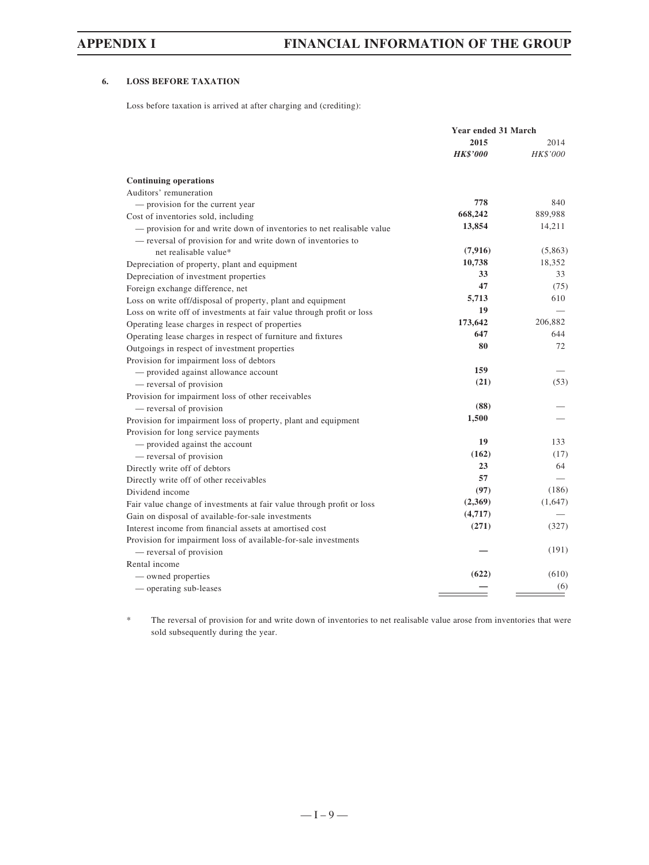### **6. LOSS BEFORE TAXATION**

Loss before taxation is arrived at after charging and (crediting):

|                                                                       | Year ended 31 March |          |
|-----------------------------------------------------------------------|---------------------|----------|
|                                                                       | 2015                | 2014     |
|                                                                       | <b>HK\$'000</b>     | HK\$'000 |
| <b>Continuing operations</b>                                          |                     |          |
| Auditors' remuneration                                                |                     |          |
| - provision for the current year                                      | 778                 | 840      |
| Cost of inventories sold, including                                   | 668,242             | 889,988  |
| - provision for and write down of inventories to net realisable value | 13,854              | 14,211   |
| - reversal of provision for and write down of inventories to          |                     |          |
| net realisable value*                                                 | (7,916)             | (5,863)  |
| Depreciation of property, plant and equipment                         | 10,738              | 18,352   |
| Depreciation of investment properties                                 | 33                  | 33       |
| Foreign exchange difference, net                                      | 47                  | (75)     |
| Loss on write off/disposal of property, plant and equipment           | 5,713               | 610      |
| Loss on write off of investments at fair value through profit or loss | 19                  |          |
| Operating lease charges in respect of properties                      | 173,642             | 206,882  |
| Operating lease charges in respect of furniture and fixtures          | 647                 | 644      |
| Outgoings in respect of investment properties                         | 80                  | 72       |
| Provision for impairment loss of debtors                              |                     |          |
| - provided against allowance account                                  | 159                 |          |
| - reversal of provision                                               | (21)                | (53)     |
| Provision for impairment loss of other receivables                    |                     |          |
| — reversal of provision                                               | (88)                |          |
| Provision for impairment loss of property, plant and equipment        | 1,500               |          |
| Provision for long service payments                                   |                     |          |
| - provided against the account                                        | 19                  | 133      |
| - reversal of provision                                               | (162)               | (17)     |
| Directly write off of debtors                                         | 23                  | 64       |
| Directly write off of other receivables                               | 57                  |          |
| Dividend income                                                       | (97)                | (186)    |
| Fair value change of investments at fair value through profit or loss | (2,369)             | (1,647)  |
| Gain on disposal of available-for-sale investments                    | (4,717)             |          |
| Interest income from financial assets at amortised cost               | (271)               | (327)    |
| Provision for impairment loss of available-for-sale investments       |                     |          |
| — reversal of provision                                               |                     | (191)    |
| Rental income                                                         |                     |          |
| — owned properties                                                    | (622)               | (610)    |
| — operating sub-leases                                                |                     | (6)      |
|                                                                       |                     |          |

\* The reversal of provision for and write down of inventories to net realisable value arose from inventories that were sold subsequently during the year.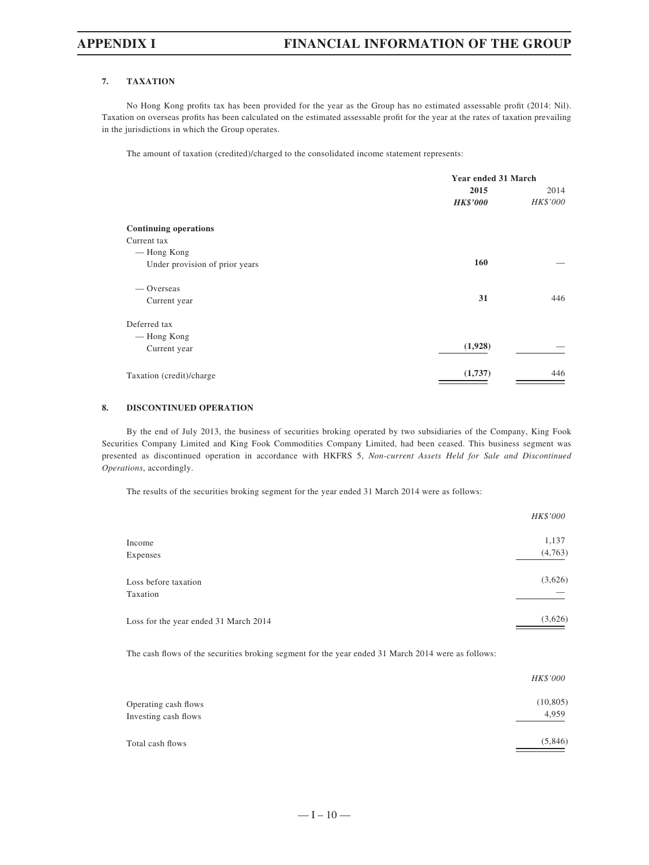#### **7. TAXATION**

No Hong Kong profits tax has been provided for the year as the Group has no estimated assessable profit (2014: Nil). Taxation on overseas profits has been calculated on the estimated assessable profit for the year at the rates of taxation prevailing in the jurisdictions in which the Group operates.

The amount of taxation (credited)/charged to the consolidated income statement represents:

|                                | Year ended 31 March |          |
|--------------------------------|---------------------|----------|
|                                | 2015                | 2014     |
|                                | <b>HK\$'000</b>     | HK\$'000 |
| <b>Continuing operations</b>   |                     |          |
| Current tax                    |                     |          |
| — Hong Kong                    |                     |          |
| Under provision of prior years | 160                 |          |
| — Overseas                     |                     |          |
| Current year                   | 31                  | 446      |
| Deferred tax                   |                     |          |
| — Hong Kong                    |                     |          |
| Current year                   | (1,928)             |          |
| Taxation (credit)/charge       | (1,737)             | 446      |

#### **8. DISCONTINUED OPERATION**

By the end of July 2013, the business of securities broking operated by two subsidiaries of the Company, King Fook Securities Company Limited and King Fook Commodities Company Limited, had been ceased. This business segment was presented as discontinued operation in accordance with HKFRS 5, *Non-current Assets Held for Sale and Discontinued Operations*, accordingly.

The results of the securities broking segment for the year ended 31 March 2014 were as follows:

|                                       | HK\$'000 |
|---------------------------------------|----------|
| Income                                | 1,137    |
| Expenses                              | (4,763)  |
| Loss before taxation                  | (3,626)  |
| Taxation                              |          |
| Loss for the year ended 31 March 2014 | (3,626)  |

The cash flows of the securities broking segment for the year ended 31 March 2014 were as follows:

|                      | HK\$'000  |
|----------------------|-----------|
| Operating cash flows | (10, 805) |
| Investing cash flows | 4,959     |
| Total cash flows     | (5,846)   |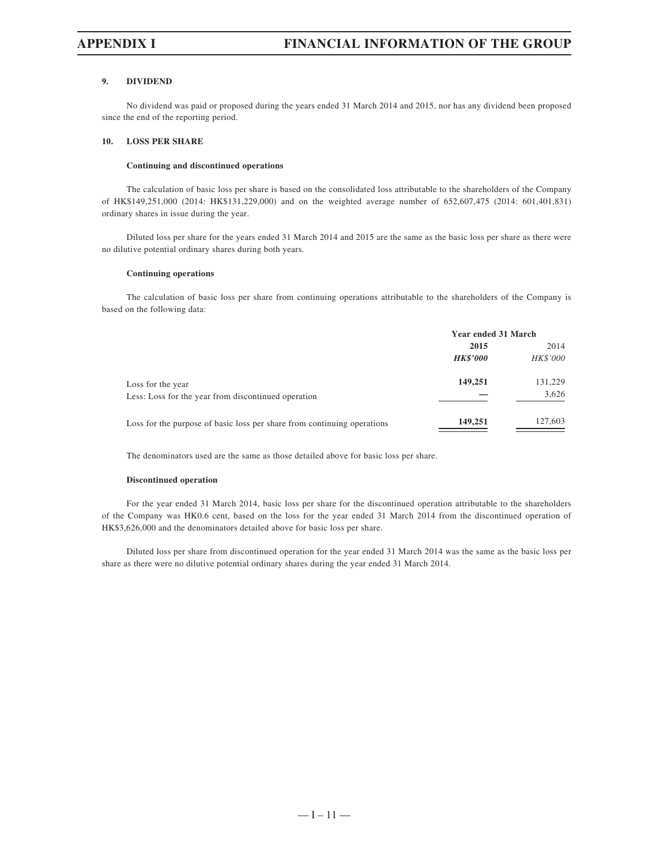#### **9. DIVIDEND**

No dividend was paid or proposed during the years ended 31 March 2014 and 2015, nor has any dividend been proposed since the end of the reporting period.

#### **10. LOSS PER SHARE**

### **Continuing and discontinued operations**

The calculation of basic loss per share is based on the consolidated loss attributable to the shareholders of the Company of HK\$149,251,000 (2014: HK\$131,229,000) and on the weighted average number of 652,607,475 (2014: 601,401,831) ordinary shares in issue during the year.

Diluted loss per share for the years ended 31 March 2014 and 2015 are the same as the basic loss per share as there were no dilutive potential ordinary shares during both years.

#### **Continuing operations**

The calculation of basic loss per share from continuing operations attributable to the shareholders of the Company is based on the following data:

|                                                                         | Year ended 31 March |          |
|-------------------------------------------------------------------------|---------------------|----------|
|                                                                         | 2015                | 2014     |
|                                                                         | <b>HK\$'000</b>     | HK\$'000 |
| Loss for the year                                                       | 149,251             | 131,229  |
| Less: Loss for the year from discontinued operation                     |                     | 3,626    |
| Loss for the purpose of basic loss per share from continuing operations | 149,251             | 127,603  |
|                                                                         |                     |          |

The denominators used are the same as those detailed above for basic loss per share.

#### **Discontinued operation**

For the year ended 31 March 2014, basic loss per share for the discontinued operation attributable to the shareholders of the Company was HK0.6 cent, based on the loss for the year ended 31 March 2014 from the discontinued operation of HK\$3,626,000 and the denominators detailed above for basic loss per share.

Diluted loss per share from discontinued operation for the year ended 31 March 2014 was the same as the basic loss per share as there were no dilutive potential ordinary shares during the year ended 31 March 2014.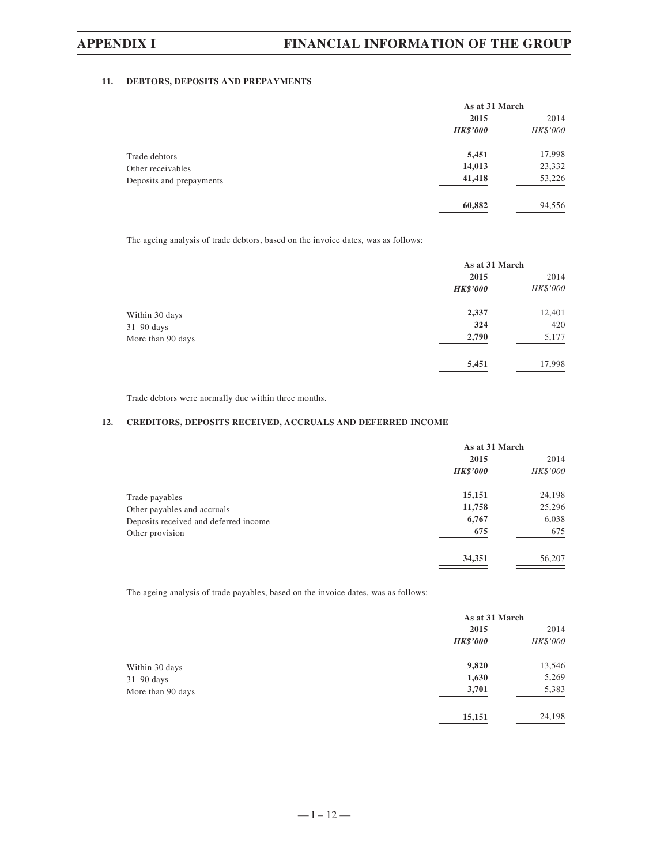#### **11. DEBTORS, DEPOSITS AND PREPAYMENTS**

|                          | As at 31 March  |          |
|--------------------------|-----------------|----------|
|                          | 2015            | 2014     |
|                          | <b>HK\$'000</b> | HK\$'000 |
| Trade debtors            | 5,451           | 17,998   |
| Other receivables        | 14,013          | 23,332   |
| Deposits and prepayments | 41,418          | 53,226   |
|                          | 60,882          | 94,556   |

The ageing analysis of trade debtors, based on the invoice dates, was as follows:

|                   | As at 31 March  |                 |
|-------------------|-----------------|-----------------|
|                   | 2015            | 2014            |
|                   | <b>HK\$'000</b> | <b>HK\$'000</b> |
| Within 30 days    | 2,337           | 12,401          |
| $31-90$ days      | 324             | 420             |
| More than 90 days | 2,790           | 5,177           |
|                   | 5,451           | 17,998          |

Trade debtors were normally due within three months.

#### **12. CREDITORS, DEPOSITS RECEIVED, ACCRUALS AND DEFERRED INCOME**

|                                       | As at 31 March  |          |
|---------------------------------------|-----------------|----------|
|                                       | 2015            | 2014     |
|                                       | <b>HK\$'000</b> | HK\$'000 |
| Trade payables                        | 15,151          | 24,198   |
| Other payables and accruals           | 11,758          | 25,296   |
| Deposits received and deferred income | 6,767           | 6,038    |
| Other provision                       | 675             | 675      |
|                                       | 34,351          | 56,207   |

The ageing analysis of trade payables, based on the invoice dates, was as follows:

|                   | As at 31 March  |          |
|-------------------|-----------------|----------|
|                   | 2015            | 2014     |
|                   | <b>HK\$'000</b> | HK\$'000 |
| Within 30 days    | 9,820           | 13,546   |
| $31-90$ days      | 1,630           | 5,269    |
| More than 90 days | 3,701           | 5,383    |
|                   | 15,151          | 24,198   |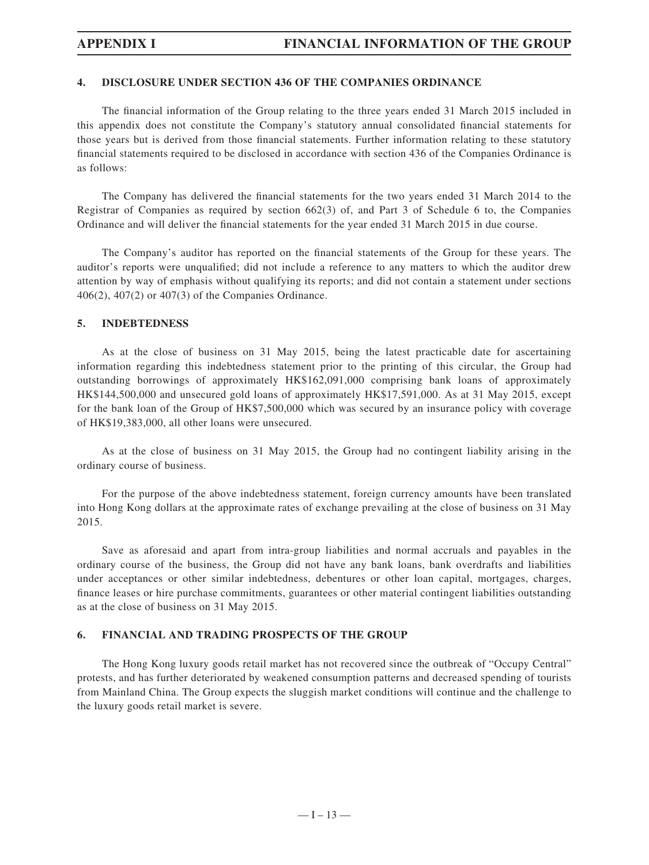### **4. DISCLOSURE UNDER SECTION 436 OF THE COMPANIES ORDINANCE**

The financial information of the Group relating to the three years ended 31 March 2015 included in this appendix does not constitute the Company's statutory annual consolidated financial statements for those years but is derived from those financial statements. Further information relating to these statutory financial statements required to be disclosed in accordance with section 436 of the Companies Ordinance is as follows:

The Company has delivered the financial statements for the two years ended 31 March 2014 to the Registrar of Companies as required by section 662(3) of, and Part 3 of Schedule 6 to, the Companies Ordinance and will deliver the financial statements for the year ended 31 March 2015 in due course.

The Company's auditor has reported on the financial statements of the Group for these years. The auditor's reports were unqualified; did not include a reference to any matters to which the auditor drew attention by way of emphasis without qualifying its reports; and did not contain a statement under sections 406(2), 407(2) or 407(3) of the Companies Ordinance.

### **5. INDEBTEDNESS**

As at the close of business on 31 May 2015, being the latest practicable date for ascertaining information regarding this indebtedness statement prior to the printing of this circular, the Group had outstanding borrowings of approximately HK\$162,091,000 comprising bank loans of approximately HK\$144,500,000 and unsecured gold loans of approximately HK\$17,591,000. As at 31 May 2015, except for the bank loan of the Group of HK\$7,500,000 which was secured by an insurance policy with coverage of HK\$19,383,000, all other loans were unsecured.

As at the close of business on 31 May 2015, the Group had no contingent liability arising in the ordinary course of business.

For the purpose of the above indebtedness statement, foreign currency amounts have been translated into Hong Kong dollars at the approximate rates of exchange prevailing at the close of business on 31 May 2015.

Save as aforesaid and apart from intra-group liabilities and normal accruals and payables in the ordinary course of the business, the Group did not have any bank loans, bank overdrafts and liabilities under acceptances or other similar indebtedness, debentures or other loan capital, mortgages, charges, finance leases or hire purchase commitments, guarantees or other material contingent liabilities outstanding as at the close of business on 31 May 2015.

### **6. FINANCIAL AND TRADING PROSPECTS OF THE GROUP**

The Hong Kong luxury goods retail market has not recovered since the outbreak of "Occupy Central" protests, and has further deteriorated by weakened consumption patterns and decreased spending of tourists from Mainland China. The Group expects the sluggish market conditions will continue and the challenge to the luxury goods retail market is severe.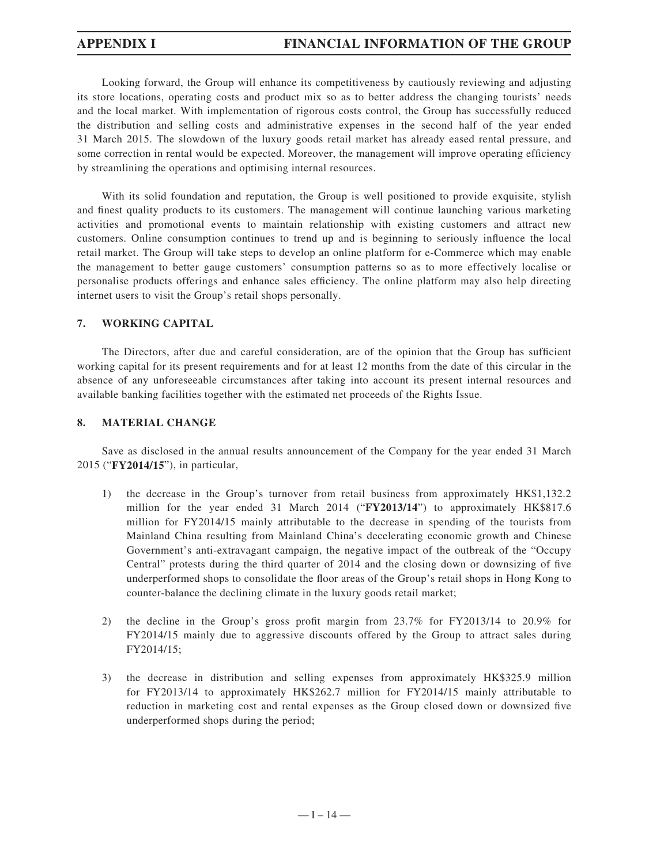Looking forward, the Group will enhance its competitiveness by cautiously reviewing and adjusting its store locations, operating costs and product mix so as to better address the changing tourists' needs and the local market. With implementation of rigorous costs control, the Group has successfully reduced the distribution and selling costs and administrative expenses in the second half of the year ended 31 March 2015. The slowdown of the luxury goods retail market has already eased rental pressure, and some correction in rental would be expected. Moreover, the management will improve operating efficiency by streamlining the operations and optimising internal resources.

With its solid foundation and reputation, the Group is well positioned to provide exquisite, stylish and finest quality products to its customers. The management will continue launching various marketing activities and promotional events to maintain relationship with existing customers and attract new customers. Online consumption continues to trend up and is beginning to seriously influence the local retail market. The Group will take steps to develop an online platform for e-Commerce which may enable the management to better gauge customers' consumption patterns so as to more effectively localise or personalise products offerings and enhance sales efficiency. The online platform may also help directing internet users to visit the Group's retail shops personally.

## **7. WORKING CAPITAL**

The Directors, after due and careful consideration, are of the opinion that the Group has sufficient working capital for its present requirements and for at least 12 months from the date of this circular in the absence of any unforeseeable circumstances after taking into account its present internal resources and available banking facilities together with the estimated net proceeds of the Rights Issue.

## **8. MATERIAL CHANGE**

Save as disclosed in the annual results announcement of the Company for the year ended 31 March 2015 ("**FY2014/15**"), in particular,

- 1) the decrease in the Group's turnover from retail business from approximately HK\$1,132.2 million for the year ended 31 March 2014 ("**FY2013/14**") to approximately HK\$817.6 million for FY2014/15 mainly attributable to the decrease in spending of the tourists from Mainland China resulting from Mainland China's decelerating economic growth and Chinese Government's anti-extravagant campaign, the negative impact of the outbreak of the "Occupy Central" protests during the third quarter of 2014 and the closing down or downsizing of five underperformed shops to consolidate the floor areas of the Group's retail shops in Hong Kong to counter-balance the declining climate in the luxury goods retail market;
- 2) the decline in the Group's gross profit margin from  $23.7\%$  for FY2013/14 to  $20.9\%$  for FY2014/15 mainly due to aggressive discounts offered by the Group to attract sales during FY2014/15;
- 3) the decrease in distribution and selling expenses from approximately HK\$325.9 million for FY2013/14 to approximately HK\$262.7 million for FY2014/15 mainly attributable to reduction in marketing cost and rental expenses as the Group closed down or downsized five underperformed shops during the period;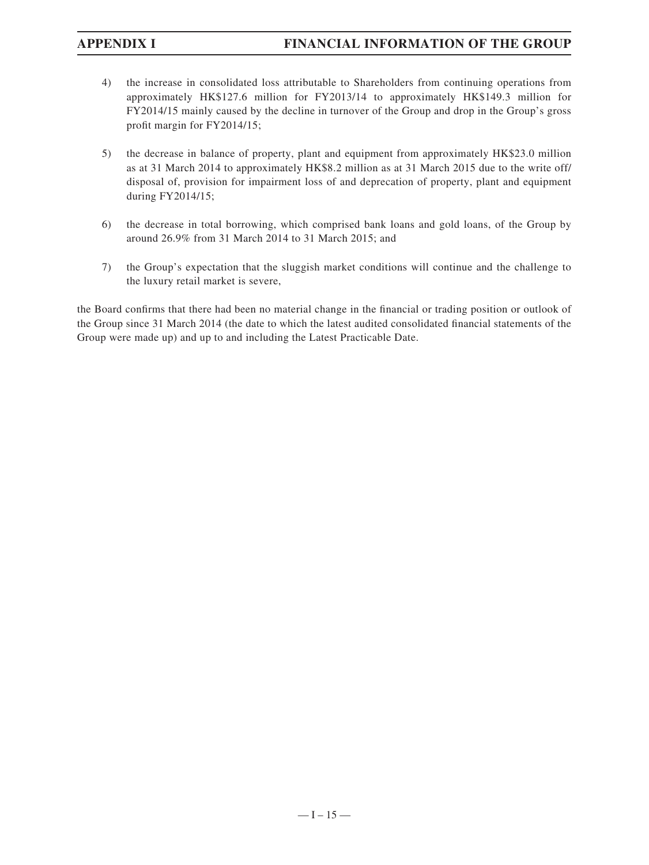- 4) the increase in consolidated loss attributable to Shareholders from continuing operations from approximately HK\$127.6 million for FY2013/14 to approximately HK\$149.3 million for FY2014/15 mainly caused by the decline in turnover of the Group and drop in the Group's gross profit margin for  $FY2014/15$ ;
- 5) the decrease in balance of property, plant and equipment from approximately HK\$23.0 million as at 31 March 2014 to approximately HK\$8.2 million as at 31 March 2015 due to the write off/ disposal of, provision for impairment loss of and deprecation of property, plant and equipment during FY2014/15;
- 6) the decrease in total borrowing, which comprised bank loans and gold loans, of the Group by around 26.9% from 31 March 2014 to 31 March 2015; and
- 7) the Group's expectation that the sluggish market conditions will continue and the challenge to the luxury retail market is severe,

the Board confirms that there had been no material change in the financial or trading position or outlook of the Group since 31 March 2014 (the date to which the latest audited consolidated financial statements of the Group were made up) and up to and including the Latest Practicable Date.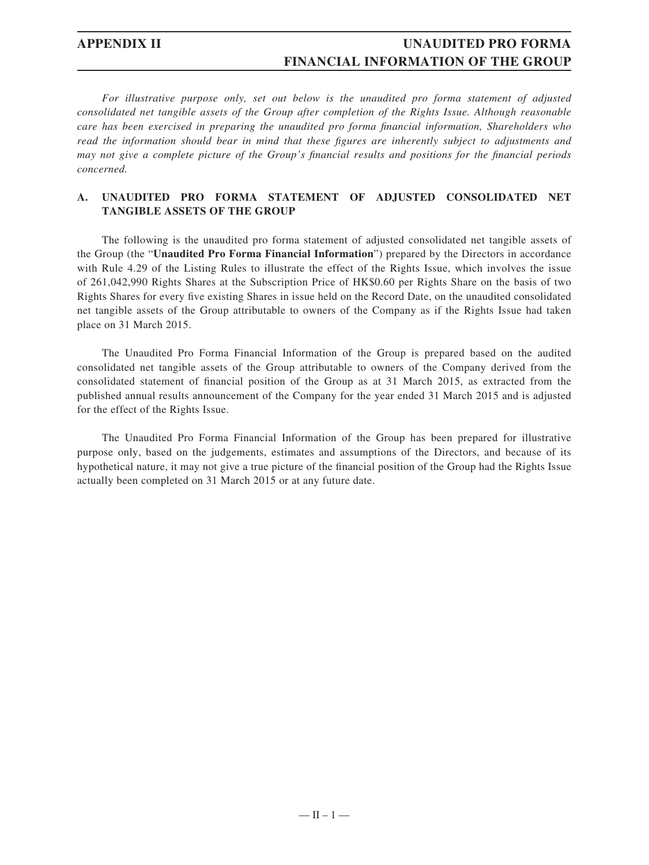*For illustrative purpose only, set out below is the unaudited pro forma statement of adjusted consolidated net tangible assets of the Group after completion of the Rights Issue. Although reasonable care has been exercised in preparing the unaudited pro forma financial information, Shareholders who read the information should bear in mind that these figures are inherently subject to adjustments and may not give a complete picture of the Group's financial results and positions for the financial periods concerned.*

### **A. UNAUDITED PRO FORMA STATEMENT OF ADJUSTED CONSOLIDATED NET TANGIBLE ASSETS OF THE GROUP**

The following is the unaudited pro forma statement of adjusted consolidated net tangible assets of the Group (the "**Unaudited Pro Forma Financial Information**") prepared by the Directors in accordance with Rule 4.29 of the Listing Rules to illustrate the effect of the Rights Issue, which involves the issue of 261,042,990 Rights Shares at the Subscription Price of HK\$0.60 per Rights Share on the basis of two Rights Shares for every five existing Shares in issue held on the Record Date, on the unaudited consolidated net tangible assets of the Group attributable to owners of the Company as if the Rights Issue had taken place on 31 March 2015.

The Unaudited Pro Forma Financial Information of the Group is prepared based on the audited consolidated net tangible assets of the Group attributable to owners of the Company derived from the consolidated statement of financial position of the Group as at 31 March 2015, as extracted from the published annual results announcement of the Company for the year ended 31 March 2015 and is adjusted for the effect of the Rights Issue.

The Unaudited Pro Forma Financial Information of the Group has been prepared for illustrative purpose only, based on the judgements, estimates and assumptions of the Directors, and because of its hypothetical nature, it may not give a true picture of the financial position of the Group had the Rights Issue actually been completed on 31 March 2015 or at any future date.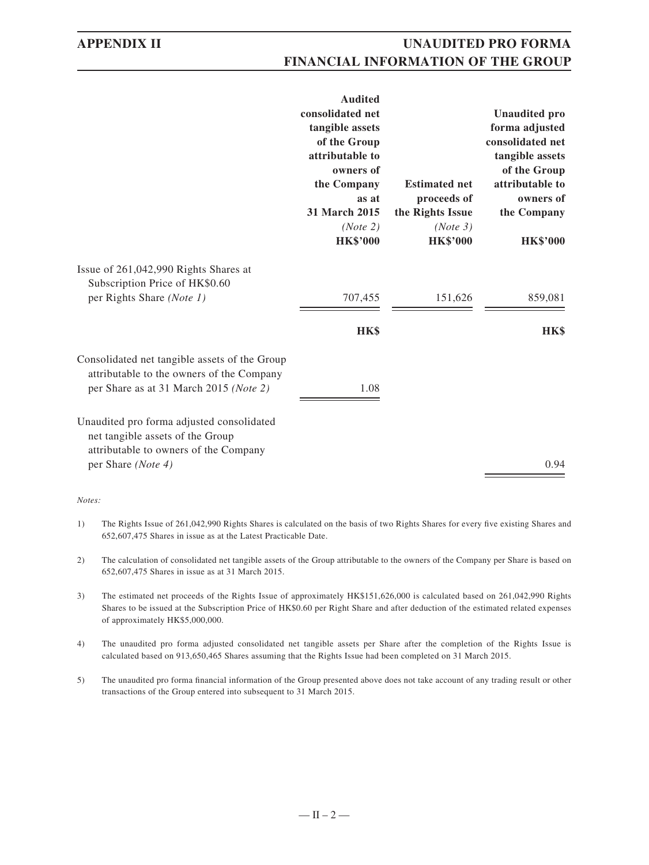|                                                                                                                                      | <b>Audited</b><br>consolidated net<br>tangible assets<br>of the Group<br>attributable to<br>owners of |                              | <b>Unaudited pro</b><br>forma adjusted<br>consolidated net<br>tangible assets<br>of the Group |
|--------------------------------------------------------------------------------------------------------------------------------------|-------------------------------------------------------------------------------------------------------|------------------------------|-----------------------------------------------------------------------------------------------|
|                                                                                                                                      | the Company                                                                                           | <b>Estimated net</b>         | attributable to                                                                               |
|                                                                                                                                      | as at<br><b>31 March 2015</b>                                                                         | proceeds of                  | owners of                                                                                     |
|                                                                                                                                      | (Note 2)                                                                                              | the Rights Issue<br>(Note 3) | the Company                                                                                   |
|                                                                                                                                      | <b>HK\$'000</b>                                                                                       | <b>HK\$'000</b>              | <b>HK\$'000</b>                                                                               |
| Issue of 261,042,990 Rights Shares at<br>Subscription Price of HK\$0.60                                                              |                                                                                                       |                              |                                                                                               |
| per Rights Share (Note 1)                                                                                                            | 707,455                                                                                               | 151,626                      | 859,081                                                                                       |
|                                                                                                                                      | HK\$                                                                                                  |                              | HK\$                                                                                          |
| Consolidated net tangible assets of the Group<br>attributable to the owners of the Company<br>per Share as at 31 March 2015 (Note 2) | 1.08                                                                                                  |                              |                                                                                               |
| Unaudited pro forma adjusted consolidated<br>net tangible assets of the Group<br>attributable to owners of the Company               |                                                                                                       |                              |                                                                                               |
| per Share (Note 4)                                                                                                                   |                                                                                                       |                              | 0.94                                                                                          |

#### *Notes:*

- 1) The Rights Issue of 261,042,990 Rights Shares is calculated on the basis of two Rights Shares for every five existing Shares and 652,607,475 Shares in issue as at the Latest Practicable Date.
- 2) The calculation of consolidated net tangible assets of the Group attributable to the owners of the Company per Share is based on 652,607,475 Shares in issue as at 31 March 2015.
- 3) The estimated net proceeds of the Rights Issue of approximately HK\$151,626,000 is calculated based on 261,042,990 Rights Shares to be issued at the Subscription Price of HK\$0.60 per Right Share and after deduction of the estimated related expenses of approximately HK\$5,000,000.
- 4) The unaudited pro forma adjusted consolidated net tangible assets per Share after the completion of the Rights Issue is calculated based on 913,650,465 Shares assuming that the Rights Issue had been completed on 31 March 2015.
- 5) The unaudited pro forma financial information of the Group presented above does not take account of any trading result or other transactions of the Group entered into subsequent to 31 March 2015.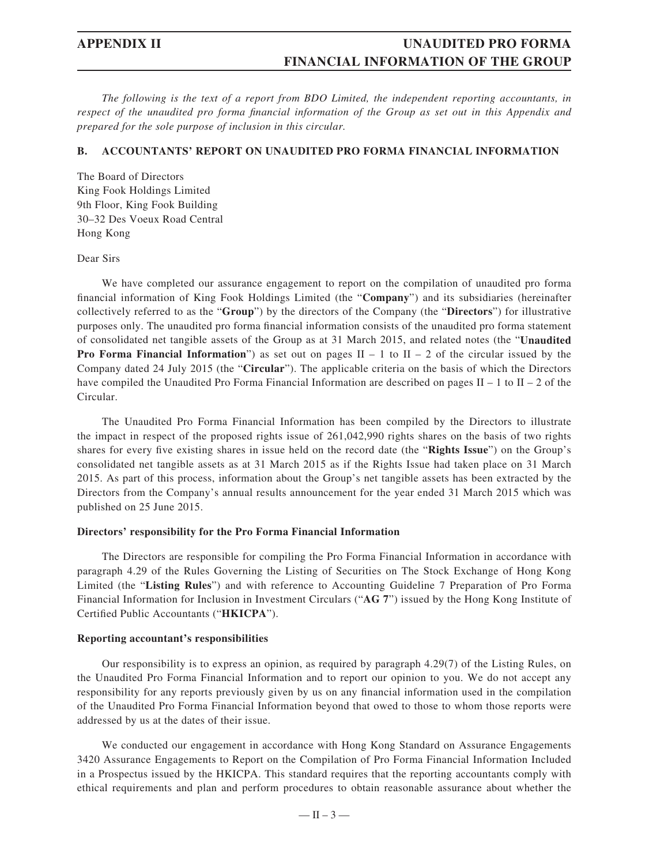*The following is the text of a report from BDO Limited, the independent reporting accountants, in respect of the unaudited pro forma financial information of the Group as set out in this Appendix and prepared for the sole purpose of inclusion in this circular.*

#### **B. ACCOUNTANTS' REPORT ON UNAUDITED PRO FORMA FINANCIAL INFORMATION**

The Board of Directors King Fook Holdings Limited 9th Floor, King Fook Building 30–32 Des Voeux Road Central Hong Kong

Dear Sirs

We have completed our assurance engagement to report on the compilation of unaudited pro forma fi nancial information of King Fook Holdings Limited (the "**Company**") and its subsidiaries (hereinafter collectively referred to as the "**Group**") by the directors of the Company (the "**Directors**") for illustrative purposes only. The unaudited pro forma financial information consists of the unaudited pro forma statement of consolidated net tangible assets of the Group as at 31 March 2015, and related notes (the "**Unaudited Pro Forma Financial Information**") as set out on pages  $II - 1$  to  $II - 2$  of the circular issued by the Company dated 24 July 2015 (the "**Circular**"). The applicable criteria on the basis of which the Directors have compiled the Unaudited Pro Forma Financial Information are described on pages  $II - 1$  to  $II - 2$  of the Circular.

The Unaudited Pro Forma Financial Information has been compiled by the Directors to illustrate the impact in respect of the proposed rights issue of 261,042,990 rights shares on the basis of two rights shares for every five existing shares in issue held on the record date (the "**Rights Issue**") on the Group's consolidated net tangible assets as at 31 March 2015 as if the Rights Issue had taken place on 31 March 2015. As part of this process, information about the Group's net tangible assets has been extracted by the Directors from the Company's annual results announcement for the year ended 31 March 2015 which was published on 25 June 2015.

#### **Directors' responsibility for the Pro Forma Financial Information**

The Directors are responsible for compiling the Pro Forma Financial Information in accordance with paragraph 4.29 of the Rules Governing the Listing of Securities on The Stock Exchange of Hong Kong Limited (the "**Listing Rules**") and with reference to Accounting Guideline 7 Preparation of Pro Forma Financial Information for Inclusion in Investment Circulars ("**AG 7**") issued by the Hong Kong Institute of Certified Public Accountants ("HKICPA").

#### **Reporting accountant's responsibilities**

Our responsibility is to express an opinion, as required by paragraph 4.29(7) of the Listing Rules, on the Unaudited Pro Forma Financial Information and to report our opinion to you. We do not accept any responsibility for any reports previously given by us on any financial information used in the compilation of the Unaudited Pro Forma Financial Information beyond that owed to those to whom those reports were addressed by us at the dates of their issue.

We conducted our engagement in accordance with Hong Kong Standard on Assurance Engagements 3420 Assurance Engagements to Report on the Compilation of Pro Forma Financial Information Included in a Prospectus issued by the HKICPA. This standard requires that the reporting accountants comply with ethical requirements and plan and perform procedures to obtain reasonable assurance about whether the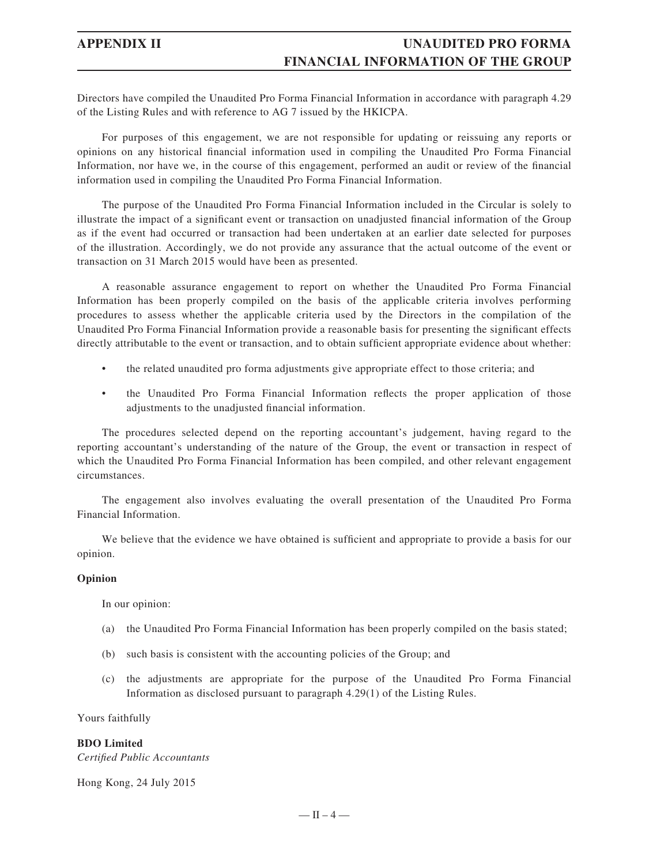Directors have compiled the Unaudited Pro Forma Financial Information in accordance with paragraph 4.29 of the Listing Rules and with reference to AG 7 issued by the HKICPA.

For purposes of this engagement, we are not responsible for updating or reissuing any reports or opinions on any historical financial information used in compiling the Unaudited Pro Forma Financial Information, nor have we, in the course of this engagement, performed an audit or review of the financial information used in compiling the Unaudited Pro Forma Financial Information.

The purpose of the Unaudited Pro Forma Financial Information included in the Circular is solely to illustrate the impact of a significant event or transaction on unadjusted financial information of the Group as if the event had occurred or transaction had been undertaken at an earlier date selected for purposes of the illustration. Accordingly, we do not provide any assurance that the actual outcome of the event or transaction on 31 March 2015 would have been as presented.

A reasonable assurance engagement to report on whether the Unaudited Pro Forma Financial Information has been properly compiled on the basis of the applicable criteria involves performing procedures to assess whether the applicable criteria used by the Directors in the compilation of the Unaudited Pro Forma Financial Information provide a reasonable basis for presenting the significant effects directly attributable to the event or transaction, and to obtain sufficient appropriate evidence about whether:

- the related unaudited pro forma adjustments give appropriate effect to those criteria; and
- the Unaudited Pro Forma Financial Information reflects the proper application of those adjustments to the unadjusted financial information.

The procedures selected depend on the reporting accountant's judgement, having regard to the reporting accountant's understanding of the nature of the Group, the event or transaction in respect of which the Unaudited Pro Forma Financial Information has been compiled, and other relevant engagement circumstances.

The engagement also involves evaluating the overall presentation of the Unaudited Pro Forma Financial Information.

We believe that the evidence we have obtained is sufficient and appropriate to provide a basis for our opinion.

#### **Opinion**

In our opinion:

- (a) the Unaudited Pro Forma Financial Information has been properly compiled on the basis stated;
- (b) such basis is consistent with the accounting policies of the Group; and
- (c) the adjustments are appropriate for the purpose of the Unaudited Pro Forma Financial Information as disclosed pursuant to paragraph 4.29(1) of the Listing Rules.

Yours faithfully

#### **BDO Limited**

*Certified Public Accountants* 

Hong Kong, 24 July 2015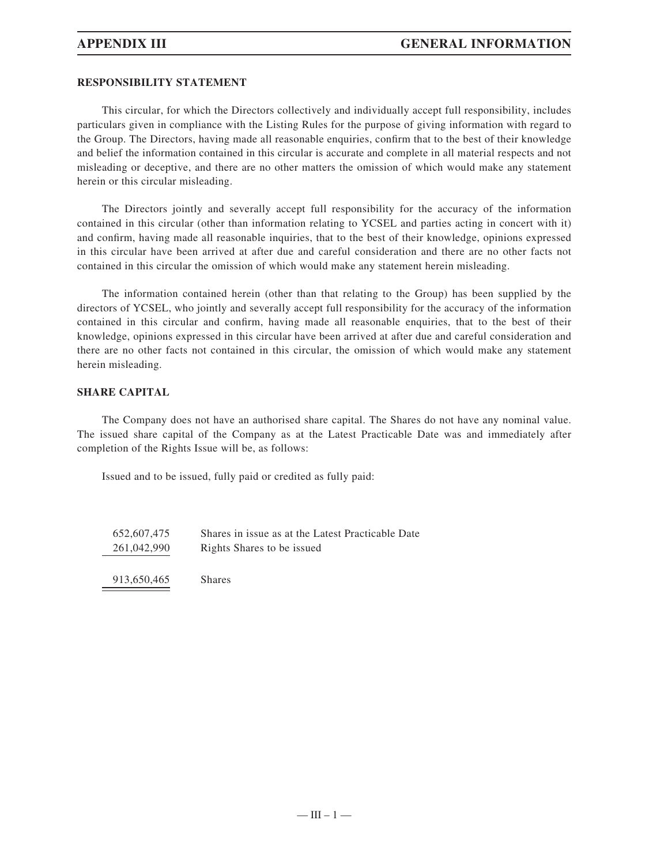### **RESPONSIBILITY STATEMENT**

This circular, for which the Directors collectively and individually accept full responsibility, includes particulars given in compliance with the Listing Rules for the purpose of giving information with regard to the Group. The Directors, having made all reasonable enquiries, confirm that to the best of their knowledge and belief the information contained in this circular is accurate and complete in all material respects and not misleading or deceptive, and there are no other matters the omission of which would make any statement herein or this circular misleading.

The Directors jointly and severally accept full responsibility for the accuracy of the information contained in this circular (other than information relating to YCSEL and parties acting in concert with it) and confirm, having made all reasonable inquiries, that to the best of their knowledge, opinions expressed in this circular have been arrived at after due and careful consideration and there are no other facts not contained in this circular the omission of which would make any statement herein misleading.

The information contained herein (other than that relating to the Group) has been supplied by the directors of YCSEL, who jointly and severally accept full responsibility for the accuracy of the information contained in this circular and confirm, having made all reasonable enquiries, that to the best of their knowledge, opinions expressed in this circular have been arrived at after due and careful consideration and there are no other facts not contained in this circular, the omission of which would make any statement herein misleading.

#### **SHARE CAPITAL**

The Company does not have an authorised share capital. The Shares do not have any nominal value. The issued share capital of the Company as at the Latest Practicable Date was and immediately after completion of the Rights Issue will be, as follows:

Issued and to be issued, fully paid or credited as fully paid:

| 652,607,475 | Shares in issue as at the Latest Practicable Date |
|-------------|---------------------------------------------------|
| 261,042,990 | Rights Shares to be issued                        |
|             |                                                   |
|             |                                                   |

913,650,465 Shares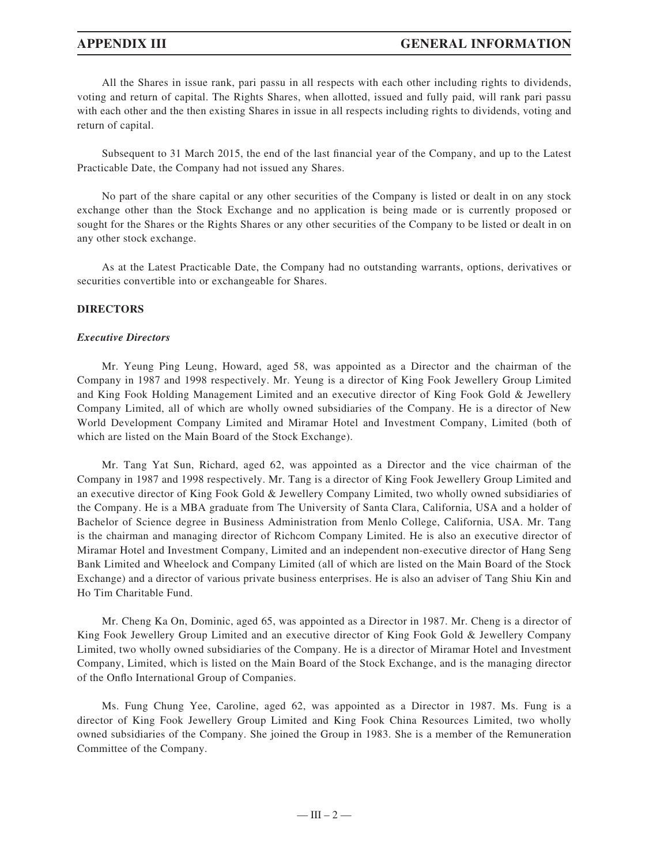## **APPENDIX III GENERAL INFORMATION**

All the Shares in issue rank, pari passu in all respects with each other including rights to dividends, voting and return of capital. The Rights Shares, when allotted, issued and fully paid, will rank pari passu with each other and the then existing Shares in issue in all respects including rights to dividends, voting and return of capital.

Subsequent to 31 March 2015, the end of the last financial year of the Company, and up to the Latest Practicable Date, the Company had not issued any Shares.

No part of the share capital or any other securities of the Company is listed or dealt in on any stock exchange other than the Stock Exchange and no application is being made or is currently proposed or sought for the Shares or the Rights Shares or any other securities of the Company to be listed or dealt in on any other stock exchange.

As at the Latest Practicable Date, the Company had no outstanding warrants, options, derivatives or securities convertible into or exchangeable for Shares.

### **DIRECTORS**

#### *Executive Directors*

Mr. Yeung Ping Leung, Howard, aged 58, was appointed as a Director and the chairman of the Company in 1987 and 1998 respectively. Mr. Yeung is a director of King Fook Jewellery Group Limited and King Fook Holding Management Limited and an executive director of King Fook Gold & Jewellery Company Limited, all of which are wholly owned subsidiaries of the Company. He is a director of New World Development Company Limited and Miramar Hotel and Investment Company, Limited (both of which are listed on the Main Board of the Stock Exchange).

Mr. Tang Yat Sun, Richard, aged 62, was appointed as a Director and the vice chairman of the Company in 1987 and 1998 respectively. Mr. Tang is a director of King Fook Jewellery Group Limited and an executive director of King Fook Gold & Jewellery Company Limited, two wholly owned subsidiaries of the Company. He is a MBA graduate from The University of Santa Clara, California, USA and a holder of Bachelor of Science degree in Business Administration from Menlo College, California, USA. Mr. Tang is the chairman and managing director of Richcom Company Limited. He is also an executive director of Miramar Hotel and Investment Company, Limited and an independent non-executive director of Hang Seng Bank Limited and Wheelock and Company Limited (all of which are listed on the Main Board of the Stock Exchange) and a director of various private business enterprises. He is also an adviser of Tang Shiu Kin and Ho Tim Charitable Fund.

Mr. Cheng Ka On, Dominic, aged 65, was appointed as a Director in 1987. Mr. Cheng is a director of King Fook Jewellery Group Limited and an executive director of King Fook Gold & Jewellery Company Limited, two wholly owned subsidiaries of the Company. He is a director of Miramar Hotel and Investment Company, Limited, which is listed on the Main Board of the Stock Exchange, and is the managing director of the Onflo International Group of Companies.

Ms. Fung Chung Yee, Caroline, aged 62, was appointed as a Director in 1987. Ms. Fung is a director of King Fook Jewellery Group Limited and King Fook China Resources Limited, two wholly owned subsidiaries of the Company. She joined the Group in 1983. She is a member of the Remuneration Committee of the Company.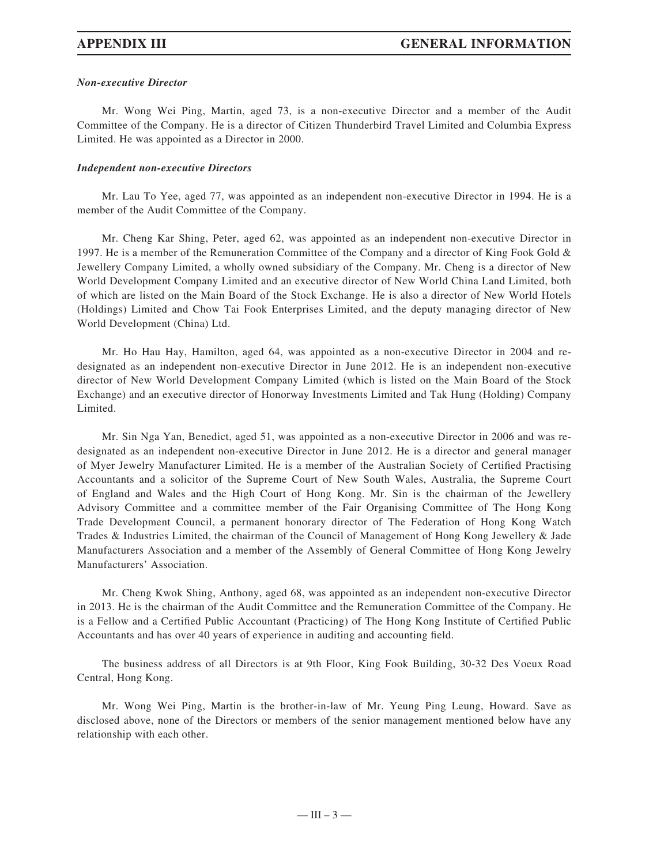### *Non-executive Director*

Mr. Wong Wei Ping, Martin, aged 73, is a non-executive Director and a member of the Audit Committee of the Company. He is a director of Citizen Thunderbird Travel Limited and Columbia Express Limited. He was appointed as a Director in 2000.

### *Independent non-executive Directors*

Mr. Lau To Yee, aged 77, was appointed as an independent non-executive Director in 1994. He is a member of the Audit Committee of the Company.

Mr. Cheng Kar Shing, Peter, aged 62, was appointed as an independent non-executive Director in 1997. He is a member of the Remuneration Committee of the Company and a director of King Fook Gold & Jewellery Company Limited, a wholly owned subsidiary of the Company. Mr. Cheng is a director of New World Development Company Limited and an executive director of New World China Land Limited, both of which are listed on the Main Board of the Stock Exchange. He is also a director of New World Hotels (Holdings) Limited and Chow Tai Fook Enterprises Limited, and the deputy managing director of New World Development (China) Ltd.

Mr. Ho Hau Hay, Hamilton, aged 64, was appointed as a non-executive Director in 2004 and redesignated as an independent non-executive Director in June 2012. He is an independent non-executive director of New World Development Company Limited (which is listed on the Main Board of the Stock Exchange) and an executive director of Honorway Investments Limited and Tak Hung (Holding) Company Limited.

Mr. Sin Nga Yan, Benedict, aged 51, was appointed as a non-executive Director in 2006 and was redesignated as an independent non-executive Director in June 2012. He is a director and general manager of Myer Jewelry Manufacturer Limited. He is a member of the Australian Society of Certified Practising Accountants and a solicitor of the Supreme Court of New South Wales, Australia, the Supreme Court of England and Wales and the High Court of Hong Kong. Mr. Sin is the chairman of the Jewellery Advisory Committee and a committee member of the Fair Organising Committee of The Hong Kong Trade Development Council, a permanent honorary director of The Federation of Hong Kong Watch Trades & Industries Limited, the chairman of the Council of Management of Hong Kong Jewellery & Jade Manufacturers Association and a member of the Assembly of General Committee of Hong Kong Jewelry Manufacturers' Association.

Mr. Cheng Kwok Shing, Anthony, aged 68, was appointed as an independent non-executive Director in 2013. He is the chairman of the Audit Committee and the Remuneration Committee of the Company. He is a Fellow and a Certified Public Accountant (Practicing) of The Hong Kong Institute of Certified Public Accountants and has over 40 years of experience in auditing and accounting field.

The business address of all Directors is at 9th Floor, King Fook Building, 30-32 Des Voeux Road Central, Hong Kong.

Mr. Wong Wei Ping, Martin is the brother-in-law of Mr. Yeung Ping Leung, Howard. Save as disclosed above, none of the Directors or members of the senior management mentioned below have any relationship with each other.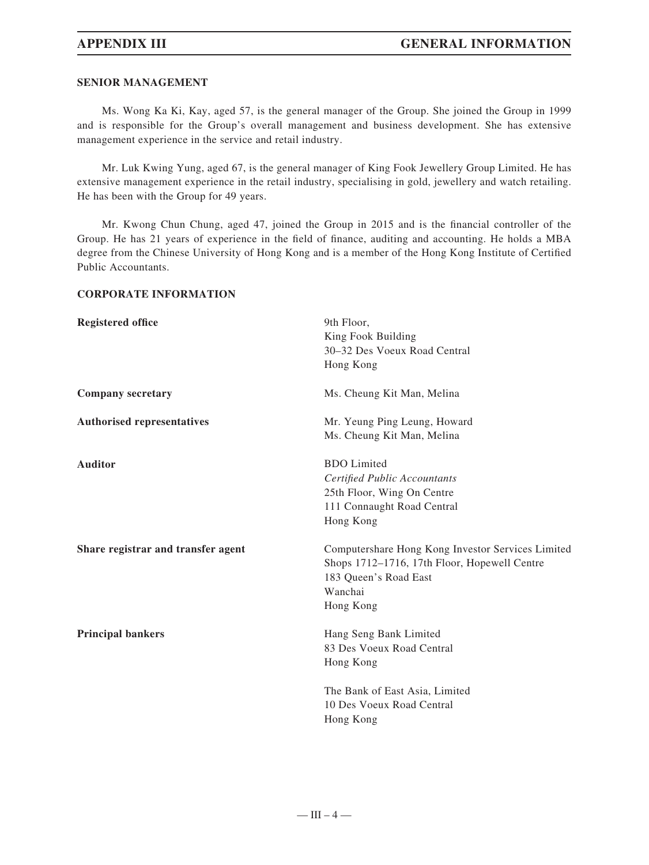#### **SENIOR MANAGEMENT**

Ms. Wong Ka Ki, Kay, aged 57, is the general manager of the Group. She joined the Group in 1999 and is responsible for the Group's overall management and business development. She has extensive management experience in the service and retail industry.

Mr. Luk Kwing Yung, aged 67, is the general manager of King Fook Jewellery Group Limited. He has extensive management experience in the retail industry, specialising in gold, jewellery and watch retailing. He has been with the Group for 49 years.

Mr. Kwong Chun Chung, aged 47, joined the Group in 2015 and is the financial controller of the Group. He has 21 years of experience in the field of finance, auditing and accounting. He holds a MBA degree from the Chinese University of Hong Kong and is a member of the Hong Kong Institute of Certified Public Accountants.

### **CORPORATE INFORMATION**

| <b>Registered office</b>           | 9th Floor,                                        |
|------------------------------------|---------------------------------------------------|
|                                    | King Fook Building                                |
|                                    | 30-32 Des Voeux Road Central                      |
|                                    | Hong Kong                                         |
| <b>Company secretary</b>           | Ms. Cheung Kit Man, Melina                        |
| <b>Authorised representatives</b>  | Mr. Yeung Ping Leung, Howard                      |
|                                    | Ms. Cheung Kit Man, Melina                        |
| <b>Auditor</b>                     | <b>BDO</b> Limited                                |
|                                    | Certified Public Accountants                      |
|                                    | 25th Floor, Wing On Centre                        |
|                                    | 111 Connaught Road Central                        |
|                                    | Hong Kong                                         |
| Share registrar and transfer agent | Computershare Hong Kong Investor Services Limited |
|                                    | Shops 1712-1716, 17th Floor, Hopewell Centre      |
|                                    | 183 Queen's Road East                             |
|                                    | Wanchai                                           |
|                                    | Hong Kong                                         |
| <b>Principal bankers</b>           | Hang Seng Bank Limited                            |
|                                    | 83 Des Voeux Road Central                         |
|                                    | Hong Kong                                         |
|                                    | The Bank of East Asia, Limited                    |
|                                    | 10 Des Voeux Road Central                         |
|                                    | Hong Kong                                         |
|                                    |                                                   |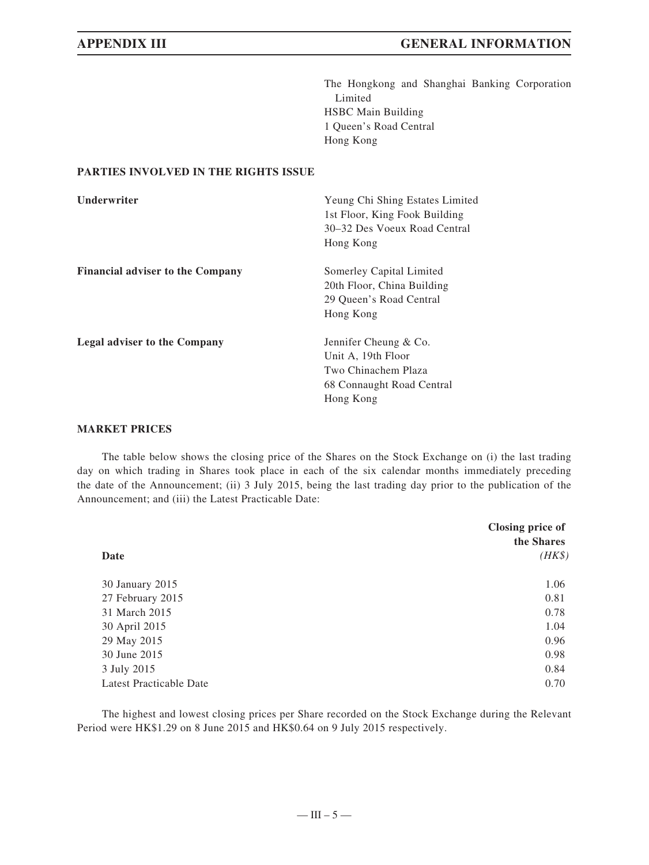The Hongkong and Shanghai Banking Corporation Limited HSBC Main Building 1 Queen's Road Central Hong Kong

### **PARTIES INVOLVED IN THE RIGHTS ISSUE**

| <b>Underwriter</b>                      | Yeung Chi Shing Estates Limited<br>1st Floor, King Fook Building<br>30–32 Des Voeux Road Central<br>Hong Kong |
|-----------------------------------------|---------------------------------------------------------------------------------------------------------------|
| <b>Financial adviser to the Company</b> | Somerley Capital Limited<br>20th Floor, China Building<br>29 Oueen's Road Central<br>Hong Kong                |
| <b>Legal adviser to the Company</b>     | Jennifer Cheung & Co.<br>Unit A, 19th Floor<br>Two Chinachem Plaza<br>68 Connaught Road Central<br>Hong Kong  |

### **MARKET PRICES**

The table below shows the closing price of the Shares on the Stock Exchange on (i) the last trading day on which trading in Shares took place in each of the six calendar months immediately preceding the date of the Announcement; (ii) 3 July 2015, being the last trading day prior to the publication of the Announcement; and (iii) the Latest Practicable Date:

|                         | Closing price of<br>the Shares |
|-------------------------|--------------------------------|
| Date                    | $(HK\$                         |
| 30 January 2015         | 1.06                           |
| 27 February 2015        | 0.81                           |
| 31 March 2015           | 0.78                           |
| 30 April 2015           | 1.04                           |
| 29 May 2015             | 0.96                           |
| 30 June 2015            | 0.98                           |
| 3 July 2015             | 0.84                           |
| Latest Practicable Date | 0.70                           |

The highest and lowest closing prices per Share recorded on the Stock Exchange during the Relevant Period were HK\$1.29 on 8 June 2015 and HK\$0.64 on 9 July 2015 respectively.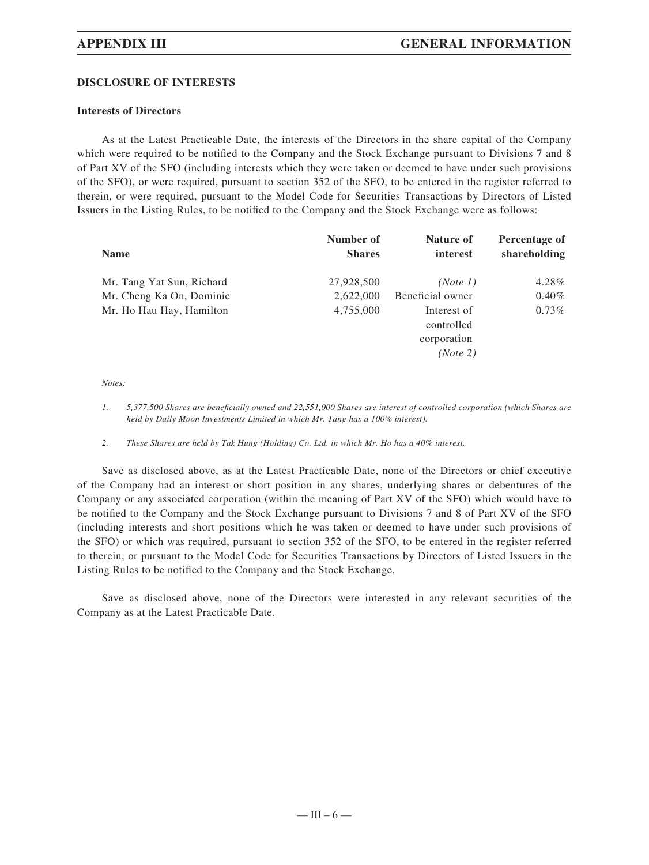### **DISCLOSURE OF INTERESTS**

#### **Interests of Directors**

As at the Latest Practicable Date, the interests of the Directors in the share capital of the Company which were required to be notified to the Company and the Stock Exchange pursuant to Divisions 7 and 8 of Part XV of the SFO (including interests which they were taken or deemed to have under such provisions of the SFO), or were required, pursuant to section 352 of the SFO, to be entered in the register referred to therein, or were required, pursuant to the Model Code for Securities Transactions by Directors of Listed Issuers in the Listing Rules, to be notified to the Company and the Stock Exchange were as follows:

| <b>Name</b>               | Number of<br><b>Shares</b> | Nature of<br>interest | Percentage of<br>shareholding |
|---------------------------|----------------------------|-----------------------|-------------------------------|
| Mr. Tang Yat Sun, Richard | 27,928,500                 | (Note 1)              | 4.28%                         |
| Mr. Cheng Ka On, Dominic  | 2,622,000                  | Beneficial owner      | $0.40\%$                      |
| Mr. Ho Hau Hay, Hamilton  | 4,755,000                  | Interest of           | $0.73\%$                      |
|                           |                            | controlled            |                               |
|                           |                            | corporation           |                               |
|                           |                            | (Note 2)              |                               |

*Notes:*

*1. 5,377,500 Shares are benefi cially owned and 22,551,000 Shares are interest of controlled corporation (which Shares are held by Daily Moon Investments Limited in which Mr. Tang has a 100% interest).*

*2. These Shares are held by Tak Hung (Holding) Co. Ltd. in which Mr. Ho has a 40% interest.*

Save as disclosed above, as at the Latest Practicable Date, none of the Directors or chief executive of the Company had an interest or short position in any shares, underlying shares or debentures of the Company or any associated corporation (within the meaning of Part XV of the SFO) which would have to be notified to the Company and the Stock Exchange pursuant to Divisions 7 and 8 of Part XV of the SFO (including interests and short positions which he was taken or deemed to have under such provisions of the SFO) or which was required, pursuant to section 352 of the SFO, to be entered in the register referred to therein, or pursuant to the Model Code for Securities Transactions by Directors of Listed Issuers in the Listing Rules to be notified to the Company and the Stock Exchange.

Save as disclosed above, none of the Directors were interested in any relevant securities of the Company as at the Latest Practicable Date.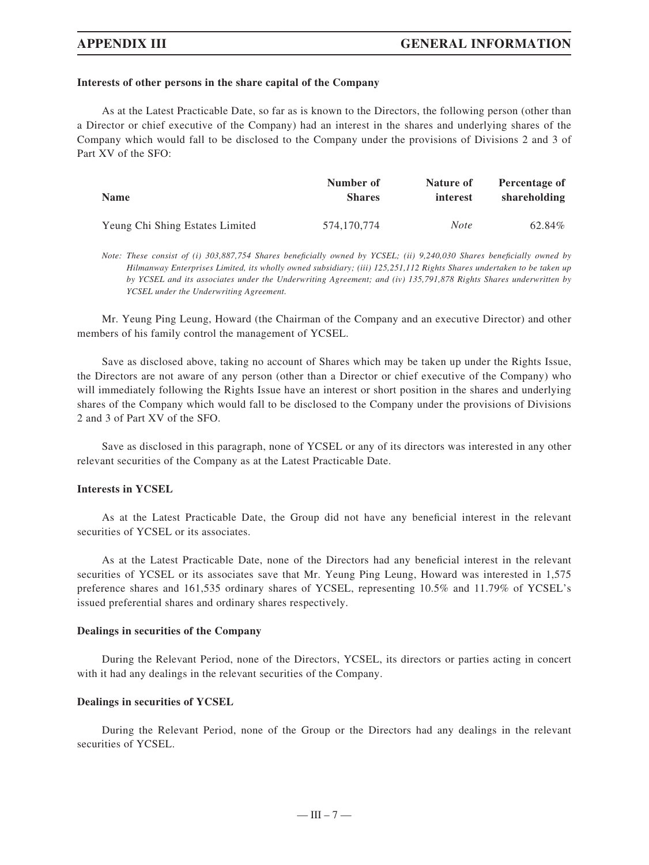#### **Interests of other persons in the share capital of the Company**

As at the Latest Practicable Date, so far as is known to the Directors, the following person (other than a Director or chief executive of the Company) had an interest in the shares and underlying shares of the Company which would fall to be disclosed to the Company under the provisions of Divisions 2 and 3 of Part XV of the SFO:

| <b>Name</b>                     | Number of     | Nature of   | Percentage of |
|---------------------------------|---------------|-------------|---------------|
|                                 | <b>Shares</b> | interest    | shareholding  |
| Yeung Chi Shing Estates Limited | 574,170,774   | <i>Note</i> | 62.84%        |

*Note: These consist of (i) 303,887,754 Shares beneficially owned by YCSEL; (ii) 9,240,030 Shares beneficially owned by Hilmanway Enterprises Limited, its wholly owned subsidiary; (iii) 125,251,112 Rights Shares undertaken to be taken up by YCSEL and its associates under the Underwriting Agreement; and (iv) 135,791,878 Rights Shares underwritten by YCSEL under the Underwriting Agreement.*

Mr. Yeung Ping Leung, Howard (the Chairman of the Company and an executive Director) and other members of his family control the management of YCSEL.

Save as disclosed above, taking no account of Shares which may be taken up under the Rights Issue, the Directors are not aware of any person (other than a Director or chief executive of the Company) who will immediately following the Rights Issue have an interest or short position in the shares and underlying shares of the Company which would fall to be disclosed to the Company under the provisions of Divisions 2 and 3 of Part XV of the SFO.

Save as disclosed in this paragraph, none of YCSEL or any of its directors was interested in any other relevant securities of the Company as at the Latest Practicable Date.

#### **Interests in YCSEL**

As at the Latest Practicable Date, the Group did not have any beneficial interest in the relevant securities of YCSEL or its associates.

As at the Latest Practicable Date, none of the Directors had any beneficial interest in the relevant securities of YCSEL or its associates save that Mr. Yeung Ping Leung, Howard was interested in 1,575 preference shares and 161,535 ordinary shares of YCSEL, representing 10.5% and 11.79% of YCSEL's issued preferential shares and ordinary shares respectively.

#### **Dealings in securities of the Company**

During the Relevant Period, none of the Directors, YCSEL, its directors or parties acting in concert with it had any dealings in the relevant securities of the Company.

### **Dealings in securities of YCSEL**

During the Relevant Period, none of the Group or the Directors had any dealings in the relevant securities of YCSEL.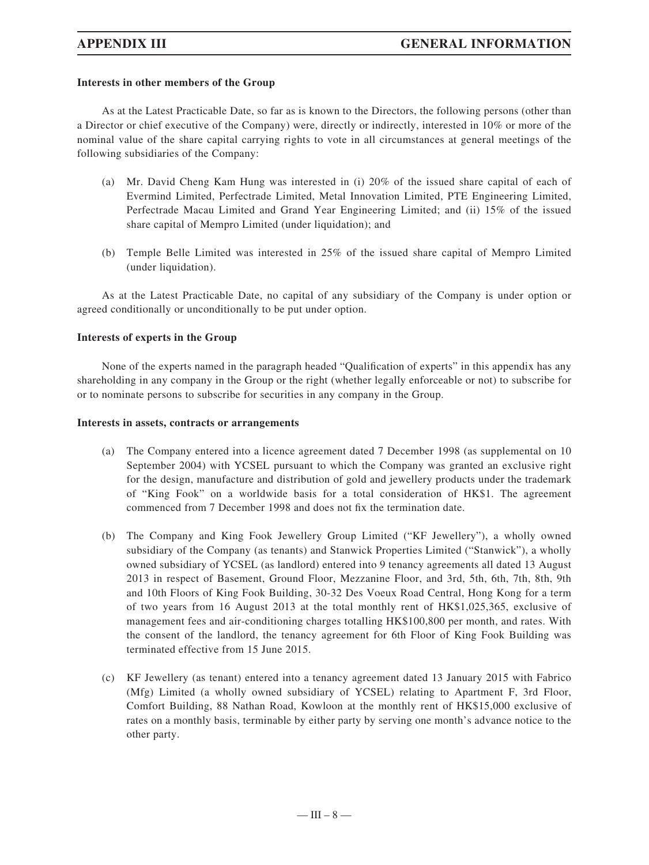### **Interests in other members of the Group**

As at the Latest Practicable Date, so far as is known to the Directors, the following persons (other than a Director or chief executive of the Company) were, directly or indirectly, interested in 10% or more of the nominal value of the share capital carrying rights to vote in all circumstances at general meetings of the following subsidiaries of the Company:

- (a) Mr. David Cheng Kam Hung was interested in (i) 20% of the issued share capital of each of Evermind Limited, Perfectrade Limited, Metal Innovation Limited, PTE Engineering Limited, Perfectrade Macau Limited and Grand Year Engineering Limited; and (ii) 15% of the issued share capital of Mempro Limited (under liquidation); and
- (b) Temple Belle Limited was interested in 25% of the issued share capital of Mempro Limited (under liquidation).

As at the Latest Practicable Date, no capital of any subsidiary of the Company is under option or agreed conditionally or unconditionally to be put under option.

#### **Interests of experts in the Group**

None of the experts named in the paragraph headed "Qualification of experts" in this appendix has any shareholding in any company in the Group or the right (whether legally enforceable or not) to subscribe for or to nominate persons to subscribe for securities in any company in the Group.

#### **Interests in assets, contracts or arrangements**

- (a) The Company entered into a licence agreement dated 7 December 1998 (as supplemental on 10 September 2004) with YCSEL pursuant to which the Company was granted an exclusive right for the design, manufacture and distribution of gold and jewellery products under the trademark of "King Fook" on a worldwide basis for a total consideration of HK\$1. The agreement commenced from 7 December 1998 and does not fix the termination date.
- (b) The Company and King Fook Jewellery Group Limited ("KF Jewellery"), a wholly owned subsidiary of the Company (as tenants) and Stanwick Properties Limited ("Stanwick"), a wholly owned subsidiary of YCSEL (as landlord) entered into 9 tenancy agreements all dated 13 August 2013 in respect of Basement, Ground Floor, Mezzanine Floor, and 3rd, 5th, 6th, 7th, 8th, 9th and 10th Floors of King Fook Building, 30-32 Des Voeux Road Central, Hong Kong for a term of two years from 16 August 2013 at the total monthly rent of HK\$1,025,365, exclusive of management fees and air-conditioning charges totalling HK\$100,800 per month, and rates. With the consent of the landlord, the tenancy agreement for 6th Floor of King Fook Building was terminated effective from 15 June 2015.
- (c) KF Jewellery (as tenant) entered into a tenancy agreement dated 13 January 2015 with Fabrico (Mfg) Limited (a wholly owned subsidiary of YCSEL) relating to Apartment F, 3rd Floor, Comfort Building, 88 Nathan Road, Kowloon at the monthly rent of HK\$15,000 exclusive of rates on a monthly basis, terminable by either party by serving one month's advance notice to the other party.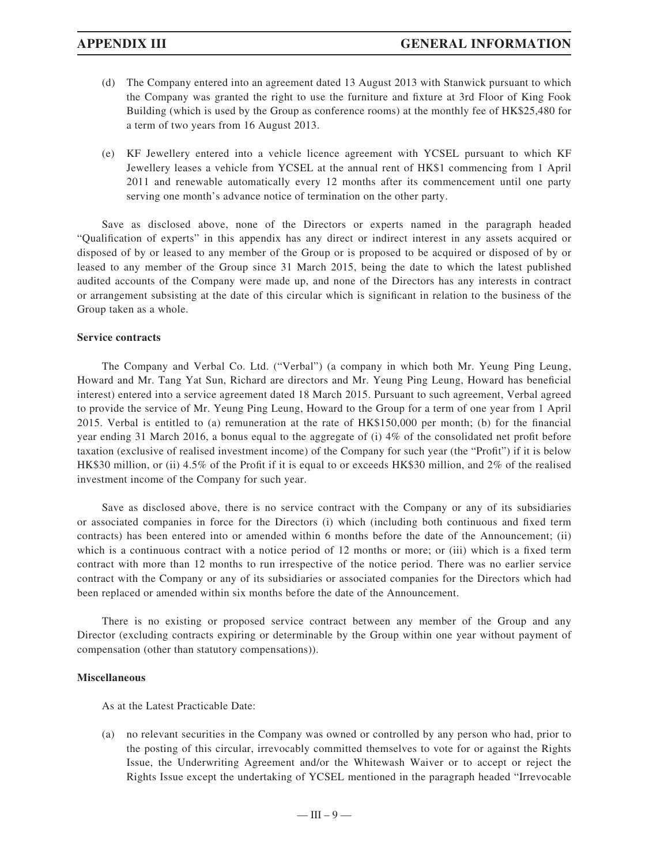- (d) The Company entered into an agreement dated 13 August 2013 with Stanwick pursuant to which the Company was granted the right to use the furniture and fixture at 3rd Floor of King Fook Building (which is used by the Group as conference rooms) at the monthly fee of HK\$25,480 for a term of two years from 16 August 2013.
- (e) KF Jewellery entered into a vehicle licence agreement with YCSEL pursuant to which KF Jewellery leases a vehicle from YCSEL at the annual rent of HK\$1 commencing from 1 April 2011 and renewable automatically every 12 months after its commencement until one party serving one month's advance notice of termination on the other party.

Save as disclosed above, none of the Directors or experts named in the paragraph headed "Qualification of experts" in this appendix has any direct or indirect interest in any assets acquired or disposed of by or leased to any member of the Group or is proposed to be acquired or disposed of by or leased to any member of the Group since 31 March 2015, being the date to which the latest published audited accounts of the Company were made up, and none of the Directors has any interests in contract or arrangement subsisting at the date of this circular which is significant in relation to the business of the Group taken as a whole.

#### **Service contracts**

The Company and Verbal Co. Ltd. ("Verbal") (a company in which both Mr. Yeung Ping Leung, Howard and Mr. Tang Yat Sun, Richard are directors and Mr. Yeung Ping Leung, Howard has beneficial interest) entered into a service agreement dated 18 March 2015. Pursuant to such agreement, Verbal agreed to provide the service of Mr. Yeung Ping Leung, Howard to the Group for a term of one year from 1 April 2015. Verbal is entitled to (a) remuneration at the rate of  $HK$150,000$  per month; (b) for the financial year ending 31 March 2016, a bonus equal to the aggregate of (i) 4% of the consolidated net profi t before taxation (exclusive of realised investment income) of the Company for such year (the "Profit") if it is below HK\$30 million, or (ii) 4.5% of the Profit if it is equal to or exceeds HK\$30 million, and 2% of the realised investment income of the Company for such year.

Save as disclosed above, there is no service contract with the Company or any of its subsidiaries or associated companies in force for the Directors (i) which (including both continuous and fixed term contracts) has been entered into or amended within 6 months before the date of the Announcement; (ii) which is a continuous contract with a notice period of  $12$  months or more; or (iii) which is a fixed term contract with more than 12 months to run irrespective of the notice period. There was no earlier service contract with the Company or any of its subsidiaries or associated companies for the Directors which had been replaced or amended within six months before the date of the Announcement.

There is no existing or proposed service contract between any member of the Group and any Director (excluding contracts expiring or determinable by the Group within one year without payment of compensation (other than statutory compensations)).

### **Miscellaneous**

As at the Latest Practicable Date:

(a) no relevant securities in the Company was owned or controlled by any person who had, prior to the posting of this circular, irrevocably committed themselves to vote for or against the Rights Issue, the Underwriting Agreement and/or the Whitewash Waiver or to accept or reject the Rights Issue except the undertaking of YCSEL mentioned in the paragraph headed "Irrevocable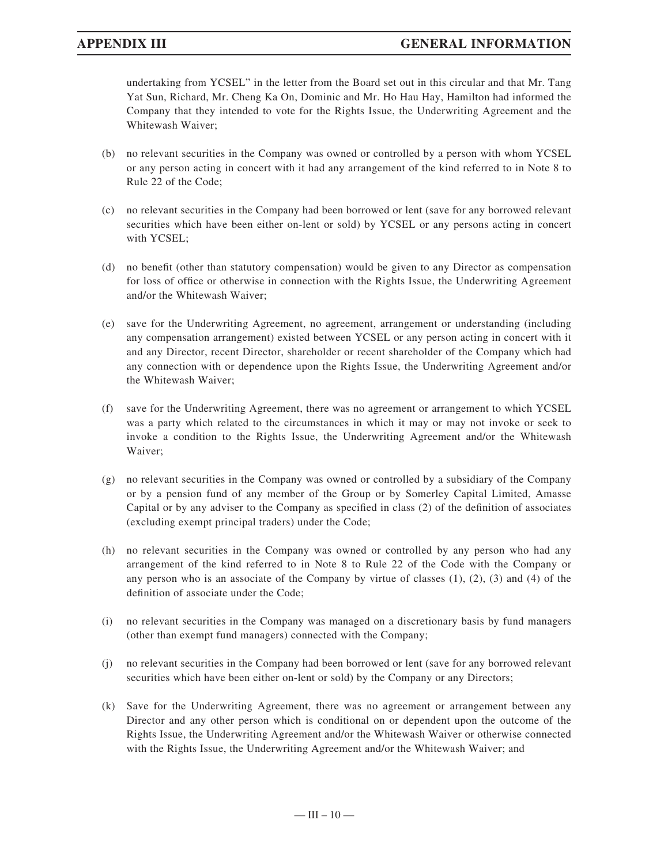## **APPENDIX III GENERAL INFORMATION**

undertaking from YCSEL" in the letter from the Board set out in this circular and that Mr. Tang Yat Sun, Richard, Mr. Cheng Ka On, Dominic and Mr. Ho Hau Hay, Hamilton had informed the Company that they intended to vote for the Rights Issue, the Underwriting Agreement and the Whitewash Waiver;

- (b) no relevant securities in the Company was owned or controlled by a person with whom YCSEL or any person acting in concert with it had any arrangement of the kind referred to in Note 8 to Rule 22 of the Code;
- (c) no relevant securities in the Company had been borrowed or lent (save for any borrowed relevant securities which have been either on-lent or sold) by YCSEL or any persons acting in concert with YCSEL;
- (d) no benefit (other than statutory compensation) would be given to any Director as compensation for loss of office or otherwise in connection with the Rights Issue, the Underwriting Agreement and/or the Whitewash Waiver;
- (e) save for the Underwriting Agreement, no agreement, arrangement or understanding (including any compensation arrangement) existed between YCSEL or any person acting in concert with it and any Director, recent Director, shareholder or recent shareholder of the Company which had any connection with or dependence upon the Rights Issue, the Underwriting Agreement and/or the Whitewash Waiver;
- (f) save for the Underwriting Agreement, there was no agreement or arrangement to which YCSEL was a party which related to the circumstances in which it may or may not invoke or seek to invoke a condition to the Rights Issue, the Underwriting Agreement and/or the Whitewash Waiver;
- (g) no relevant securities in the Company was owned or controlled by a subsidiary of the Company or by a pension fund of any member of the Group or by Somerley Capital Limited, Amasse Capital or by any adviser to the Company as specified in class  $(2)$  of the definition of associates (excluding exempt principal traders) under the Code;
- (h) no relevant securities in the Company was owned or controlled by any person who had any arrangement of the kind referred to in Note 8 to Rule 22 of the Code with the Company or any person who is an associate of the Company by virtue of classes  $(1)$ ,  $(2)$ ,  $(3)$  and  $(4)$  of the definition of associate under the Code:
- (i) no relevant securities in the Company was managed on a discretionary basis by fund managers (other than exempt fund managers) connected with the Company;
- (j) no relevant securities in the Company had been borrowed or lent (save for any borrowed relevant securities which have been either on-lent or sold) by the Company or any Directors;
- (k) Save for the Underwriting Agreement, there was no agreement or arrangement between any Director and any other person which is conditional on or dependent upon the outcome of the Rights Issue, the Underwriting Agreement and/or the Whitewash Waiver or otherwise connected with the Rights Issue, the Underwriting Agreement and/or the Whitewash Waiver; and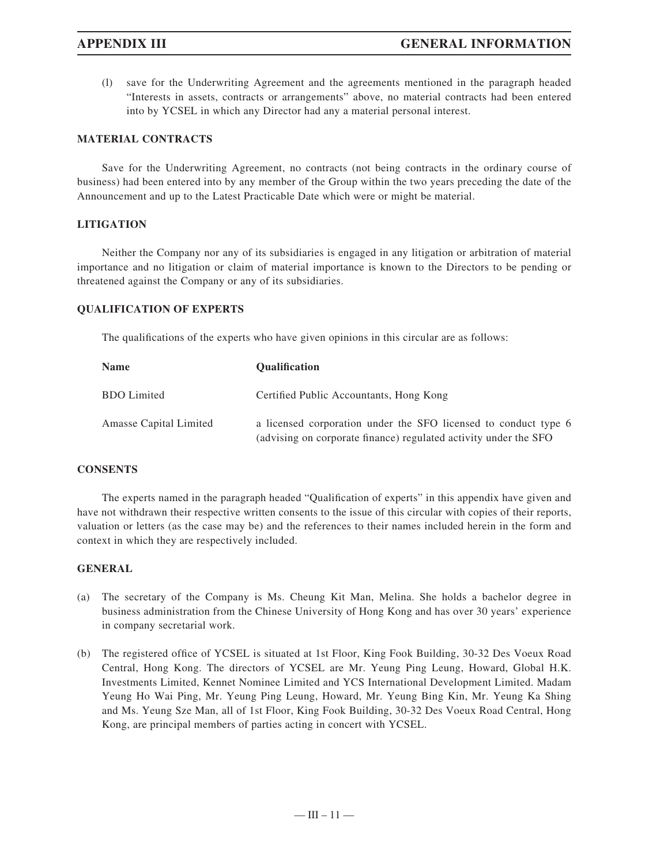(l) save for the Underwriting Agreement and the agreements mentioned in the paragraph headed "Interests in assets, contracts or arrangements" above, no material contracts had been entered into by YCSEL in which any Director had any a material personal interest.

#### **MATERIAL CONTRACTS**

Save for the Underwriting Agreement, no contracts (not being contracts in the ordinary course of business) had been entered into by any member of the Group within the two years preceding the date of the Announcement and up to the Latest Practicable Date which were or might be material.

#### **LITIGATION**

Neither the Company nor any of its subsidiaries is engaged in any litigation or arbitration of material importance and no litigation or claim of material importance is known to the Directors to be pending or threatened against the Company or any of its subsidiaries.

#### **QUALIFICATION OF EXPERTS**

The qualifications of the experts who have given opinions in this circular are as follows:

| Name                   | <b>Oualification</b>                                                                                                                |
|------------------------|-------------------------------------------------------------------------------------------------------------------------------------|
| <b>BDO</b> Limited     | Certified Public Accountants, Hong Kong                                                                                             |
| Amasse Capital Limited | a licensed corporation under the SFO licensed to conduct type 6<br>(advising on corporate finance) regulated activity under the SFO |

### **CONSENTS**

The experts named in the paragraph headed "Qualification of experts" in this appendix have given and have not withdrawn their respective written consents to the issue of this circular with copies of their reports, valuation or letters (as the case may be) and the references to their names included herein in the form and context in which they are respectively included.

#### **GENERAL**

- (a) The secretary of the Company is Ms. Cheung Kit Man, Melina. She holds a bachelor degree in business administration from the Chinese University of Hong Kong and has over 30 years' experience in company secretarial work.
- (b) The registered office of YCSEL is situated at 1st Floor, King Fook Building, 30-32 Des Voeux Road Central, Hong Kong. The directors of YCSEL are Mr. Yeung Ping Leung, Howard, Global H.K. Investments Limited, Kennet Nominee Limited and YCS International Development Limited. Madam Yeung Ho Wai Ping, Mr. Yeung Ping Leung, Howard, Mr. Yeung Bing Kin, Mr. Yeung Ka Shing and Ms. Yeung Sze Man, all of 1st Floor, King Fook Building, 30-32 Des Voeux Road Central, Hong Kong, are principal members of parties acting in concert with YCSEL.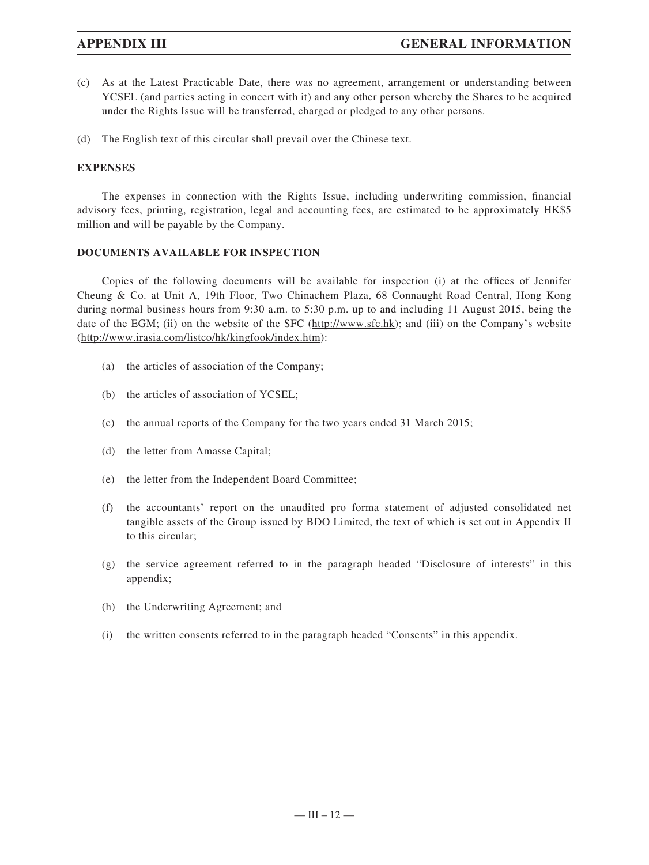- (c) As at the Latest Practicable Date, there was no agreement, arrangement or understanding between YCSEL (and parties acting in concert with it) and any other person whereby the Shares to be acquired under the Rights Issue will be transferred, charged or pledged to any other persons.
- (d) The English text of this circular shall prevail over the Chinese text.

### **EXPENSES**

The expenses in connection with the Rights Issue, including underwriting commission, financial advisory fees, printing, registration, legal and accounting fees, are estimated to be approximately HK\$5 million and will be payable by the Company.

### **DOCUMENTS AVAILABLE FOR INSPECTION**

Copies of the following documents will be available for inspection (i) at the offices of Jennifer Cheung & Co. at Unit A, 19th Floor, Two Chinachem Plaza, 68 Connaught Road Central, Hong Kong during normal business hours from 9:30 a.m. to 5:30 p.m. up to and including 11 August 2015, being the date of the EGM; (ii) on the website of the SFC (http://www.sfc.hk); and (iii) on the Company's website (http://www.irasia.com/listco/hk/kingfook/index.htm):

- (a) the articles of association of the Company;
- (b) the articles of association of YCSEL;
- (c) the annual reports of the Company for the two years ended 31 March 2015;
- (d) the letter from Amasse Capital;
- (e) the letter from the Independent Board Committee;
- (f) the accountants' report on the unaudited pro forma statement of adjusted consolidated net tangible assets of the Group issued by BDO Limited, the text of which is set out in Appendix II to this circular;
- (g) the service agreement referred to in the paragraph headed "Disclosure of interests" in this appendix;
- (h) the Underwriting Agreement; and
- (i) the written consents referred to in the paragraph headed "Consents" in this appendix.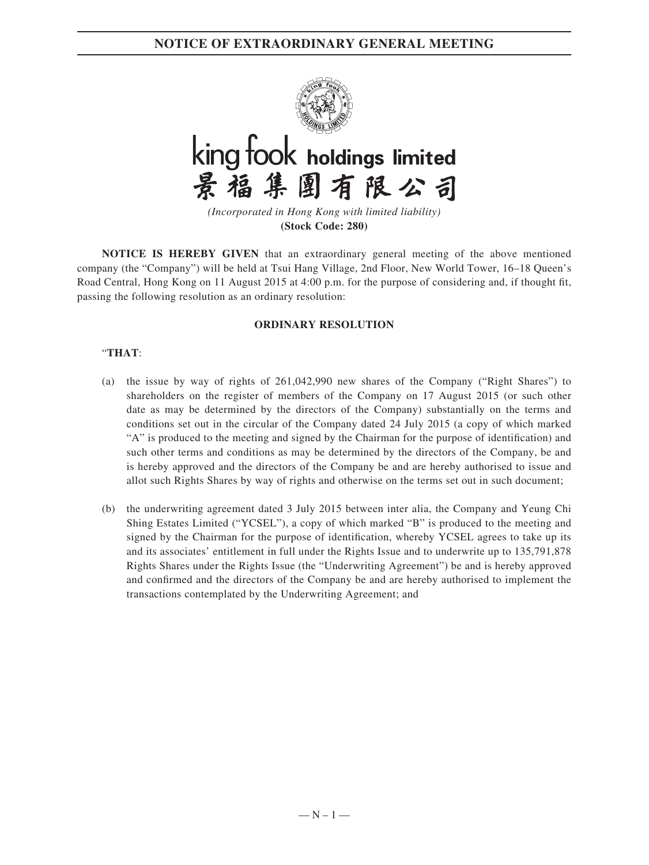**NOTICE OF EXTRAORDINARY GENERAL MEETING**





*(Incorporated in Hong Kong with limited liability)* **(Stock Code: 280)**

**NOTICE IS HEREBY GIVEN** that an extraordinary general meeting of the above mentioned company (the "Company") will be held at Tsui Hang Village, 2nd Floor, New World Tower, 16–18 Queen's Road Central, Hong Kong on 11 August 2015 at 4:00 p.m. for the purpose of considering and, if thought fit, passing the following resolution as an ordinary resolution:

### **ORDINARY RESOLUTION**

### "**THAT**:

- (a) the issue by way of rights of 261,042,990 new shares of the Company ("Right Shares") to shareholders on the register of members of the Company on 17 August 2015 (or such other date as may be determined by the directors of the Company) substantially on the terms and conditions set out in the circular of the Company dated 24 July 2015 (a copy of which marked "A" is produced to the meeting and signed by the Chairman for the purpose of identification) and such other terms and conditions as may be determined by the directors of the Company, be and is hereby approved and the directors of the Company be and are hereby authorised to issue and allot such Rights Shares by way of rights and otherwise on the terms set out in such document;
- (b) the underwriting agreement dated 3 July 2015 between inter alia, the Company and Yeung Chi Shing Estates Limited ("YCSEL"), a copy of which marked "B" is produced to the meeting and signed by the Chairman for the purpose of identification, whereby YCSEL agrees to take up its and its associates' entitlement in full under the Rights Issue and to underwrite up to 135,791,878 Rights Shares under the Rights Issue (the "Underwriting Agreement") be and is hereby approved and confirmed and the directors of the Company be and are hereby authorised to implement the transactions contemplated by the Underwriting Agreement; and